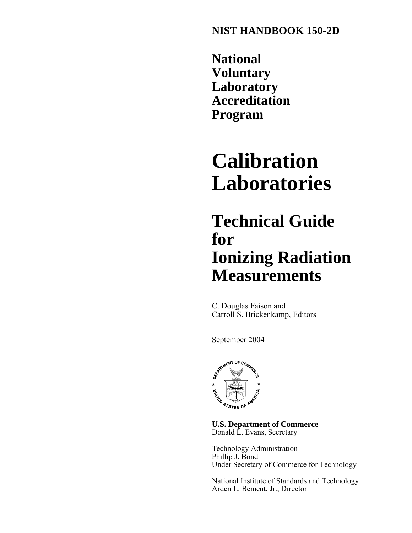**NIST HANDBOOK 150-2D**

**National Voluntary Laboratory Accreditation Program**

# **Calibration Laboratories**

# **Technical Guide for Ionizing Radiation Measurements**

C. Douglas Faison and Carroll S. Brickenkamp, Editors

September 2004



**U.S. Department of Commerce** Donald L. Evans, Secretary

Technology Administration Phillip J. Bond Under Secretary of Commerce for Technology

National Institute of Standards and Technology Arden L. Bement, Jr., Director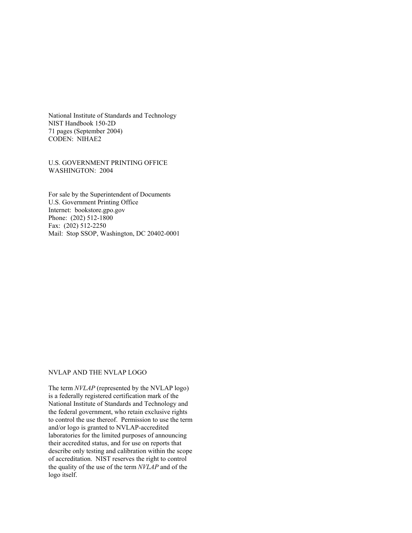National Institute of Standards and Technology NIST Handbook 150-2D 71 pages (September 2004) CODEN: NIHAE2

U.S. GOVERNMENT PRINTING OFFICE WASHINGTON: 2004

For sale by the Superintendent of Documents U.S. Government Printing Office Internet: bookstore.gpo.gov Phone: (202) 512-1800 Fax: (202) 512-2250 Mail: Stop SSOP, Washington, DC 20402-0001

#### NVLAP AND THE NVLAP LOGO

The term *NVLAP* (represented by the NVLAP logo) is a federally registered certification mark of the National Institute of Standards and Technology and the federal government, who retain exclusive rights to control the use thereof. Permission to use the term and/or logo is granted to NVLAP-accredited laboratories for the limited purposes of announcing their accredited status, and for use on reports that describe only testing and calibration within the scope of accreditation. NIST reserves the right to control the quality of the use of the term *NVLAP* and of the logo itself.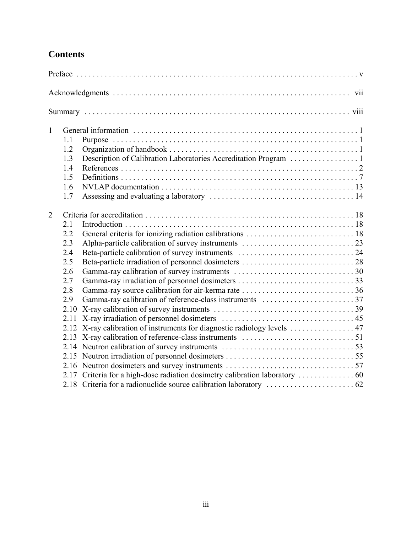# **Contents**

| $\mathbf{1}$   | 1.1  |                                                                           |  |  |  |  |  |  |
|----------------|------|---------------------------------------------------------------------------|--|--|--|--|--|--|
|                | 1.2  |                                                                           |  |  |  |  |  |  |
|                | 1.3  |                                                                           |  |  |  |  |  |  |
|                | 1.4  |                                                                           |  |  |  |  |  |  |
|                | 1.5  |                                                                           |  |  |  |  |  |  |
|                | 1.6  |                                                                           |  |  |  |  |  |  |
|                | 1.7  |                                                                           |  |  |  |  |  |  |
| $\overline{2}$ |      |                                                                           |  |  |  |  |  |  |
|                | 2.1  |                                                                           |  |  |  |  |  |  |
|                | 2.2  |                                                                           |  |  |  |  |  |  |
|                | 2.3  |                                                                           |  |  |  |  |  |  |
|                | 2.4  |                                                                           |  |  |  |  |  |  |
|                | 2.5  |                                                                           |  |  |  |  |  |  |
|                | 2.6  |                                                                           |  |  |  |  |  |  |
|                | 2.7  |                                                                           |  |  |  |  |  |  |
|                | 2.8  |                                                                           |  |  |  |  |  |  |
|                | 2.9  |                                                                           |  |  |  |  |  |  |
|                | 2.10 |                                                                           |  |  |  |  |  |  |
|                | 2.11 |                                                                           |  |  |  |  |  |  |
|                |      | 2.12 X-ray calibration of instruments for diagnostic radiology levels  47 |  |  |  |  |  |  |
|                |      |                                                                           |  |  |  |  |  |  |
|                |      |                                                                           |  |  |  |  |  |  |
|                |      |                                                                           |  |  |  |  |  |  |
|                |      |                                                                           |  |  |  |  |  |  |
|                | 2.17 |                                                                           |  |  |  |  |  |  |
|                |      |                                                                           |  |  |  |  |  |  |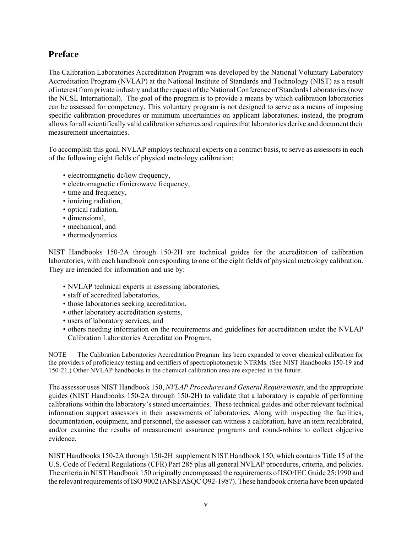# **Preface**

The Calibration Laboratories Accreditation Program was developed by the National Voluntary Laboratory Accreditation Program (NVLAP) at the National Institute of Standards and Technology (NIST) as a result of interest from private industry and at the request of the National Conference of Standards Laboratories (now the NCSL International). The goal of the program is to provide a means by which calibration laboratories can be assessed for competency. This voluntary program is not designed to serve as a means of imposing specific calibration procedures or minimum uncertainties on applicant laboratories; instead, the program allows for all scientifically valid calibration schemes and requires that laboratories derive and document their measurement uncertainties.

To accomplish this goal, NVLAP employs technical experts on a contract basis, to serve as assessors in each of the following eight fields of physical metrology calibration:

- electromagnetic dc/low frequency,
- electromagnetic rf/microwave frequency,
- time and frequency,
- ionizing radiation,
- optical radiation,
- dimensional,
- mechanical, and
- thermodynamics.

NIST Handbooks 150-2A through 150-2H are technical guides for the accreditation of calibration laboratories, with each handbook corresponding to one of the eight fields of physical metrology calibration. They are intended for information and use by:

- NVLAP technical experts in assessing laboratories,
- staff of accredited laboratories,
- those laboratories seeking accreditation,
- other laboratory accreditation systems,
- users of laboratory services, and
- others needing information on the requirements and guidelines for accreditation under the NVLAP Calibration Laboratories Accreditation Program.

NOTE The Calibration Laboratories Accreditation Program has been expanded to cover chemical calibration for the providers of proficiency testing and certifiers of spectrophotometric NTRMs. (See NIST Handbooks 150-19 and 150-21.) Other NVLAP handbooks in the chemical calibration area are expected in the future.

The assessor uses NIST Handbook 150, *NVLAP Procedures and General Requirements*, and the appropriate guides (NIST Handbooks 150-2A through 150-2H) to validate that a laboratory is capable of performing calibrations within the laboratory's stated uncertainties. These technical guides and other relevant technical information support assessors in their assessments of laboratories. Along with inspecting the facilities, documentation, equipment, and personnel, the assessor can witness a calibration, have an item recalibrated, and/or examine the results of measurement assurance programs and round-robins to collect objective evidence.

NIST Handbooks 150-2A through 150-2H supplement NIST Handbook 150, which contains Title 15 of the U.S. Code of Federal Regulations (CFR) Part 285 plus all general NVLAP procedures, criteria, and policies. The criteria in NIST Handbook 150 originally encompassed the requirements of ISO/IEC Guide 25:1990 and the relevant requirements of ISO 9002 (ANSI/ASQC Q92-1987). These handbook criteria have been updated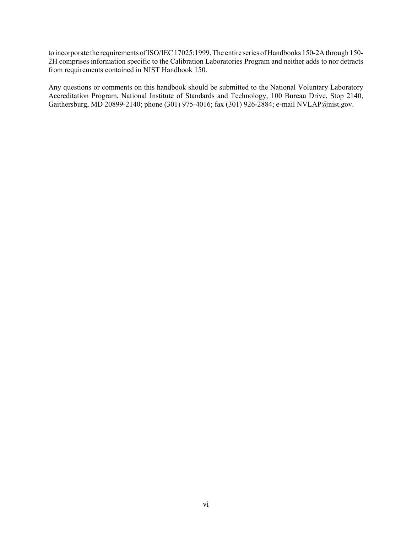to incorporate the requirements of ISO/IEC 17025:1999. The entire series of Handbooks 150-2A through 150- 2H comprises information specific to the Calibration Laboratories Program and neither adds to nor detracts from requirements contained in NIST Handbook 150.

Any questions or comments on this handbook should be submitted to the National Voluntary Laboratory Accreditation Program, National Institute of Standards and Technology, 100 Bureau Drive, Stop 2140, Gaithersburg, MD 20899-2140; phone (301) 975-4016; fax (301) 926-2884; e-mail NVLAP@nist.gov.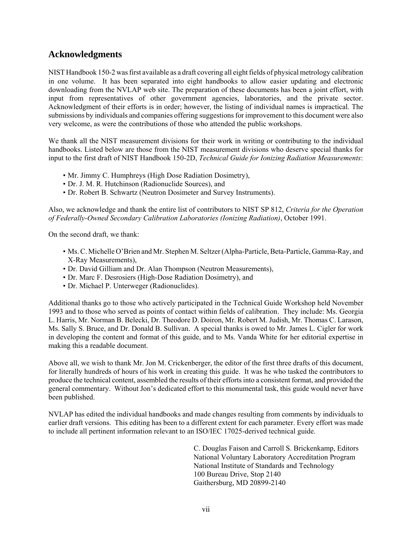# **Acknowledgments**

NIST Handbook 150-2 was first available as a draft covering all eight fields of physical metrology calibration in one volume. It has been separated into eight handbooks to allow easier updating and electronic downloading from the NVLAP web site. The preparation of these documents has been a joint effort, with input from representatives of other government agencies, laboratories, and the private sector. Acknowledgment of their efforts is in order; however, the listing of individual names is impractical. The submissions by individuals and companies offering suggestions for improvement to this document were also very welcome, as were the contributions of those who attended the public workshops.

We thank all the NIST measurement divisions for their work in writing or contributing to the individual handbooks. Listed below are those from the NIST measurement divisions who deserve special thanks for input to the first draft of NIST Handbook 150-2D, *Technical Guide for Ionizing Radiation Measurements*:

- Mr. Jimmy C. Humphreys (High Dose Radiation Dosimetry),
- Dr. J. M. R. Hutchinson (Radionuclide Sources), and
- Dr. Robert B. Schwartz (Neutron Dosimeter and Survey Instruments).

Also, we acknowledge and thank the entire list of contributors to NIST SP 812, *Criteria for the Operation of Federally-Owned Secondary Calibration Laboratories (Ionizing Radiation)*, October 1991.

On the second draft, we thank:

- Ms. C. Michelle O'Brien and Mr. Stephen M. Seltzer (Alpha-Particle, Beta-Particle, Gamma-Ray, and X-Ray Measurements),
- Dr. David Gilliam and Dr. Alan Thompson (Neutron Measurements),
- Dr. Marc F. Desrosiers (High-Dose Radiation Dosimetry), and
- Dr. Michael P. Unterweger (Radionuclides).

Additional thanks go to those who actively participated in the Technical Guide Workshop held November 1993 and to those who served as points of contact within fields of calibration. They include: Ms. Georgia L. Harris, Mr. Norman B. Belecki, Dr. Theodore D. Doiron, Mr. Robert M. Judish, Mr. Thomas C. Larason, Ms. Sally S. Bruce, and Dr. Donald B. Sullivan. A special thanks is owed to Mr. James L. Cigler for work in developing the content and format of this guide, and to Ms. Vanda White for her editorial expertise in making this a readable document.

Above all, we wish to thank Mr. Jon M. Crickenberger, the editor of the first three drafts of this document, for literally hundreds of hours of his work in creating this guide. It was he who tasked the contributors to produce the technical content, assembled the results of their efforts into a consistent format, and provided the general commentary. Without Jon's dedicated effort to this monumental task, this guide would never have been published.

NVLAP has edited the individual handbooks and made changes resulting from comments by individuals to earlier draft versions. This editing has been to a different extent for each parameter. Every effort was made to include all pertinent information relevant to an ISO/IEC 17025-derived technical guide.

> C. Douglas Faison and Carroll S. Brickenkamp, Editors National Voluntary Laboratory Accreditation Program National Institute of Standards and Technology 100 Bureau Drive, Stop 2140 Gaithersburg, MD 20899-2140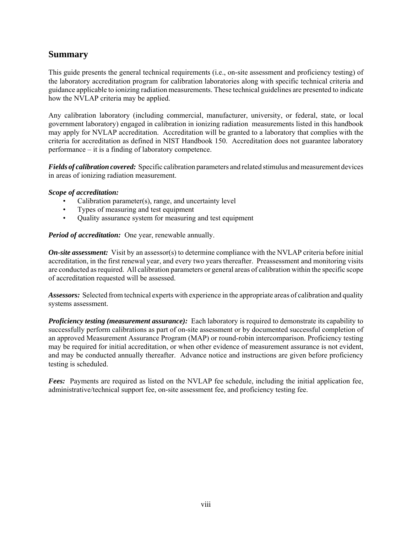# **Summary**

This guide presents the general technical requirements (i.e., on-site assessment and proficiency testing) of the laboratory accreditation program for calibration laboratories along with specific technical criteria and guidance applicable to ionizing radiation measurements. These technical guidelines are presented to indicate how the NVLAP criteria may be applied.

Any calibration laboratory (including commercial, manufacturer, university, or federal, state, or local government laboratory) engaged in calibration in ionizing radiation measurements listed in this handbook may apply for NVLAP accreditation. Accreditation will be granted to a laboratory that complies with the criteria for accreditation as defined in NIST Handbook 150. Accreditation does not guarantee laboratory performance – it is a finding of laboratory competence.

*Fields of calibration covered:* Specific calibration parameters and related stimulus and measurement devices in areas of ionizing radiation measurement.

#### *Scope of accreditation:*

- Calibration parameter(s), range, and uncertainty level
- Types of measuring and test equipment
- Quality assurance system for measuring and test equipment

*Period of accreditation:* One year, renewable annually.

*On-site assessment:* Visit by an assessor(s) to determine compliance with the NVLAP criteria before initial accreditation, in the first renewal year, and every two years thereafter. Preassessment and monitoring visits are conducted as required. All calibration parameters or general areas of calibration within the specific scope of accreditation requested will be assessed.

*Assessors:* Selected from technical experts with experience in the appropriate areas of calibration and quality systems assessment.

*Proficiency testing (measurement assurance):* Each laboratory is required to demonstrate its capability to successfully perform calibrations as part of on-site assessment or by documented successful completion of an approved Measurement Assurance Program (MAP) or round-robin intercomparison. Proficiency testing may be required for initial accreditation, or when other evidence of measurement assurance is not evident, and may be conducted annually thereafter. Advance notice and instructions are given before proficiency testing is scheduled.

*Fees:* Payments are required as listed on the NVLAP fee schedule, including the initial application fee, administrative/technical support fee, on-site assessment fee, and proficiency testing fee.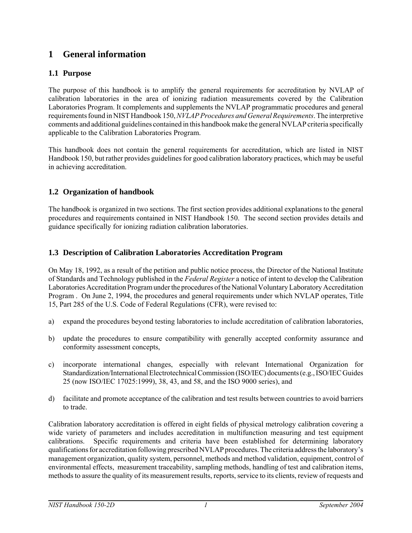# **1 General information**

## **1.1 Purpose**

The purpose of this handbook is to amplify the general requirements for accreditation by NVLAP of calibration laboratories in the area of ionizing radiation measurements covered by the Calibration Laboratories Program. It complements and supplements the NVLAP programmatic procedures and general requirements found in NIST Handbook 150, *NVLAP Procedures and General Requirements*. The interpretive comments and additional guidelines contained in this handbook make the general NVLAP criteria specifically applicable to the Calibration Laboratories Program.

This handbook does not contain the general requirements for accreditation, which are listed in NIST Handbook 150, but rather provides guidelines for good calibration laboratory practices, which may be useful in achieving accreditation.

## **1.2 Organization of handbook**

The handbook is organized in two sections. The first section provides additional explanations to the general procedures and requirements contained in NIST Handbook 150. The second section provides details and guidance specifically for ionizing radiation calibration laboratories.

## **1.3 Description of Calibration Laboratories Accreditation Program**

On May 18, 1992, as a result of the petition and public notice process, the Director of the National Institute of Standards and Technology published in the *Federal Register* a notice of intent to develop the Calibration Laboratories Accreditation Program under the procedures of the National Voluntary Laboratory Accreditation Program . On June 2, 1994, the procedures and general requirements under which NVLAP operates, Title 15, Part 285 of the U.S. Code of Federal Regulations (CFR), were revised to:

- a) expand the procedures beyond testing laboratories to include accreditation of calibration laboratories,
- b) update the procedures to ensure compatibility with generally accepted conformity assurance and conformity assessment concepts,
- c) incorporate international changes, especially with relevant International Organization for Standardization/International Electrotechnical Commission (ISO/IEC) documents (e.g., ISO/IEC Guides 25 (now ISO/IEC 17025:1999), 38, 43, and 58, and the ISO 9000 series), and
- d) facilitate and promote acceptance of the calibration and test results between countries to avoid barriers to trade.

Calibration laboratory accreditation is offered in eight fields of physical metrology calibration covering a wide variety of parameters and includes accreditation in multifunction measuring and test equipment calibrations. Specific requirements and criteria have been established for determining laboratory qualifications for accreditation following prescribed NVLAP procedures. The criteria address the laboratory's management organization, quality system, personnel, methods and method validation, equipment, control of environmental effects, measurement traceability, sampling methods, handling of test and calibration items, methods to assure the quality of its measurement results, reports, service to its clients, review of requests and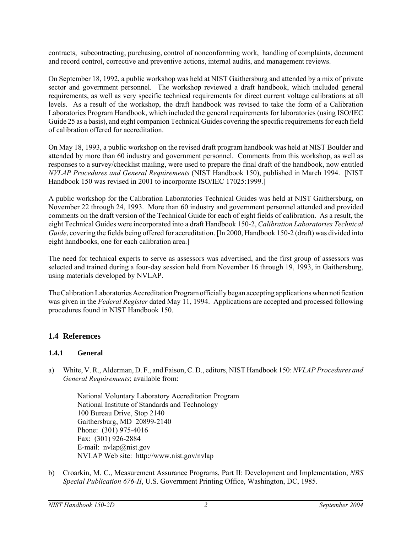contracts, subcontracting, purchasing, control of nonconforming work, handling of complaints, document and record control, corrective and preventive actions, internal audits, and management reviews.

On September 18, 1992, a public workshop was held at NIST Gaithersburg and attended by a mix of private sector and government personnel. The workshop reviewed a draft handbook, which included general requirements, as well as very specific technical requirements for direct current voltage calibrations at all levels. As a result of the workshop, the draft handbook was revised to take the form of a Calibration Laboratories Program Handbook, which included the general requirements for laboratories (using ISO/IEC Guide 25 as a basis), and eight companion Technical Guides covering the specific requirements for each field of calibration offered for accreditation.

On May 18, 1993, a public workshop on the revised draft program handbook was held at NIST Boulder and attended by more than 60 industry and government personnel. Comments from this workshop, as well as responses to a survey/checklist mailing, were used to prepare the final draft of the handbook, now entitled *NVLAP Procedures and General Requirements* (NIST Handbook 150), published in March 1994. [NIST Handbook 150 was revised in 2001 to incorporate ISO/IEC 17025:1999.]

A public workshop for the Calibration Laboratories Technical Guides was held at NIST Gaithersburg, on November 22 through 24, 1993. More than 60 industry and government personnel attended and provided comments on the draft version of the Technical Guide for each of eight fields of calibration. As a result, the eight Technical Guides were incorporated into a draft Handbook 150-2, *Calibration Laboratories Technical Guide*, covering the fields being offered for accreditation. [In 2000, Handbook 150-2 (draft) was divided into eight handbooks, one for each calibration area.]

The need for technical experts to serve as assessors was advertised, and the first group of assessors was selected and trained during a four-day session held from November 16 through 19, 1993, in Gaithersburg, using materials developed by NVLAP.

The Calibration Laboratories Accreditation Program officially began accepting applications when notification was given in the *Federal Register* dated May 11, 1994. Applications are accepted and processed following procedures found in NIST Handbook 150.

## **1.4 References**

## **1.4.1 General**

a) White, V. R., Alderman, D. F., and Faison, C. D., editors, NIST Handbook 150: *NVLAP Procedures and General Requirements*; available from:

National Voluntary Laboratory Accreditation Program National Institute of Standards and Technology 100 Bureau Drive, Stop 2140 Gaithersburg, MD 20899-2140 Phone: (301) 975-4016 Fax: (301) 926-2884 E-mail: nvlap@nist.gov NVLAP Web site: http://www.nist.gov/nvlap

b) Croarkin, M. C., Measurement Assurance Programs, Part II: Development and Implementation, *NBS Special Publication 676-II*, U.S. Government Printing Office, Washington, DC, 1985.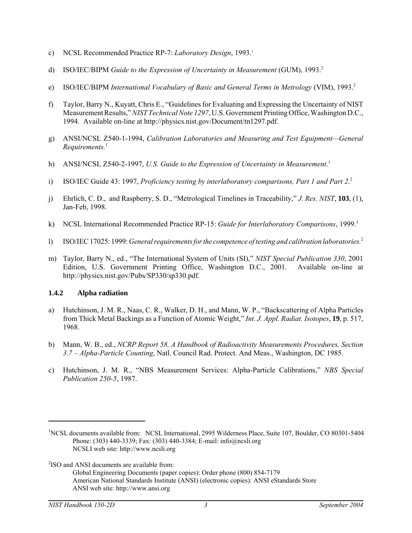- c) NCSL Recommended Practice RP-7: *Laboratory Design*, 1993.1
- d) ISO/IEC/BIPM *Guide to the Expression of Uncertainty in Measurement* (GUM), 1993.<sup>2</sup>
- e) ISO/IEC/BIPM *International Vocabulary of Basic and General Terms in Metrology* (VIM), 1993.<sup>2</sup>
- f) Taylor, Barry N., Kuyatt, Chris E., "Guidelines for Evaluating and Expressing the Uncertainty of NIST Measurement Results," *NIST Technical Note 1297*, U.S. Government Printing Office, Washington D.C., 1994. Available on-line at http://physics.nist.gov/Document/tn1297.pdf.
- g) ANSI/NCSL Z540-1-1994, *Calibration Laboratories and Measuring and Test Equipment—General Requirements.*<sup>1</sup>
- h) ANSI/NCSL Z540-2-1997, *U.S. Guide to the Expression of Uncertainty in Measurement.*<sup>1</sup>
- i) ISO/IEC Guide 43: 1997, *Proficiency testing by interlaboratory comparisons, Part 1 and Part 2*. 2
- j) Ehrlich, C. D., and Raspberry, S. D., "Metrological Timelines in Traceability," *J. Res. NIST*, **103**, (1), Jan-Feb, 1998.
- k) NCSL International Recommended Practice RP-15: *Guide for Interlaboratory Comparisons*, 1999.<sup>1</sup>
- l) ISO/IEC 17025: 1999: *General requirements for the competence of testing and calibration laboratories.*<sup>2</sup>
- m) Taylor, Barry N., ed., "The International System of Units (SI)," *NIST Special Publication 330*, 2001 Edition, U.S. Government Printing Office, Washington D.C., 2001. Available on-line at http://physics.nist.gov/Pubs/SP330/sp330.pdf.

#### **1.4.2 Alpha radiation**

- a) Hutchinson, J. M. R., Naas, C. R., Walker, D. H., and Mann, W. P., "Backscattering of Alpha Particles from Thick Metal Backings as a Function of Atomic Weight," *Int. J. Appl. Radiat. Isotopes*, **19**, p. 517, 1968.
- b) Mann, W. B., ed., *NCRP Report 58, A Handbook of Radioactivity Measurements Procedures, Section 3.7 – Alpha-Particle Counting*, Natl. Council Rad. Protect. And Meas., Washington, DC 1985.
- c) Hutchinson, J. M. R., "NBS Measurement Services: Alpha-Particle Calibrations," *NBS Special Publication 250-5*, 1987.

Global Engineering Documents (paper copies): Order phone (800) 854-7179 American National Standards Institute (ANSI) (electronic copies): ANSI eStandards Store ANSI web site: http://www.ansi.org

<sup>&</sup>lt;sup>1</sup>NCSL documents available from: NCSL International, 2995 Wilderness Place, Suite 107, Boulder, CO 80301-5404 Phone: (303) 440-3339; Fax: (303) 440-3384; E-mail: info@ncsli.org NCSLI web site: http://www.ncsli.org

<sup>&</sup>lt;sup>2</sup>ISO and ANSI documents are available from: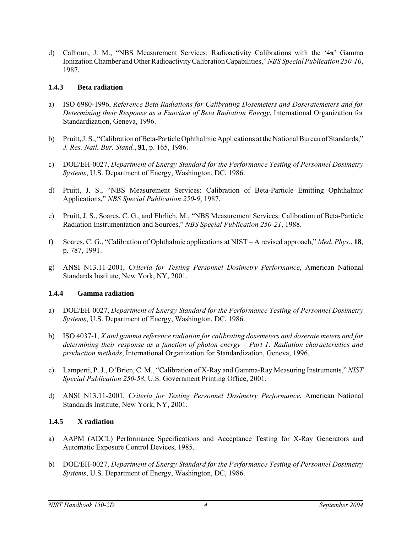d) Calhoun, J. M., "NBS Measurement Services: Radioactivity Calibrations with the '4π' Gamma Ionization Chamber and Other Radioactivity Calibration Capabilities," *NBS Special Publication 250-10*, 1987.

#### **1.4.3 Beta radiation**

- a) ISO 6980-1996, *Reference Beta Radiations for Calibrating Dosemeters and Doseratemeters and for Determining their Response as a Function of Beta Radiation Energy*, International Organization for Standardization, Geneva, 1996.
- b) Pruitt, J. S., "Calibration of Beta-Particle Ophthalmic Applications at the National Bureau of Standards," *J. Res. Natl. Bur. Stand.*, **91**, p. 165, 1986.
- c) DOE/EH-0027, *Department of Energy Standard for the Performance Testing of Personnel Dosimetry Systems*, U.S. Department of Energy, Washington, DC, 1986.
- d) Pruitt, J. S., "NBS Measurement Services: Calibration of Beta-Particle Emitting Ophthalmic Applications," *NBS Special Publication 250-9*, 1987.
- e) Pruitt, J. S., Soares, C. G., and Ehrlich, M., "NBS Measurement Services: Calibration of Beta-Particle Radiation Instrumentation and Sources," *NBS Special Publication 250-21*, 1988.
- f) Soares, C. G., "Calibration of Ophthalmic applications at NIST A revised approach," *Med. Phys*., **18**, p. 787, 1991.
- g) ANSI N13.11-2001, *Criteria for Testing Personnel Dosimetry Performance*, American National Standards Institute, New York, NY, 2001.

#### **1.4.4 Gamma radiation**

- a) DOE/EH-0027, *Department of Energy Standard for the Performance Testing of Personnel Dosimetry Systems*, U.S. Department of Energy, Washington, DC, 1986.
- b) ISO 4037-1, *X and gamma reference radiation for calibrating dosemeters and doserate meters and for determining their response as a function of photon energy – Part 1: Radiation characteristics and production methods*, International Organization for Standardization, Geneva, 1996.
- c) Lamperti, P. J., O'Brien, C. M., "Calibration of X-Ray and Gamma-Ray Measuring Instruments," *NIST Special Publication 250-58*, U.S. Government Printing Office, 2001.
- d) ANSI N13.11-2001, *Criteria for Testing Personnel Dosimetry Performance*, American National Standards Institute, New York, NY, 2001.

#### **1.4.5 X radiation**

- a) AAPM (ADCL) Performance Specifications and Acceptance Testing for X-Ray Generators and Automatic Exposure Control Devices, 1985.
- b) DOE/EH-0027, *Department of Energy Standard for the Performance Testing of Personnel Dosimetry Systems*, U.S. Department of Energy, Washington, DC, 1986.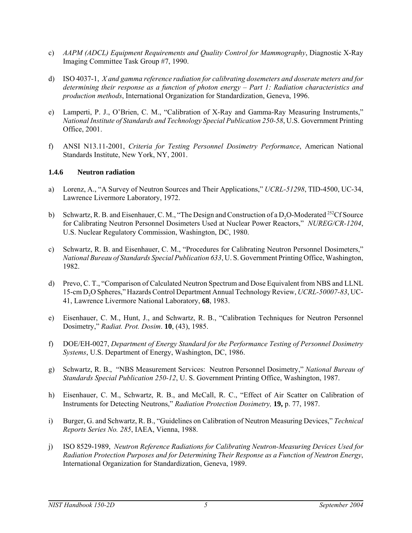- c) *AAPM (ADCL) Equipment Requirements and Quality Control for Mammography*, Diagnostic X-Ray Imaging Committee Task Group #7, 1990.
- d) ISO 4037-1, *X and gamma reference radiation for calibrating dosemeters and doserate meters and for determining their response as a function of photon energy – Part 1: Radiation characteristics and production methods*, International Organization for Standardization, Geneva, 1996.
- e) Lamperti, P. J., O'Brien, C. M., "Calibration of X-Ray and Gamma-Ray Measuring Instruments," *National Institute of Standards and Technology Special Publication 250-58*, U.S. Government Printing Office, 2001.
- f) ANSI N13.11-2001, *Criteria for Testing Personnel Dosimetry Performance*, American National Standards Institute, New York, NY, 2001.

#### **1.4.6 Neutron radiation**

- a) Lorenz, A., "A Survey of Neutron Sources and Their Applications," *UCRL-51298*, TID-4500, UC-34, Lawrence Livermore Laboratory, 1972.
- b) Schwartz, R. B. and Eisenhauer, C. M., "The Design and Construction of a D<sub>2</sub>O-Moderated <sup>252</sup>Cf Source for Calibrating Neutron Personnel Dosimeters Used at Nuclear Power Reactors," *NUREG/CR-1204*, U.S. Nuclear Regulatory Commission, Washington, DC, 1980.
- c) Schwartz, R. B. and Eisenhauer, C. M., "Procedures for Calibrating Neutron Personnel Dosimeters," *National Bureau of Standards Special Publication 633*, U. S. Government Printing Office, Washington, 1982.
- d) Prevo, C. T., "Comparison of Calculated Neutron Spectrum and Dose Equivalent from NBS and LLNL 15-cm D2O Spheres," Hazards Control Department Annual Technology Review, *UCRL-50007-83*, UC-41, Lawrence Livermore National Laboratory, **68**, 1983.
- e) Eisenhauer, C. M., Hunt, J., and Schwartz, R. B., "Calibration Techniques for Neutron Personnel Dosimetry," *Radiat. Prot. Dosim*. **10**, (43), 1985.
- f) DOE/EH-0027, *Department of Energy Standard for the Performance Testing of Personnel Dosimetry Systems*, U.S. Department of Energy, Washington, DC, 1986.
- g) Schwartz, R. B., "NBS Measurement Services: Neutron Personnel Dosimetry," *National Bureau of Standards Special Publication 250-12*, U. S. Government Printing Office, Washington, 1987.
- h) Eisenhauer, C. M., Schwartz, R. B., and McCall, R. C., "Effect of Air Scatter on Calibration of Instruments for Detecting Neutrons," *Radiation Protection Dosimetry,* **19,** p. 77, 1987.
- i) Burger, G. and Schwartz, R. B., "Guidelines on Calibration of Neutron Measuring Devices," *Technical Reports Series No. 285*, IAEA, Vienna, 1988.
- j) ISO 8529-1989, *Neutron Reference Radiations for Calibrating Neutron-Measuring Devices Used for Radiation Protection Purposes and for Determining Their Response as a Function of Neutron Energy*, International Organization for Standardization, Geneva, 1989.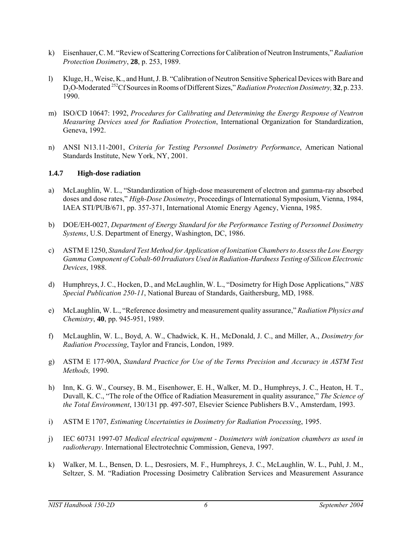- k) Eisenhauer, C. M. "Review of Scattering Corrections for Calibration of Neutron Instruments," *Radiation Protection Dosimetry*, **28**, p. 253, 1989.
- l) Kluge, H., Weise, K., and Hunt, J. B. "Calibration of Neutron Sensitive Spherical Devices with Bare and D2O-Moderated 252Cf Sources in Rooms of Different Sizes," *Radiation Protection Dosimetry,* **32**, p. 233. 1990.
- m) ISO/CD 10647: 1992, *Procedures for Calibrating and Determining the Energy Response of Neutron Measuring Devices used for Radiation Protection*, International Organization for Standardization, Geneva, 1992.
- n) ANSI N13.11-2001, *Criteria for Testing Personnel Dosimetry Performance*, American National Standards Institute, New York, NY, 2001.

#### **1.4.7 High-dose radiation**

- a) McLaughlin, W. L., "Standardization of high-dose measurement of electron and gamma-ray absorbed doses and dose rates," *High-Dose Dosimetry*, Proceedings of International Symposium, Vienna, 1984, IAEA STI/PUB/671, pp. 357-371, International Atomic Energy Agency, Vienna, 1985.
- b) DOE/EH-0027, *Department of Energy Standard for the Performance Testing of Personnel Dosimetry Systems*, U.S. Department of Energy, Washington, DC, 1986.
- c) ASTM E 1250, *Standard Test Method for Application of Ionization Chambers to Assess the Low Energy Gamma Component of Cobalt-60 Irradiators Used in Radiation-Hardness Testing of Silicon Electronic Devices*, 1988.
- d) Humphreys, J. C., Hocken, D., and McLaughlin, W. L., "Dosimetry for High Dose Applications," *NBS Special Publication 250-11*, National Bureau of Standards, Gaithersburg, MD, 1988.
- e) McLaughlin, W. L., "Reference dosimetry and measurement quality assurance," *Radiation Physics and Chemistry*, **40**, pp. 945-951, 1989.
- f) McLaughlin, W. L., Boyd, A. W., Chadwick, K. H., McDonald, J. C., and Miller, A., *Dosimetry for Radiation Processing*, Taylor and Francis, London, 1989.
- g) ASTM E 177-90A, *Standard Practice for Use of the Terms Precision and Accuracy in ASTM Test Methods,* 1990.
- h) Inn, K. G. W., Coursey, B. M., Eisenhower, E. H., Walker, M. D., Humphreys, J. C., Heaton, H. T., Duvall, K. C., "The role of the Office of Radiation Measurement in quality assurance," *The Science of the Total Environment*, 130/131 pp. 497-507, Elsevier Science Publishers B.V., Amsterdam, 1993.
- i) ASTM E 1707, *Estimating Uncertainties in Dosimetry for Radiation Processing*, 1995.
- j) IEC 60731 1997-07 *Medical electrical equipment Dosimeters with ionization chambers as used in radiotherapy*. International Electrotechnic Commission, Geneva, 1997.
- k) Walker, M. L., Bensen, D. L., Desrosiers, M. F., Humphreys, J. C., McLaughlin, W. L., Puhl, J. M., Seltzer, S. M. "Radiation Processing Dosimetry Calibration Services and Measurement Assurance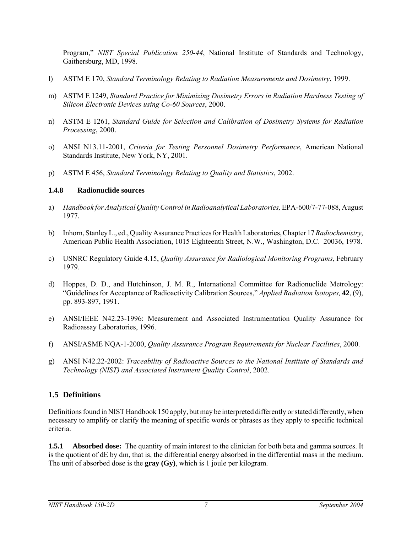Program," *NIST Special Publication 250-44*, National Institute of Standards and Technology, Gaithersburg, MD, 1998.

- l) ASTM E 170, *Standard Terminology Relating to Radiation Measurements and Dosimetry*, 1999.
- m) ASTM E 1249, *Standard Practice for Minimizing Dosimetry Errors in Radiation Hardness Testing of Silicon Electronic Devices using Co-60 Sources*, 2000.
- n) ASTM E 1261, *Standard Guide for Selection and Calibration of Dosimetry Systems for Radiation Processing*, 2000.
- o) ANSI N13.11-2001, *Criteria for Testing Personnel Dosimetry Performance*, American National Standards Institute, New York, NY, 2001.
- p) ASTM E 456, *Standard Terminology Relating to Quality and Statistics*, 2002.

#### **1.4.8 Radionuclide sources**

- a) *Handbook for Analytical Quality Control in Radioanalytical Laboratories, EPA-600/7-77-088, August* 1977.
- b) Inhorn, Stanley L., ed., Quality Assurance Practices for Health Laboratories, Chapter 17 *Radiochemistry*, American Public Health Association, 1015 Eighteenth Street, N.W., Washington, D.C. 20036, 1978.
- c) USNRC Regulatory Guide 4.15, *Quality Assurance for Radiological Monitoring Programs*, February 1979.
- d) Hoppes, D. D., and Hutchinson, J. M. R., International Committee for Radionuclide Metrology: "Guidelines for Acceptance of Radioactivity Calibration Sources," *Applied Radiation Isotopes,* **42**, (9), pp. 893-897, 1991.
- e) ANSI/IEEE N42.23-1996: Measurement and Associated Instrumentation Quality Assurance for Radioassay Laboratories, 1996.
- f) ANSI/ASME NQA-1-2000, *Quality Assurance Program Requirements for Nuclear Facilities*, 2000.
- g) ANSI N42.22-2002: *Traceability of Radioactive Sources to the National Institute of Standards and Technology (NIST) and Associated Instrument Quality Control*, 2002.

## **1.5 Definitions**

Definitions found in NIST Handbook 150 apply, but may be interpreted differently or stated differently, when necessary to amplify or clarify the meaning of specific words or phrases as they apply to specific technical criteria.

**1.5.1 Absorbed dose:** The quantity of main interest to the clinician for both beta and gamma sources. It is the quotient of dE by dm, that is, the differential energy absorbed in the differential mass in the medium. The unit of absorbed dose is the **gray (Gy)**, which is 1 joule per kilogram.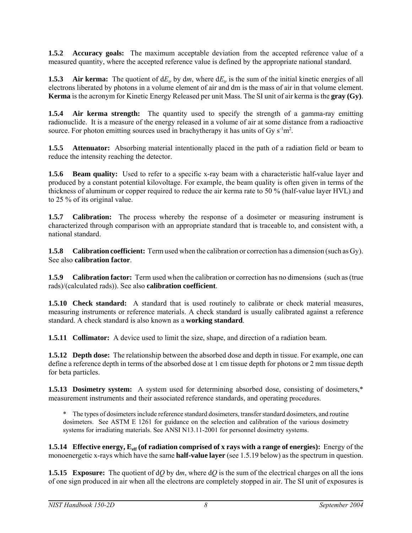**1.5.2 Accuracy goals:** The maximum acceptable deviation from the accepted reference value of a measured quantity, where the accepted reference value is defined by the appropriate national standard.

**1.5.3** Air kerma: The quotient of  $dE_r$  by dm, where  $dE_r$  is the sum of the initial kinetic energies of all electrons liberated by photons in a volume element of air and dm is the mass of air in that volume element. **Kerma** is the acronym for Kinetic Energy Released per unit Mass. The SI unit of air kerma is the **gray (Gy)**.

**1.5.4 Air kerma strength:** The quantity used to specify the strength of a gamma-ray emitting radionuclide. It is a measure of the energy released in a volume of air at some distance from a radioactive source. For photon emitting sources used in brachytherapy it has units of Gy  $s<sup>-1</sup>m<sup>2</sup>$ .

**1.5.5 Attenuator:** Absorbing material intentionally placed in the path of a radiation field or beam to reduce the intensity reaching the detector.

**1.5.6 Beam quality:** Used to refer to a specific x-ray beam with a characteristic half-value layer and produced by a constant potential kilovoltage. For example, the beam quality is often given in terms of the thickness of aluminum or copper required to reduce the air kerma rate to 50 % (half-value layer HVL) and to 25 % of its original value.

**1.5.7 Calibration:** The process whereby the response of a dosimeter or measuring instrument is characterized through comparison with an appropriate standard that is traceable to, and consistent with, a national standard.

**1.5.8 Calibration coefficient:** Term used when the calibration or correction has a dimension (such as Gy). See also **calibration factor**.

**1.5.9** Calibration factor: Term used when the calibration or correction has no dimensions (such as (true rads)/(calculated rads)). See also **calibration coefficient**.

**1.5.10 Check standard:** A standard that is used routinely to calibrate or check material measures, measuring instruments or reference materials. A check standard is usually calibrated against a reference standard. A check standard is also known as a **working standard**.

**1.5.11 Collimator:** A device used to limit the size, shape, and direction of a radiation beam.

**1.5.12 Depth dose:** The relationship between the absorbed dose and depth in tissue. For example, one can define a reference depth in terms of the absorbed dose at 1 cm tissue depth for photons or 2 mm tissue depth for beta particles.

**1.5.13 Dosimetry system:** A system used for determining absorbed dose, consisting of dosimeters,\* measurement instruments and their associated reference standards, and operating procedures.

\* The types of dosimeters include reference standard dosimeters, transfer standard dosimeters, and routine dosimeters. See ASTM E 1261 for guidance on the selection and calibration of the various dosimetry systems for irradiating materials. See ANSI N13.11-2001 for personnel dosimetry systems.

**1.5.14 Effective energy, E<sub>eff</sub> (of radiation comprised of x rays with a range of energies):** Energy of the monoenergetic x-rays which have the same **half-value layer** (see 1.5.19 below) as the spectrum in question.

**1.5.15 Exposure:** The quotient of d*Q* by d*m*, where d*Q* is the sum of the electrical charges on all the ions of one sign produced in air when all the electrons are completely stopped in air. The SI unit of exposures is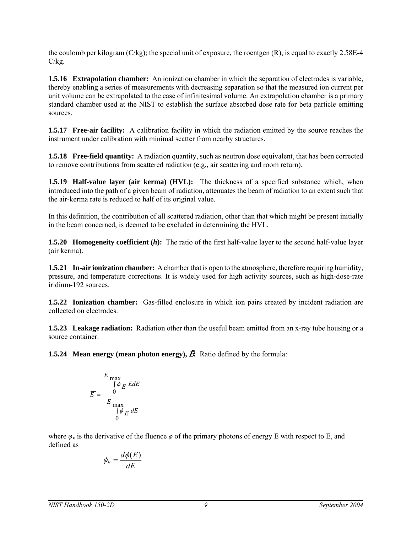the coulomb per kilogram (C/kg); the special unit of exposure, the roentgen (R), is equal to exactly 2.58E-4  $C/kg$ .

**1.5.16 Extrapolation chamber:** An ionization chamber in which the separation of electrodes is variable, thereby enabling a series of measurements with decreasing separation so that the measured ion current per unit volume can be extrapolated to the case of infinitesimal volume. An extrapolation chamber is a primary standard chamber used at the NIST to establish the surface absorbed dose rate for beta particle emitting sources.

**1.5.17 Free-air facility:** A calibration facility in which the radiation emitted by the source reaches the instrument under calibration with minimal scatter from nearby structures.

**1.5.18 Free-field quantity:** A radiation quantity, such as neutron dose equivalent, that has been corrected to remove contributions from scattered radiation (e.g., air scattering and room return).

**1.5.19 Half-value layer (air kerma) (HVL):** The thickness of a specified substance which, when introduced into the path of a given beam of radiation, attenuates the beam of radiation to an extent such that the air-kerma rate is reduced to half of its original value.

In this definition, the contribution of all scattered radiation, other than that which might be present initially in the beam concerned, is deemed to be excluded in determining the HVL.

**1.5.20 Homogeneity coefficient (***h***):** The ratio of the first half-value layer to the second half-value layer (air kerma).

**1.5.21 In-air ionization chamber:** A chamber that is open to the atmosphere, therefore requiring humidity, pressure, and temperature corrections. It is widely used for high activity sources, such as high-dose-rate iridium-192 sources.

**1.5.22 Ionization chamber:** Gas-filled enclosure in which ion pairs created by incident radiation are collected on electrodes.

**1.5.23 Leakage radiation:** Radiation other than the useful beam emitted from an x-ray tube housing or a source container.

**1.5.24 Mean energy (mean photon energy),**  $\vec{E}$ **:** Ratio defined by the formula:

$$
E \max \int \phi_E E dE
$$

$$
E = \frac{0}{\int \phi_E E dE}
$$

$$
\int \phi_E dE
$$

where  $\varphi_F$  is the derivative of the fluence  $\varphi$  of the primary photons of energy E with respect to E, and defined as

$$
\phi_E = \frac{d\phi(E)}{dE}
$$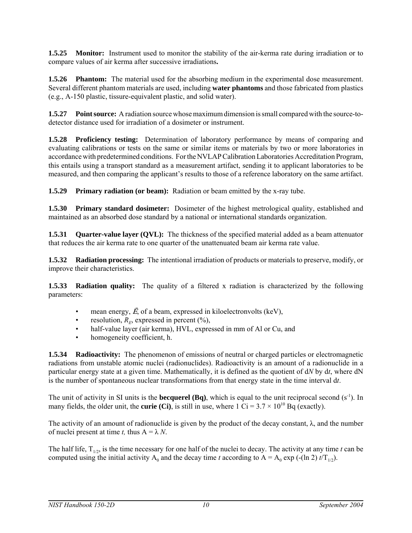**1.5.25 Monitor:** Instrument used to monitor the stability of the air-kerma rate during irradiation or to compare values of air kerma after successive irradiations**.**

**1.5.26 Phantom:** The material used for the absorbing medium in the experimental dose measurement. Several different phantom materials are used, including **water phantoms** and those fabricated from plastics (e.g., A-150 plastic, tissure-equivalent plastic, and solid water).

**1.5.27 Point source:** A radiation source whose maximum dimension is small compared with the source-todetector distance used for irradiation of a dosimeter or instrument.

**1.5.28 Proficiency testing:** Determination of laboratory performance by means of comparing and evaluating calibrations or tests on the same or similar items or materials by two or more laboratories in accordance with predetermined conditions. For the NVLAP Calibration Laboratories Accreditation Program, this entails using a transport standard as a measurement artifact, sending it to applicant laboratories to be measured, and then comparing the applicant's results to those of a reference laboratory on the same artifact.

**1.5.29 Primary radiation (or beam):** Radiation or beam emitted by the x-ray tube.

**1.5.30 Primary standard dosimeter:** Dosimeter of the highest metrological quality, established and maintained as an absorbed dose standard by a national or international standards organization.

**1.5.31 Quarter-value layer (QVL):** The thickness of the specified material added as a beam attenuator that reduces the air kerma rate to one quarter of the unattenuated beam air kerma rate value.

**1.5.32 Radiation processing:** The intentional irradiation of products or materials to preserve, modify, or improve their characteristics.

**1.5.33 Radiation quality:** The quality of a filtered x radiation is characterized by the following parameters:

- mean energy,  $\bar{E}$ , of a beam, expressed in kiloelectronvolts (keV),
- resolution,  $R<sub>E</sub>$ , expressed in percent  $(\%),$
- half-value layer (air kerma), HVL, expressed in mm of Al or Cu, and
- homogeneity coefficient, h.

**1.5.34 Radioactivity:** The phenomenon of emissions of neutral or charged particles or electromagnetic radiations from unstable atomic nuclei (radionuclides). Radioactivity is an amount of a radionuclide in a particular energy state at a given time. Mathematically, it is defined as the quotient of d*N* by d*t*, where dN is the number of spontaneous nuclear transformations from that energy state in the time interval d*t*.

The unit of activity in SI units is the **becquerel (Bq)**, which is equal to the unit reciprocal second  $(s<sup>-1</sup>)$ . In many fields, the older unit, the **curie (Ci)**, is still in use, where  $1 \text{ Ci} = 3.7 \times 10^{10} \text{ Bq}$  (exactly).

The activity of an amount of radionuclide is given by the product of the decay constant,  $\lambda$ , and the number of nuclei present at time *t*, thus  $A = \lambda N$ .

The half life,  $T_{1/2}$ , is the time necessary for one half of the nuclei to decay. The activity at any time *t* can be computed using the initial activity  $A_0$  and the decay time *t* according to  $A = A_0 \exp(-(\ln 2) t/T_{1/2})$ .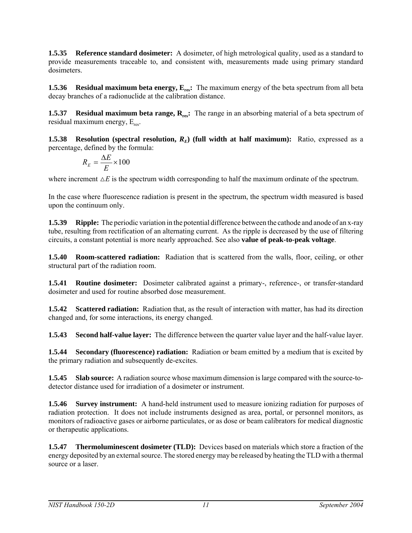**1.5.35 Reference standard dosimeter:** A dosimeter, of high metrological quality, used as a standard to provide measurements traceable to, and consistent with, measurements made using primary standard dosimeters.

**1.5.36 Residual maximum beta energy, E<sub>res</sub>:** The maximum energy of the beta spectrum from all beta decay branches of a radionuclide at the calibration distance.

**1.5.37 Residual maximum beta range, R<sub>res</sub>:** The range in an absorbing material of a beta spectrum of residual maximum energy,  $E_{res}$ .

**1.5.38 Resolution (spectral resolution,**  $R_E$ **) (full width at half maximum):** Ratio, expressed as a percentage, defined by the formula:

$$
R_E = \frac{\Delta E}{E} \times 100
$$

where increment  $\Delta E$  is the spectrum width corresponding to half the maximum ordinate of the spectrum.

In the case where fluorescence radiation is present in the spectrum, the spectrum width measured is based upon the continuum only.

**1.5.39 Ripple:** The periodic variation in the potential difference between the cathode and anode of an x-ray tube, resulting from rectification of an alternating current. As the ripple is decreased by the use of filtering circuits, a constant potential is more nearly approached. See also **value of peak-to-peak voltage**.

**1.5.40 Room-scattered radiation:** Radiation that is scattered from the walls, floor, ceiling, or other structural part of the radiation room.

**1.5.41 Routine dosimeter:** Dosimeter calibrated against a primary-, reference-, or transfer-standard dosimeter and used for routine absorbed dose measurement.

**1.5.42 Scattered radiation:** Radiation that, as the result of interaction with matter, has had its direction changed and, for some interactions, its energy changed.

**1.5.43 Second half-value layer:** The difference between the quarter value layer and the half-value layer.

**1.5.44 Secondary (fluorescence) radiation:** Radiation or beam emitted by a medium that is excited by the primary radiation and subsequently de-excites.

**1.5.45 Slab source:** A radiation source whose maximum dimension is large compared with the source-todetector distance used for irradiation of a dosimeter or instrument.

**1.5.46 Survey instrument:** A hand-held instrument used to measure ionizing radiation for purposes of radiation protection. It does not include instruments designed as area, portal, or personnel monitors, as monitors of radioactive gases or airborne particulates, or as dose or beam calibrators for medical diagnostic or therapeutic applications.

**1.5.47 Thermoluminescent dosimeter (TLD):** Devices based on materials which store a fraction of the energy deposited by an external source. The stored energy may be released by heating the TLD with a thermal source or a laser.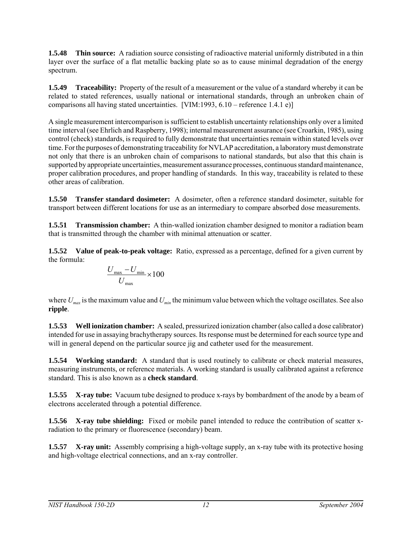**1.5.48 Thin source:** A radiation source consisting of radioactive material uniformly distributed in a thin layer over the surface of a flat metallic backing plate so as to cause minimal degradation of the energy spectrum.

**1.5.49** Traceability: Property of the result of a measurement or the value of a standard whereby it can be related to stated references, usually national or international standards, through an unbroken chain of comparisons all having stated uncertainties. [VIM:1993,  $6.10$  – reference 1.4.1 e)]

A single measurement intercomparison is sufficient to establish uncertainty relationships only over a limited time interval (see Ehrlich and Raspberry, 1998); internal measurement assurance (see Croarkin, 1985), using control (check) standards, is required to fully demonstrate that uncertainties remain within stated levels over time. For the purposes of demonstrating traceability for NVLAP accreditation, a laboratory must demonstrate not only that there is an unbroken chain of comparisons to national standards, but also that this chain is supported by appropriate uncertainties, measurement assurance processes, continuous standard maintenance, proper calibration procedures, and proper handling of standards. In this way, traceability is related to these other areas of calibration.

**1.5.50 Transfer standard dosimeter:** A dosimeter, often a reference standard dosimeter, suitable for transport between different locations for use as an intermediary to compare absorbed dose measurements.

**1.5.51 Transmission chamber:** A thin-walled ionization chamber designed to monitor a radiation beam that is transmitted through the chamber with minimal attenuation or scatter.

**1.5.52 Value of peak-to-peak voltage:** Ratio, expressed as a percentage, defined for a given current by the formula:

$$
\frac{U_{\text{max}} - U_{\text{min}}}{U_{\text{max}}} \times 100
$$

where  $U_{\text{max}}$  is the maximum value and  $U_{\text{min}}$  the minimum value between which the voltage oscillates. See also **ripple**.

**1.5.53 Well ionization chamber:** A sealed, pressurized ionization chamber (also called a dose calibrator) intended for use in assaying brachytherapy sources. Its response must be determined for each source type and will in general depend on the particular source jig and catheter used for the measurement.

**1.5.54 Working standard:** A standard that is used routinely to calibrate or check material measures, measuring instruments, or reference materials. A working standard is usually calibrated against a reference standard. This is also known as a **check standard**.

**1.5.55 X-ray tube:** Vacuum tube designed to produce x-rays by bombardment of the anode by a beam of electrons accelerated through a potential difference.

**1.5.56 X-ray tube shielding:** Fixed or mobile panel intended to reduce the contribution of scatter xradiation to the primary or fluorescence (secondary) beam.

**1.5.57** X-ray unit: Assembly comprising a high-voltage supply, an x-ray tube with its protective hosing and high-voltage electrical connections, and an x-ray controller.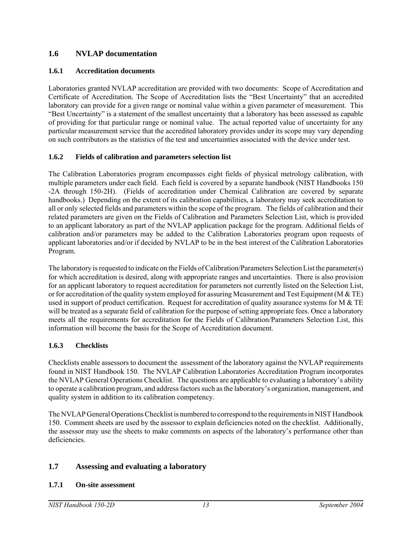## **1.6 NVLAP documentation**

#### **1.6.1 Accreditation documents**

Laboratories granted NVLAP accreditation are provided with two documents: Scope of Accreditation and Certificate of Accreditation. The Scope of Accreditation lists the "Best Uncertainty" that an accredited laboratory can provide for a given range or nominal value within a given parameter of measurement. This "Best Uncertainty" is a statement of the smallest uncertainty that a laboratory has been assessed as capable of providing for that particular range or nominal value. The actual reported value of uncertainty for any particular measurement service that the accredited laboratory provides under its scope may vary depending on such contributors as the statistics of the test and uncertainties associated with the device under test.

#### **1.6.2 Fields of calibration and parameters selection list**

The Calibration Laboratories program encompasses eight fields of physical metrology calibration, with multiple parameters under each field. Each field is covered by a separate handbook (NIST Handbooks 150 -2A through 150-2H). (Fields of accreditation under Chemical Calibration are covered by separate handbooks.) Depending on the extent of its calibration capabilities, a laboratory may seek accreditation to all or only selected fields and parameters within the scope of the program. The fields of calibration and their related parameters are given on the Fields of Calibration and Parameters Selection List, which is provided to an applicant laboratory as part of the NVLAP application package for the program. Additional fields of calibration and/or parameters may be added to the Calibration Laboratories program upon requests of applicant laboratories and/or if decided by NVLAP to be in the best interest of the Calibration Laboratories Program.

The laboratory is requested to indicate on the Fields of Calibration/Parameters Selection List the parameter(s) for which accreditation is desired, along with appropriate ranges and uncertainties. There is also provision for an applicant laboratory to request accreditation for parameters not currently listed on the Selection List, or for accreditation of the quality system employed for assuring Measurement and Test Equipment (M  $\&$  TE) used in support of product certification. Request for accreditation of quality assurance systems for M & TE will be treated as a separate field of calibration for the purpose of setting appropriate fees. Once a laboratory meets all the requirements for accreditation for the Fields of Calibration/Parameters Selection List, this information will become the basis for the Scope of Accreditation document.

## **1.6.3 Checklists**

Checklists enable assessors to document the assessment of the laboratory against the NVLAP requirements found in NIST Handbook 150. The NVLAP Calibration Laboratories Accreditation Program incorporates the NVLAP General Operations Checklist. The questions are applicable to evaluating a laboratory's ability to operate a calibration program, and address factors such as the laboratory's organization, management, and quality system in addition to its calibration competency.

The NVLAP General Operations Checklist is numbered to correspond to the requirements in NIST Handbook 150. Comment sheets are used by the assessor to explain deficiencies noted on the checklist. Additionally, the assessor may use the sheets to make comments on aspects of the laboratory's performance other than deficiencies.

## **1.7 Assessing and evaluating a laboratory**

#### **1.7.1 On-site assessment**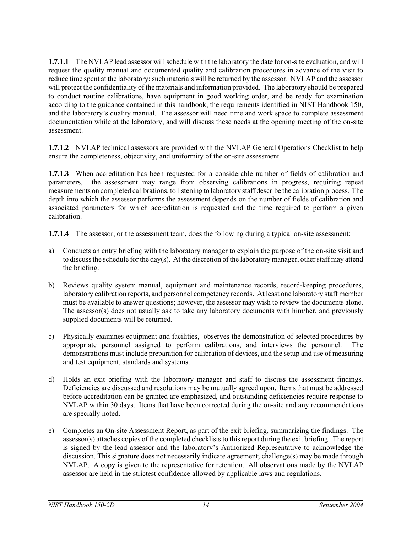**1.7.1.1** The NVLAP lead assessor will schedule with the laboratory the date for on-site evaluation, and will request the quality manual and documented quality and calibration procedures in advance of the visit to reduce time spent at the laboratory; such materials will be returned by the assessor. NVLAP and the assessor will protect the confidentiality of the materials and information provided. The laboratory should be prepared to conduct routine calibrations, have equipment in good working order, and be ready for examination according to the guidance contained in this handbook, the requirements identified in NIST Handbook 150, and the laboratory's quality manual. The assessor will need time and work space to complete assessment documentation while at the laboratory, and will discuss these needs at the opening meeting of the on-site assessment.

**1.7.1.2** NVLAP technical assessors are provided with the NVLAP General Operations Checklist to help ensure the completeness, objectivity, and uniformity of the on-site assessment.

**1.7.1.3** When accreditation has been requested for a considerable number of fields of calibration and parameters, the assessment may range from observing calibrations in progress, requiring repeat measurements on completed calibrations, to listening to laboratory staff describe the calibration process. The depth into which the assessor performs the assessment depends on the number of fields of calibration and associated parameters for which accreditation is requested and the time required to perform a given calibration.

**1.7.1.4** The assessor, or the assessment team, does the following during a typical on-site assessment:

- a) Conducts an entry briefing with the laboratory manager to explain the purpose of the on-site visit and to discuss the schedule for the day(s). At the discretion of the laboratory manager, other staff may attend the briefing.
- b) Reviews quality system manual, equipment and maintenance records, record-keeping procedures, laboratory calibration reports, and personnel competency records. At least one laboratory staff member must be available to answer questions; however, the assessor may wish to review the documents alone. The assessor(s) does not usually ask to take any laboratory documents with him/her, and previously supplied documents will be returned.
- c) Physically examines equipment and facilities, observes the demonstration of selected procedures by appropriate personnel assigned to perform calibrations, and interviews the personnel. The demonstrations must include preparation for calibration of devices, and the setup and use of measuring and test equipment, standards and systems.
- d) Holds an exit briefing with the laboratory manager and staff to discuss the assessment findings. Deficiencies are discussed and resolutions may be mutually agreed upon. Items that must be addressed before accreditation can be granted are emphasized, and outstanding deficiencies require response to NVLAP within 30 days. Items that have been corrected during the on-site and any recommendations are specially noted.
- e) Completes an On-site Assessment Report, as part of the exit briefing, summarizing the findings. The assessor(s) attaches copies of the completed checklists to this report during the exit briefing. The report is signed by the lead assessor and the laboratory's Authorized Representative to acknowledge the discussion. This signature does not necessarily indicate agreement; challenge(s) may be made through NVLAP. A copy is given to the representative for retention. All observations made by the NVLAP assessor are held in the strictest confidence allowed by applicable laws and regulations.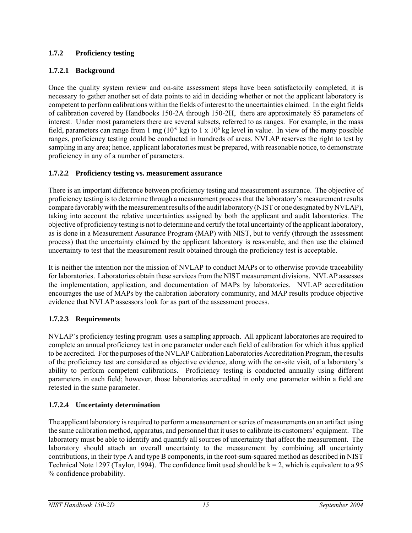## **1.7.2 Proficiency testing**

## **1.7.2.1 Background**

Once the quality system review and on-site assessment steps have been satisfactorily completed, it is necessary to gather another set of data points to aid in deciding whether or not the applicant laboratory is competent to perform calibrations within the fields of interest to the uncertainties claimed. In the eight fields of calibration covered by Handbooks 150-2A through 150-2H, there are approximately 85 parameters of interest. Under most parameters there are several subsets, referred to as ranges. For example, in the mass field, parameters can range from 1 mg ( $10^{-6}$  kg) to 1 x  $10^{6}$  kg level in value. In view of the many possible ranges, proficiency testing could be conducted in hundreds of areas. NVLAP reserves the right to test by sampling in any area; hence, applicant laboratories must be prepared, with reasonable notice, to demonstrate proficiency in any of a number of parameters.

## **1.7.2.2 Proficiency testing vs. measurement assurance**

There is an important difference between proficiency testing and measurement assurance. The objective of proficiency testing is to determine through a measurement process that the laboratory's measurement results compare favorably with the measurement results of the audit laboratory (NIST or one designated by NVLAP), taking into account the relative uncertainties assigned by both the applicant and audit laboratories. The objective of proficiency testing is not to determine and certify the total uncertainty of the applicant laboratory, as is done in a Measurement Assurance Program (MAP) with NIST, but to verify (through the assessment process) that the uncertainty claimed by the applicant laboratory is reasonable, and then use the claimed uncertainty to test that the measurement result obtained through the proficiency test is acceptable.

It is neither the intention nor the mission of NVLAP to conduct MAPs or to otherwise provide traceability for laboratories. Laboratories obtain these services from the NIST measurement divisions. NVLAP assesses the implementation, application, and documentation of MAPs by laboratories. NVLAP accreditation encourages the use of MAPs by the calibration laboratory community, and MAP results produce objective evidence that NVLAP assessors look for as part of the assessment process.

## **1.7.2.3 Requirements**

NVLAP's proficiency testing program uses a sampling approach. All applicant laboratories are required to complete an annual proficiency test in one parameter under each field of calibration for which it has applied to be accredited. For the purposes of the NVLAP Calibration Laboratories Accreditation Program, the results of the proficiency test are considered as objective evidence, along with the on-site visit, of a laboratory's ability to perform competent calibrations. Proficiency testing is conducted annually using different parameters in each field; however, those laboratories accredited in only one parameter within a field are retested in the same parameter.

## **1.7.2.4 Uncertainty determination**

The applicant laboratory is required to perform a measurement or series of measurements on an artifact using the same calibration method, apparatus, and personnel that it uses to calibrate its customers' equipment. The laboratory must be able to identify and quantify all sources of uncertainty that affect the measurement. The laboratory should attach an overall uncertainty to the measurement by combining all uncertainty contributions, in their type A and type B components, in the root-sum-squared method as described in NIST Technical Note 1297 (Taylor, 1994). The confidence limit used should be  $k = 2$ , which is equivalent to a 95 % confidence probability.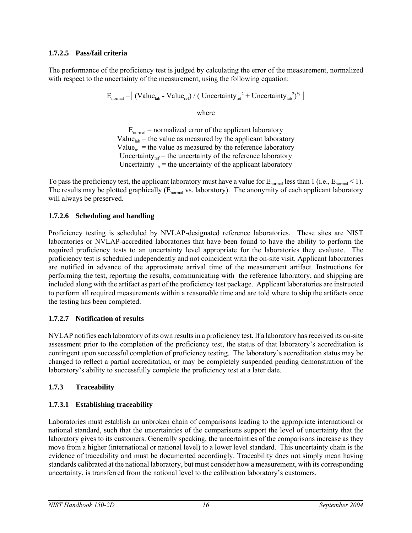## **1.7.2.5 Pass/fail criteria**

The performance of the proficiency test is judged by calculating the error of the measurement, normalized with respect to the uncertainty of the measurement, using the following equation:

 $E_{\text{normal}} = | \left( \text{Value}_{\text{lab}} - \text{Value}_{\text{ref}} \right) / \left( \left( \text{Uncertainty}_{\text{ref}} \right)^2 + \text{Uncertainty}_{\text{lab}}^2 \right)^{1/2} |$ 

where

 $E_{normal}$  = normalized error of the applicant laboratory Value $_{lab}$  = the value as measured by the applicant laboratory Value<sub>ref</sub> = the value as measured by the reference laboratory Uncertainty<sub>ref</sub> = the uncertainty of the reference laboratory Uncertainty<sub>lab</sub> = the uncertainty of the applicant laboratory

To pass the proficiency test, the applicant laboratory must have a value for  $E_{normal}$  less than 1 (i.e.,  $E_{normal}$  < 1). The results may be plotted graphically  $(E_{\text{normal}}$  vs. laboratory). The anonymity of each applicant laboratory will always be preserved.

## **1.7.2.6 Scheduling and handling**

Proficiency testing is scheduled by NVLAP-designated reference laboratories. These sites are NIST laboratories or NVLAP-accredited laboratories that have been found to have the ability to perform the required proficiency tests to an uncertainty level appropriate for the laboratories they evaluate. The proficiency test is scheduled independently and not coincident with the on-site visit. Applicant laboratories are notified in advance of the approximate arrival time of the measurement artifact. Instructions for performing the test, reporting the results, communicating with the reference laboratory, and shipping are included along with the artifact as part of the proficiency test package. Applicant laboratories are instructed to perform all required measurements within a reasonable time and are told where to ship the artifacts once the testing has been completed.

## **1.7.2.7 Notification of results**

NVLAP notifies each laboratory of its own results in a proficiency test. If a laboratory has received its on-site assessment prior to the completion of the proficiency test, the status of that laboratory's accreditation is contingent upon successful completion of proficiency testing. The laboratory's accreditation status may be changed to reflect a partial accreditation, or may be completely suspended pending demonstration of the laboratory's ability to successfully complete the proficiency test at a later date.

## **1.7.3 Traceability**

# **1.7.3.1 Establishing traceability**

Laboratories must establish an unbroken chain of comparisons leading to the appropriate international or national standard, such that the uncertainties of the comparisons support the level of uncertainty that the laboratory gives to its customers. Generally speaking, the uncertainties of the comparisons increase as they move from a higher (international or national level) to a lower level standard. This uncertainty chain is the evidence of traceability and must be documented accordingly. Traceability does not simply mean having standards calibrated at the national laboratory, but must consider how a measurement, with its corresponding uncertainty, is transferred from the national level to the calibration laboratory's customers.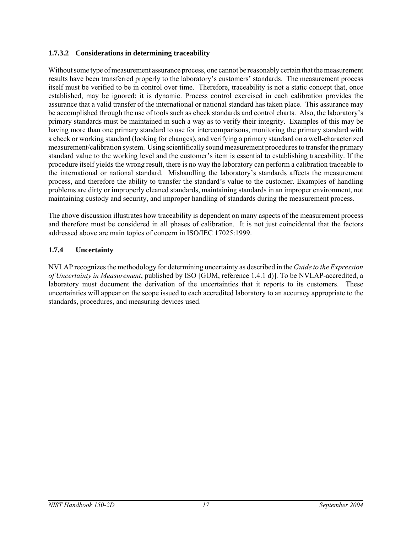#### **1.7.3.2 Considerations in determining traceability**

Without some type of measurement assurance process, one cannot be reasonably certain that the measurement results have been transferred properly to the laboratory's customers' standards. The measurement process itself must be verified to be in control over time. Therefore, traceability is not a static concept that, once established, may be ignored; it is dynamic. Process control exercised in each calibration provides the assurance that a valid transfer of the international or national standard has taken place. This assurance may be accomplished through the use of tools such as check standards and control charts. Also, the laboratory's primary standards must be maintained in such a way as to verify their integrity. Examples of this may be having more than one primary standard to use for intercomparisons, monitoring the primary standard with a check or working standard (looking for changes), and verifying a primary standard on a well-characterized measurement/calibration system. Using scientifically sound measurement procedures to transfer the primary standard value to the working level and the customer's item is essential to establishing traceability. If the procedure itself yields the wrong result, there is no way the laboratory can perform a calibration traceable to the international or national standard. Mishandling the laboratory's standards affects the measurement process, and therefore the ability to transfer the standard's value to the customer. Examples of handling problems are dirty or improperly cleaned standards, maintaining standards in an improper environment, not maintaining custody and security, and improper handling of standards during the measurement process.

The above discussion illustrates how traceability is dependent on many aspects of the measurement process and therefore must be considered in all phases of calibration. It is not just coincidental that the factors addressed above are main topics of concern in ISO/IEC 17025:1999.

#### **1.7.4 Uncertainty**

NVLAP recognizes the methodology for determining uncertainty as described in the *Guide to the Expression of Uncertainty in Measurement*, published by ISO [GUM, reference 1.4.1 d)]. To be NVLAP-accredited, a laboratory must document the derivation of the uncertainties that it reports to its customers. These uncertainties will appear on the scope issued to each accredited laboratory to an accuracy appropriate to the standards, procedures, and measuring devices used.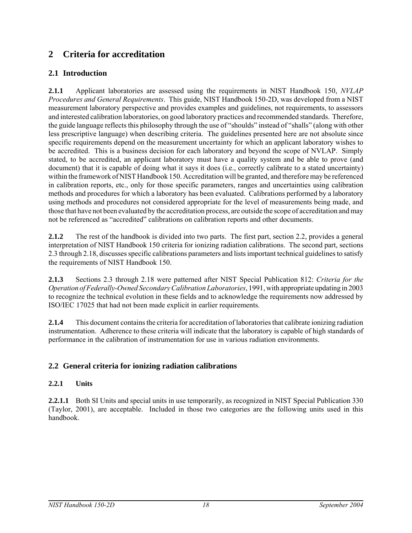# **2 Criteria for accreditation**

# **2.1 Introduction**

**2.1.1** Applicant laboratories are assessed using the requirements in NIST Handbook 150, *NVLAP Procedures and General Requirements*. This guide, NIST Handbook 150-2D, was developed from a NIST measurement laboratory perspective and provides examples and guidelines, not requirements, to assessors and interested calibration laboratories, on good laboratory practices and recommended standards. Therefore, the guide language reflects this philosophy through the use of "shoulds" instead of "shalls" (along with other less prescriptive language) when describing criteria. The guidelines presented here are not absolute since specific requirements depend on the measurement uncertainty for which an applicant laboratory wishes to be accredited. This is a business decision for each laboratory and beyond the scope of NVLAP. Simply stated, to be accredited, an applicant laboratory must have a quality system and be able to prove (and document) that it is capable of doing what it says it does (i.e., correctly calibrate to a stated uncertainty) within the framework of NIST Handbook 150. Accreditation will be granted, and therefore may be referenced in calibration reports, etc., only for those specific parameters, ranges and uncertainties using calibration methods and procedures for which a laboratory has been evaluated. Calibrations performed by a laboratory using methods and procedures not considered appropriate for the level of measurements being made, and those that have not been evaluated by the accreditation process, are outside the scope of accreditation and may not be referenced as "accredited" calibrations on calibration reports and other documents.

**2.1.2** The rest of the handbook is divided into two parts. The first part, section 2.2, provides a general interpretation of NIST Handbook 150 criteria for ionizing radiation calibrations. The second part, sections 2.3 through 2.18, discusses specific calibrations parameters and lists important technical guidelines to satisfy the requirements of NIST Handbook 150.

**2.1.3** Sections 2.3 through 2.18 were patterned after NIST Special Publication 812: *Criteria for the Operation of Federally-Owned Secondary Calibration Laboratories*, 1991, with appropriate updating in 2003 to recognize the technical evolution in these fields and to acknowledge the requirements now addressed by ISO/IEC 17025 that had not been made explicit in earlier requirements.

**2.1.4** This document contains the criteria for accreditation of laboratories that calibrate ionizing radiation instrumentation. Adherence to these criteria will indicate that the laboratory is capable of high standards of performance in the calibration of instrumentation for use in various radiation environments.

## **2.2 General criteria for ionizing radiation calibrations**

## **2.2.1 Units**

**2.2.1.1** Both SI Units and special units in use temporarily, as recognized in NIST Special Publication 330 (Taylor, 2001), are acceptable. Included in those two categories are the following units used in this handbook.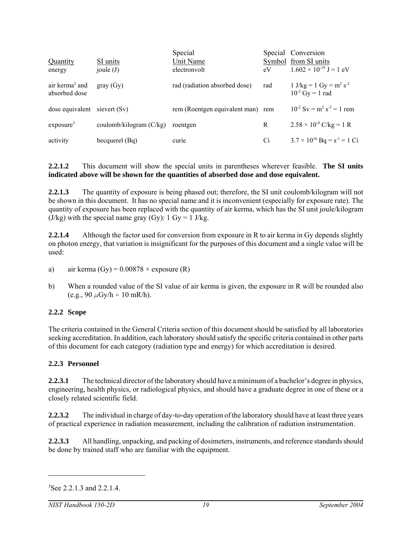|                                             |                           | Special                           |     | Special Conversion                                    |
|---------------------------------------------|---------------------------|-----------------------------------|-----|-------------------------------------------------------|
| Quantity                                    | SI units                  | Unit Name                         |     | Symbol from SI units                                  |
| energy                                      | joule $(J)$               | electronyolt                      | eV  | $1.602 \times 10^{-19}$ J = 1 eV                      |
| air kerma <sup>3</sup> and<br>absorbed dose | gray(Gy)                  | rad (radiation absorbed dose)     | rad | 1 J/kg = 1 Gy = $m^2 s^{-2}$<br>$10^{-2}$ Gy = 1 rad  |
| dose equivalent                             | sievert (Sv)              | rem (Roentgen equivalent man) rem |     | $10^{-2}$ Sv = m <sup>2</sup> s <sup>-2</sup> = 1 rem |
| exposure <sup>3</sup>                       | coulomb/kilogram $(C/kg)$ | roentgen                          | R   | $2.58 \times 10^{-4}$ C/kg = 1 R                      |
| activity                                    | becquerel (Bq)            | curie                             | Ci  | $3.7 \times 10^{10}$ Bq = s <sup>-1</sup> = 1 Ci      |

#### **2.2.1.2** This document will show the special units in parentheses wherever feasible. **The SI units indicated above will be shown for the quantities of absorbed dose and dose equivalent.**

**2.2.1.3** The quantity of exposure is being phased out; therefore, the SI unit coulomb/kilogram will not be shown in this document. It has no special name and it is inconvenient (especially for exposure rate). The quantity of exposure has been replaced with the quantity of air kerma, which has the SI unit joule/kilogram  $(J/kg)$  with the special name gray  $(Gy)$ : 1  $Gy = 1$  J/kg.

**2.2.1.4** Although the factor used for conversion from exposure in R to air kerma in Gy depends slightly on photon energy, that variation is insignificant for the purposes of this document and a single value will be used:

- a) air kerma (Gy) =  $0.00878 \times$  exposure (R)
- b) When a rounded value of the SI value of air kerma is given, the exposure in R will be rounded also (e.g., 90  $\mu$ Gy/h  $\approx$  10 mR/h).

#### **2.2.2 Scope**

The criteria contained in the General Criteria section of this document should be satisfied by all laboratories seeking accreditation. In addition, each laboratory should satisfy the specific criteria contained in other parts of this document for each category (radiation type and energy) for which accreditation is desired.

#### **2.2.3 Personnel**

**2.2.3.1** The technical director of the laboratory should have a minimum of a bachelor's degree in physics, engineering, health physics, or radiological physics, and should have a graduate degree in one of these or a closely related scientific field.

**2.2.3.2** The individual in charge of day-to-day operation of the laboratory should have at least three years of practical experience in radiation measurement, including the calibration of radiation instrumentation.

**2.2.3.3** All handling, unpacking, and packing of dosimeters, instruments, and reference standards should be done by trained staff who are familiar with the equipment.

<sup>&</sup>lt;sup>3</sup>See 2.2.1.3 and 2.2.1.4.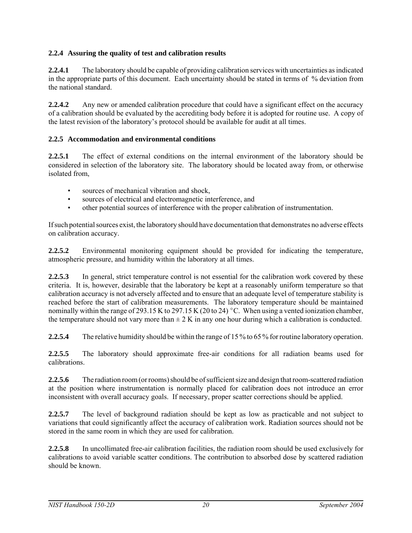## **2.2.4 Assuring the quality of test and calibration results**

**2.2.4.1** The laboratory should be capable of providing calibration services with uncertainties as indicated in the appropriate parts of this document. Each uncertainty should be stated in terms of % deviation from the national standard.

**2.2.4.2** Any new or amended calibration procedure that could have a significant effect on the accuracy of a calibration should be evaluated by the accrediting body before it is adopted for routine use. A copy of the latest revision of the laboratory's protocol should be available for audit at all times.

## **2.2.5 Accommodation and environmental conditions**

**2.2.5.1** The effect of external conditions on the internal environment of the laboratory should be considered in selection of the laboratory site. The laboratory should be located away from, or otherwise isolated from,

- sources of mechanical vibration and shock.
- sources of electrical and electromagnetic interference, and
- other potential sources of interference with the proper calibration of instrumentation.

If such potential sources exist, the laboratory should have documentation that demonstrates no adverse effects on calibration accuracy.

**2.2.5.2** Environmental monitoring equipment should be provided for indicating the temperature, atmospheric pressure, and humidity within the laboratory at all times.

**2.2.5.3** In general, strict temperature control is not essential for the calibration work covered by these criteria. It is, however, desirable that the laboratory be kept at a reasonably uniform temperature so that calibration accuracy is not adversely affected and to ensure that an adequate level of temperature stability is reached before the start of calibration measurements. The laboratory temperature should be maintained nominally within the range of 293.15 K to 297.15 K (20 to 24) °C. When using a vented ionization chamber, the temperature should not vary more than  $\pm 2$  K in any one hour during which a calibration is conducted.

**2.2.5.4** The relative humidity should be within the range of 15 % to 65 % for routine laboratory operation.

**2.2.5.5** The laboratory should approximate free-air conditions for all radiation beams used for calibrations.

**2.2.5.6** The radiation room (or rooms) should be of sufficient size and design that room-scattered radiation at the position where instrumentation is normally placed for calibration does not introduce an error inconsistent with overall accuracy goals. If necessary, proper scatter corrections should be applied.

**2.2.5.7** The level of background radiation should be kept as low as practicable and not subject to variations that could significantly affect the accuracy of calibration work. Radiation sources should not be stored in the same room in which they are used for calibration.

**2.2.5.8** In uncollimated free-air calibration facilities, the radiation room should be used exclusively for calibrations to avoid variable scatter conditions. The contribution to absorbed dose by scattered radiation should be known.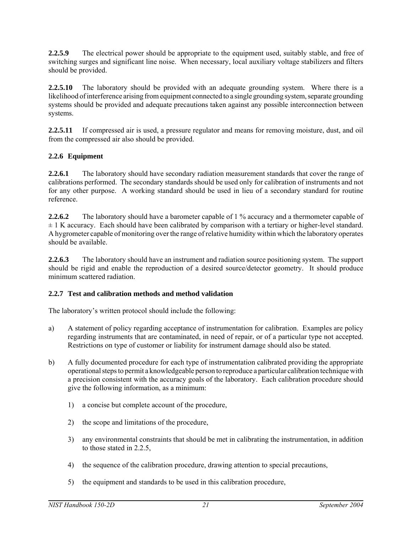**2.2.5.9** The electrical power should be appropriate to the equipment used, suitably stable, and free of switching surges and significant line noise. When necessary, local auxiliary voltage stabilizers and filters should be provided.

**2.2.5.10** The laboratory should be provided with an adequate grounding system. Where there is a likelihood of interference arising from equipment connected to a single grounding system, separate grounding systems should be provided and adequate precautions taken against any possible interconnection between systems.

**2.2.5.11** If compressed air is used, a pressure regulator and means for removing moisture, dust, and oil from the compressed air also should be provided.

## **2.2.6 Equipment**

**2.2.6.1** The laboratory should have secondary radiation measurement standards that cover the range of calibrations performed. The secondary standards should be used only for calibration of instruments and not for any other purpose. A working standard should be used in lieu of a secondary standard for routine reference.

**2.2.6.2** The laboratory should have a barometer capable of 1 % accuracy and a thermometer capable of  $\pm$  1 K accuracy. Each should have been calibrated by comparison with a tertiary or higher-level standard. A hygrometer capable of monitoring over the range of relative humidity within which the laboratory operates should be available.

**2.2.6.3** The laboratory should have an instrument and radiation source positioning system. The support should be rigid and enable the reproduction of a desired source/detector geometry. It should produce minimum scattered radiation.

## **2.2.7 Test and calibration methods and method validation**

The laboratory's written protocol should include the following:

- a) A statement of policy regarding acceptance of instrumentation for calibration. Examples are policy regarding instruments that are contaminated, in need of repair, or of a particular type not accepted. Restrictions on type of customer or liability for instrument damage should also be stated.
- b) A fully documented procedure for each type of instrumentation calibrated providing the appropriate operational steps to permit a knowledgeable person to reproduce a particular calibration technique with a precision consistent with the accuracy goals of the laboratory. Each calibration procedure should give the following information, as a minimum:
	- 1) a concise but complete account of the procedure,
	- 2) the scope and limitations of the procedure,
	- 3) any environmental constraints that should be met in calibrating the instrumentation, in addition to those stated in 2.2.5,
	- 4) the sequence of the calibration procedure, drawing attention to special precautions,
	- 5) the equipment and standards to be used in this calibration procedure,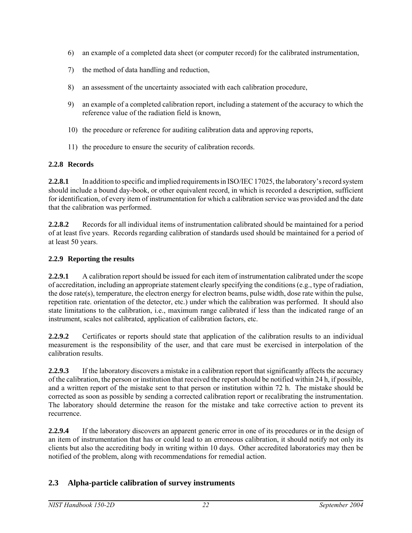- 6) an example of a completed data sheet (or computer record) for the calibrated instrumentation,
- 7) the method of data handling and reduction,
- 8) an assessment of the uncertainty associated with each calibration procedure,
- 9) an example of a completed calibration report, including a statement of the accuracy to which the reference value of the radiation field is known,
- 10) the procedure or reference for auditing calibration data and approving reports,
- 11) the procedure to ensure the security of calibration records.

#### **2.2.8 Records**

**2.2.8.1** In addition to specific and implied requirements in ISO/IEC 17025, the laboratory's record system should include a bound day-book, or other equivalent record, in which is recorded a description, sufficient for identification, of every item of instrumentation for which a calibration service was provided and the date that the calibration was performed.

**2.2.8.2** Records for all individual items of instrumentation calibrated should be maintained for a period of at least five years. Records regarding calibration of standards used should be maintained for a period of at least 50 years.

## **2.2.9 Reporting the results**

**2.2.9.1** A calibration report should be issued for each item of instrumentation calibrated under the scope of accreditation, including an appropriate statement clearly specifying the conditions (e.g., type of radiation, the dose rate(s), temperature, the electron energy for electron beams, pulse width, dose rate within the pulse, repetition rate. orientation of the detector, etc.) under which the calibration was performed. It should also state limitations to the calibration, i.e., maximum range calibrated if less than the indicated range of an instrument, scales not calibrated, application of calibration factors, etc.

**2.2.9.2** Certificates or reports should state that application of the calibration results to an individual measurement is the responsibility of the user, and that care must be exercised in interpolation of the calibration results.

**2.2.9.3** If the laboratory discovers a mistake in a calibration report that significantly affects the accuracy of the calibration, the person or institution that received the report should be notified within 24 h, if possible, and a written report of the mistake sent to that person or institution within 72 h. The mistake should be corrected as soon as possible by sending a corrected calibration report or recalibrating the instrumentation. The laboratory should determine the reason for the mistake and take corrective action to prevent its recurrence.

**2.2.9.4** If the laboratory discovers an apparent generic error in one of its procedures or in the design of an item of instrumentation that has or could lead to an erroneous calibration, it should notify not only its clients but also the accrediting body in writing within 10 days. Other accredited laboratories may then be notified of the problem, along with recommendations for remedial action.

## **2.3 Alpha-particle calibration of survey instruments**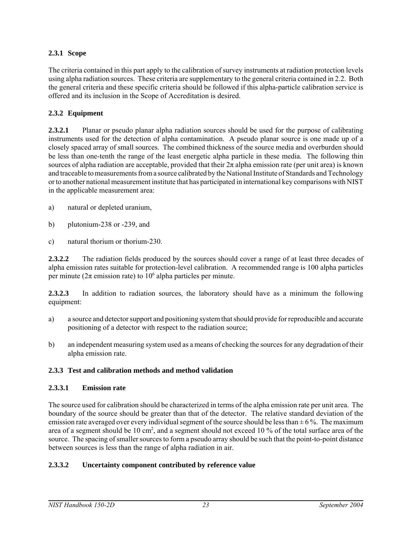## **2.3.1 Scope**

The criteria contained in this part apply to the calibration of survey instruments at radiation protection levels using alpha radiation sources. These criteria are supplementary to the general criteria contained in 2.2. Both the general criteria and these specific criteria should be followed if this alpha-particle calibration service is offered and its inclusion in the Scope of Accreditation is desired.

## **2.3.2 Equipment**

**2.3.2.1** Planar or pseudo planar alpha radiation sources should be used for the purpose of calibrating instruments used for the detection of alpha contamination. A pseudo planar source is one made up of a closely spaced array of small sources. The combined thickness of the source media and overburden should be less than one-tenth the range of the least energetic alpha particle in these media. The following thin sources of alpha radiation are acceptable, provided that their  $2\pi$  alpha emission rate (per unit area) is known and traceable to measurements from a source calibrated by the National Institute of Standards and Technology or to another national measurement institute that has participated in international key comparisons with NIST in the applicable measurement area:

- a) natural or depleted uranium,
- b) plutonium-238 or -239, and
- c) natural thorium or thorium-230.

**2.3.2.2** The radiation fields produced by the sources should cover a range of at least three decades of alpha emission rates suitable for protection-level calibration. A recommended range is 100 alpha particles per minute ( $2\pi$  emission rate) to  $10^6$  alpha particles per minute.

**2.3.2.3** In addition to radiation sources, the laboratory should have as a minimum the following equipment:

- a) a source and detector support and positioning system that should provide for reproducible and accurate positioning of a detector with respect to the radiation source;
- b) an independent measuring system used as a means of checking the sources for any degradation of their alpha emission rate.

## **2.3.3 Test and calibration methods and method validation**

## **2.3.3.1 Emission rate**

The source used for calibration should be characterized in terms of the alpha emission rate per unit area. The boundary of the source should be greater than that of the detector. The relative standard deviation of the emission rate averaged over every individual segment of the source should be less than  $\pm$  6 %. The maximum area of a segment should be 10 cm<sup>2</sup>, and a segment should not exceed 10 % of the total surface area of the source. The spacing of smaller sources to form a pseudo array should be such that the point-to-point distance between sources is less than the range of alpha radiation in air.

## **2.3.3.2 Uncertainty component contributed by reference value**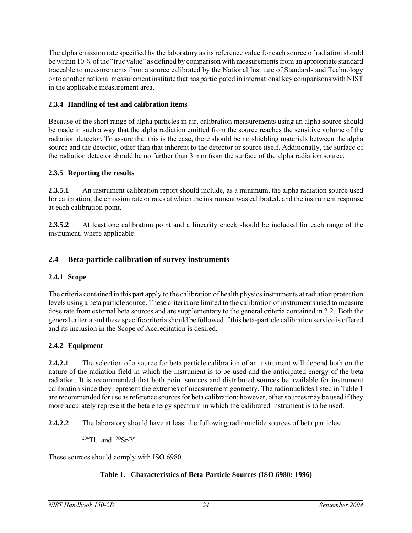The alpha emission rate specified by the laboratory as its reference value for each source of radiation should be within 10 % of the "true value" as defined by comparison with measurements from an appropriate standard traceable to measurements from a source calibrated by the National Institute of Standards and Technology or to another national measurement institute that has participated in international key comparisons with NIST in the applicable measurement area.

## **2.3.4 Handling of test and calibration items**

Because of the short range of alpha particles in air, calibration measurements using an alpha source should be made in such a way that the alpha radiation emitted from the source reaches the sensitive volume of the radiation detector. To assure that this is the case, there should be no shielding materials between the alpha source and the detector, other than that inherent to the detector or source itself. Additionally, the surface of the radiation detector should be no further than 3 mm from the surface of the alpha radiation source.

## **2.3.5 Reporting the results**

**2.3.5.1** An instrument calibration report should include, as a minimum, the alpha radiation source used for calibration, the emission rate or rates at which the instrument was calibrated, and the instrument response at each calibration point.

**2.3.5.2** At least one calibration point and a linearity check should be included for each range of the instrument, where applicable.

# **2.4 Beta-particle calibration of survey instruments**

## **2.4.1 Scope**

The criteria contained in this part apply to the calibration of health physics instruments at radiation protection levels using a beta particle source. These criteria are limited to the calibration of instruments used to measure dose rate from external beta sources and are supplementary to the general criteria contained in 2.2. Both the general criteria and these specific criteria should be followed if this beta-particle calibration service is offered and its inclusion in the Scope of Accreditation is desired.

## **2.4.2 Equipment**

**2.4.2.1** The selection of a source for beta particle calibration of an instrument will depend both on the nature of the radiation field in which the instrument is to be used and the anticipated energy of the beta radiation. It is recommended that both point sources and distributed sources be available for instrument calibration since they represent the extremes of measurement geometry. The radionuclides listed in Table 1 are recommended for use as reference sources for beta calibration; however, other sources may be used if they more accurately represent the beta energy spectrum in which the calibrated instrument is to be used.

**2.4.2.2** The laboratory should have at least the following radionuclide sources of beta particles:

 $204$ Tl, and  $90$ Sr/Y.

These sources should comply with ISO 6980.

## **Table 1. Characteristics of Beta-Particle Sources (ISO 6980: 1996)**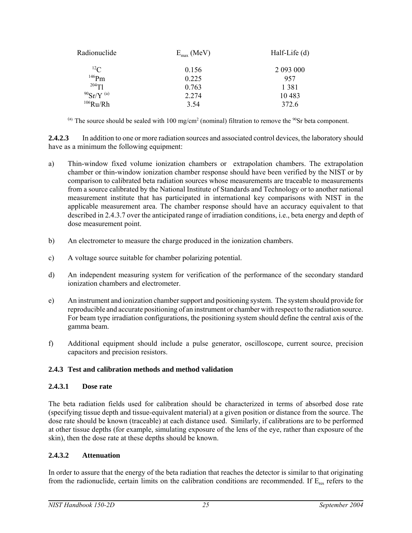| Radionuclide             | $E_{\text{max}}$ (MeV) | Half-Life (d) |
|--------------------------|------------------------|---------------|
| ${}^{12}C$               | 0.156                  | 2 093 000     |
| $146$ Pm                 | 0.225                  | 957           |
| $204$ Tl                 | 0.763                  | 1 3 8 1       |
| $90$ Sr/Y <sup>(a)</sup> | 2.274                  | 10483         |
| $106$ Ru/Rh              | 3.54                   | 372.6         |

(a) The source should be sealed with 100 mg/cm<sup>2</sup> (nominal) filtration to remove the  $90$ Sr beta component.

**2.4.2.3** In addition to one or more radiation sources and associated control devices, the laboratory should have as a minimum the following equipment:

- a) Thin-window fixed volume ionization chambers or extrapolation chambers. The extrapolation chamber or thin-window ionization chamber response should have been verified by the NIST or by comparison to calibrated beta radiation sources whose measurements are traceable to measurements from a source calibrated by the National Institute of Standards and Technology or to another national measurement institute that has participated in international key comparisons with NIST in the applicable measurement area. The chamber response should have an accuracy equivalent to that described in 2.4.3.7 over the anticipated range of irradiation conditions, i.e., beta energy and depth of dose measurement point.
- b) An electrometer to measure the charge produced in the ionization chambers.
- c) A voltage source suitable for chamber polarizing potential.
- d) An independent measuring system for verification of the performance of the secondary standard ionization chambers and electrometer.
- e) An instrument and ionization chamber support and positioning system. The system should provide for reproducible and accurate positioning of an instrument or chamber with respect to the radiation source. For beam type irradiation configurations, the positioning system should define the central axis of the gamma beam.
- f) Additional equipment should include a pulse generator, oscilloscope, current source, precision capacitors and precision resistors.

#### **2.4.3 Test and calibration methods and method validation**

#### **2.4.3.1 Dose rate**

The beta radiation fields used for calibration should be characterized in terms of absorbed dose rate (specifying tissue depth and tissue-equivalent material) at a given position or distance from the source. The dose rate should be known (traceable) at each distance used. Similarly, if calibrations are to be performed at other tissue depths (for example, simulating exposure of the lens of the eye, rather than exposure of the skin), then the dose rate at these depths should be known.

#### **2.4.3.2 Attenuation**

In order to assure that the energy of the beta radiation that reaches the detector is similar to that originating from the radionuclide, certain limits on the calibration conditions are recommended. If  $E_{res}$  refers to the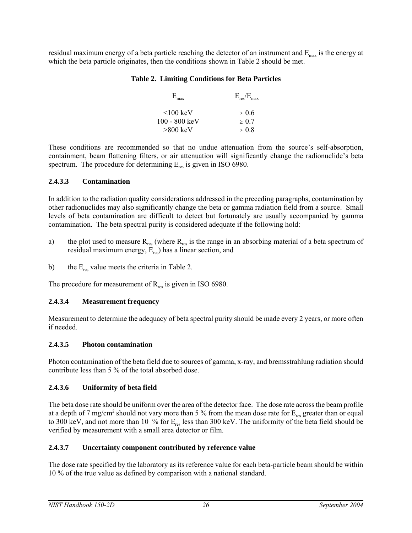residual maximum energy of a beta particle reaching the detector of an instrument and  $E_{\text{max}}$  is the energy at which the beta particle originates, then the conditions shown in Table 2 should be met.

#### **Table 2. Limiting Conditions for Beta Particles**

| $E_{\text{max}}$        | $E_{res}/E_{max}$ |
|-------------------------|-------------------|
| $<$ 100 keV             | > 0.6             |
| $100 - 800 \text{ keV}$ | > 0.7             |
| $>800$ keV              | >0.8              |

These conditions are recommended so that no undue attenuation from the source's self-absorption, containment, beam flattening filters, or air attenuation will significantly change the radionuclide's beta spectrum. The procedure for determining  $E_{res}$  is given in ISO 6980.

## **2.4.3.3 Contamination**

In addition to the radiation quality considerations addressed in the preceding paragraphs, contamination by other radionuclides may also significantly change the beta or gamma radiation field from a source. Small levels of beta contamination are difficult to detect but fortunately are usually accompanied by gamma contamination. The beta spectral purity is considered adequate if the following hold:

- a) the plot used to measure  $R_{res}$  (where  $R_{res}$  is the range in an absorbing material of a beta spectrum of residual maximum energy,  $E_{res}$ ) has a linear section, and
- b) the  $E_{res}$  value meets the criteria in Table 2.

The procedure for measurement of  $R_{res}$  is given in ISO 6980.

## **2.4.3.4 Measurement frequency**

Measurement to determine the adequacy of beta spectral purity should be made every 2 years, or more often if needed.

## **2.4.3.5 Photon contamination**

Photon contamination of the beta field due to sources of gamma, x-ray, and bremsstrahlung radiation should contribute less than 5 % of the total absorbed dose.

## **2.4.3.6 Uniformity of beta field**

The beta dose rate should be uniform over the area of the detector face. The dose rate across the beam profile at a depth of 7 mg/cm<sup>2</sup> should not vary more than 5 % from the mean dose rate for  $E_{res}$  greater than or equal to 300 keV, and not more than 10 % for  $E_{res}$  less than 300 keV. The uniformity of the beta field should be verified by measurement with a small area detector or film.

## **2.4.3.7 Uncertainty component contributed by reference value**

The dose rate specified by the laboratory as its reference value for each beta-particle beam should be within 10 % of the true value as defined by comparison with a national standard.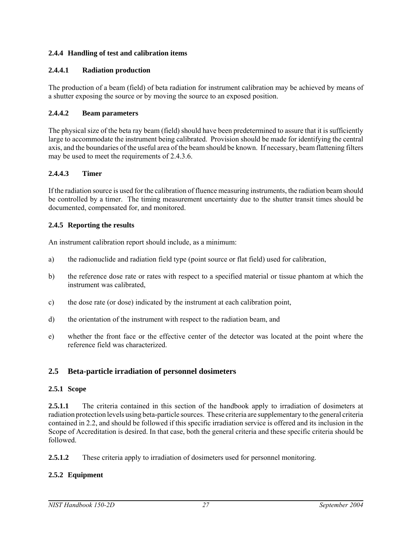#### **2.4.4 Handling of test and calibration items**

#### **2.4.4.1 Radiation production**

The production of a beam (field) of beta radiation for instrument calibration may be achieved by means of a shutter exposing the source or by moving the source to an exposed position.

#### **2.4.4.2 Beam parameters**

The physical size of the beta ray beam (field) should have been predetermined to assure that it is sufficiently large to accommodate the instrument being calibrated. Provision should be made for identifying the central axis, and the boundaries of the useful area of the beam should be known. If necessary, beam flattening filters may be used to meet the requirements of 2.4.3.6.

#### **2.4.4.3 Timer**

If the radiation source is used for the calibration of fluence measuring instruments, the radiation beam should be controlled by a timer. The timing measurement uncertainty due to the shutter transit times should be documented, compensated for, and monitored.

#### **2.4.5 Reporting the results**

An instrument calibration report should include, as a minimum:

- a) the radionuclide and radiation field type (point source or flat field) used for calibration,
- b) the reference dose rate or rates with respect to a specified material or tissue phantom at which the instrument was calibrated,
- c) the dose rate (or dose) indicated by the instrument at each calibration point,
- d) the orientation of the instrument with respect to the radiation beam, and
- e) whether the front face or the effective center of the detector was located at the point where the reference field was characterized.

## **2.5 Beta-particle irradiation of personnel dosimeters**

#### **2.5.1 Scope**

**2.5.1.1** The criteria contained in this section of the handbook apply to irradiation of dosimeters at radiation protection levels using beta-particle sources. These criteria are supplementary to the general criteria contained in 2.2, and should be followed if this specific irradiation service is offered and its inclusion in the Scope of Accreditation is desired. In that case, both the general criteria and these specific criteria should be followed.

**2.5.1.2** These criteria apply to irradiation of dosimeters used for personnel monitoring.

#### **2.5.2 Equipment**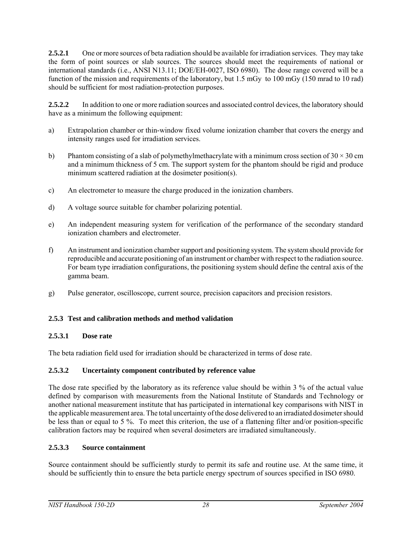**2.5.2.1** One or more sources of beta radiation should be available for irradiation services. They may take the form of point sources or slab sources. The sources should meet the requirements of national or international standards (i.e., ANSI N13.11; DOE/EH-0027, ISO 6980). The dose range covered will be a function of the mission and requirements of the laboratory, but 1.5 mGy to 100 mGy (150 mrad to 10 rad) should be sufficient for most radiation-protection purposes.

**2.5.2.2** In addition to one or more radiation sources and associated control devices, the laboratory should have as a minimum the following equipment:

- a) Extrapolation chamber or thin-window fixed volume ionization chamber that covers the energy and intensity ranges used for irradiation services.
- b) Phantom consisting of a slab of polymethylmethacrylate with a minimum cross section of  $30 \times 30$  cm and a minimum thickness of 5 cm. The support system for the phantom should be rigid and produce minimum scattered radiation at the dosimeter position(s).
- c) An electrometer to measure the charge produced in the ionization chambers.
- d) A voltage source suitable for chamber polarizing potential.
- e) An independent measuring system for verification of the performance of the secondary standard ionization chambers and electrometer.
- f) An instrument and ionization chamber support and positioning system. The system should provide for reproducible and accurate positioning of an instrument or chamber with respect to the radiation source. For beam type irradiation configurations, the positioning system should define the central axis of the gamma beam.
- g) Pulse generator, oscilloscope, current source, precision capacitors and precision resistors.

## **2.5.3 Test and calibration methods and method validation**

## **2.5.3.1 Dose rate**

The beta radiation field used for irradiation should be characterized in terms of dose rate.

## **2.5.3.2 Uncertainty component contributed by reference value**

The dose rate specified by the laboratory as its reference value should be within 3 % of the actual value defined by comparison with measurements from the National Institute of Standards and Technology or another national measurement institute that has participated in international key comparisons with NIST in the applicable measurement area. The total uncertainty of the dose delivered to an irradiated dosimeter should be less than or equal to 5 %. To meet this criterion, the use of a flattening filter and/or position-specific calibration factors may be required when several dosimeters are irradiated simultaneously.

## **2.5.3.3 Source containment**

Source containment should be sufficiently sturdy to permit its safe and routine use. At the same time, it should be sufficiently thin to ensure the beta particle energy spectrum of sources specified in ISO 6980.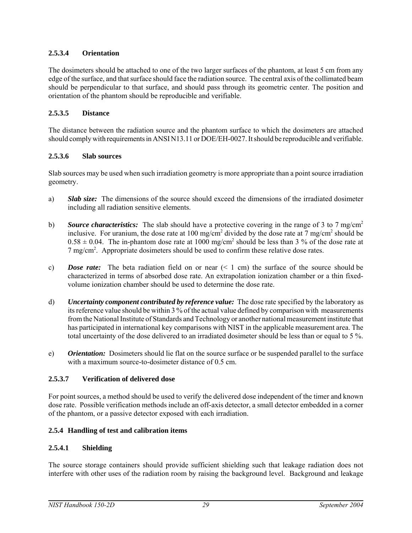## **2.5.3.4 Orientation**

The dosimeters should be attached to one of the two larger surfaces of the phantom, at least 5 cm from any edge of the surface, and that surface should face the radiation source. The central axis of the collimated beam should be perpendicular to that surface, and should pass through its geometric center. The position and orientation of the phantom should be reproducible and verifiable.

## **2.5.3.5 Distance**

The distance between the radiation source and the phantom surface to which the dosimeters are attached should comply with requirements in ANSI N13.11 or DOE/EH-0027. It should be reproducible and verifiable.

## **2.5.3.6 Slab sources**

Slab sources may be used when such irradiation geometry is more appropriate than a point source irradiation geometry.

- a) *Slab size:* The dimensions of the source should exceed the dimensions of the irradiated dosimeter including all radiation sensitive elements.
- b) **Source characteristics:** The slab should have a protective covering in the range of 3 to 7 mg/cm<sup>2</sup> inclusive. For uranium, the dose rate at 100 mg/cm<sup>2</sup> divided by the dose rate at 7 mg/cm<sup>2</sup> should be  $0.58 \pm 0.04$ . The in-phantom dose rate at 1000 mg/cm<sup>2</sup> should be less than 3 % of the dose rate at 7 mg/cm<sup>2</sup>. Appropriate dosimeters should be used to confirm these relative dose rates.
- c) *Dose rate:* The beta radiation field on or near  $(< 1 \text{ cm})$  the surface of the source should be characterized in terms of absorbed dose rate. An extrapolation ionization chamber or a thin fixedvolume ionization chamber should be used to determine the dose rate.
- d) *Uncertainty component contributed by reference value:* The dose rate specified by the laboratory as its reference value should be within 3 % of the actual value defined by comparison with measurements from the National Institute of Standards and Technology or another national measurement institute that has participated in international key comparisons with NIST in the applicable measurement area. The total uncertainty of the dose delivered to an irradiated dosimeter should be less than or equal to 5 %.
- e) *Orientation:*Dosimeters should lie flat on the source surface or be suspended parallel to the surface with a maximum source-to-dosimeter distance of 0.5 cm.

## **2.5.3.7 Verification of delivered dose**

For point sources, a method should be used to verify the delivered dose independent of the timer and known dose rate. Possible verification methods include an off-axis detector, a small detector embedded in a corner of the phantom, or a passive detector exposed with each irradiation.

## **2.5.4 Handling of test and calibration items**

## **2.5.4.1 Shielding**

The source storage containers should provide sufficient shielding such that leakage radiation does not interfere with other uses of the radiation room by raising the background level. Background and leakage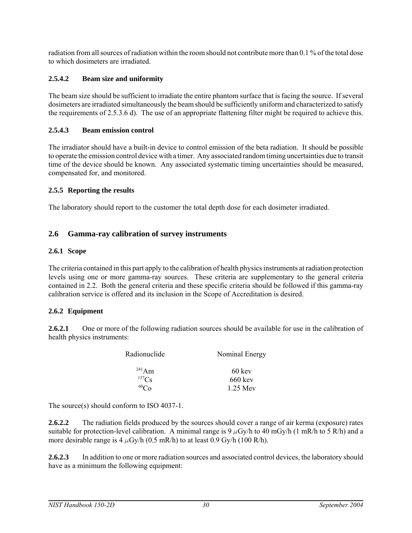radiation from all sources of radiation within the room should not contribute more than 0.1 % of the total dose to which dosimeters are irradiated.

#### **2.5.4.2 Beam size and uniformity**

The beam size should be sufficient to irradiate the entire phantom surface that is facing the source. If several dosimeters are irradiated simultaneously the beam should be sufficiently uniform and characterized to satisfy the requirements of 2.5.3.6 d). The use of an appropriate flattening filter might be required to achieve this.

#### **2.5.4.3 Beam emission control**

The irradiator should have a built-in device to control emission of the beta radiation. It should be possible to operate the emission control device with a timer. Any associated random timing uncertainties due to transit time of the device should be known. Any associated systematic timing uncertainties should be measured, compensated for, and monitored.

#### **2.5.5 Reporting the results**

The laboratory should report to the customer the total depth dose for each dosimeter irradiated.

#### **2.6 Gamma-ray calibration of survey instruments**

#### **2.6.1 Scope**

The criteria contained in this part apply to the calibration of health physics instruments at radiation protection levels using one or more gamma-ray sources. These criteria are supplementary to the general criteria contained in 2.2. Both the general criteria and these specific criteria should be followed if this gamma-ray calibration service is offered and its inclusion in the Scope of Accreditation is desired.

#### **2.6.2 Equipment**

**2.6.2.1** One or more of the following radiation sources should be available for use in the calibration of health physics instruments:

| Radionuclide | Nominal Energy    |  |  |
|--------------|-------------------|--|--|
| $^{241}$ Am  | $60 \text{ keV}$  |  |  |
| $^{137}Cs$   | $660 \text{ keV}$ |  |  |
| ${}^{60}Co$  | 1 25 Mey          |  |  |

The source(s) should conform to ISO 4037-1.

**2.6.2.2** The radiation fields produced by the sources should cover a range of air kerma (exposure) rates suitable for protection-level calibration. A minimal range is 9  $\mu$ Gy/h to 40 mGy/h (1 mR/h to 5 R/h) and a more desirable range is 4  $\mu$ Gy/h (0.5 mR/h) to at least 0.9 Gy/h (100 R/h).

**2.6.2.3** In addition to one or more radiation sources and associated control devices, the laboratory should have as a minimum the following equipment: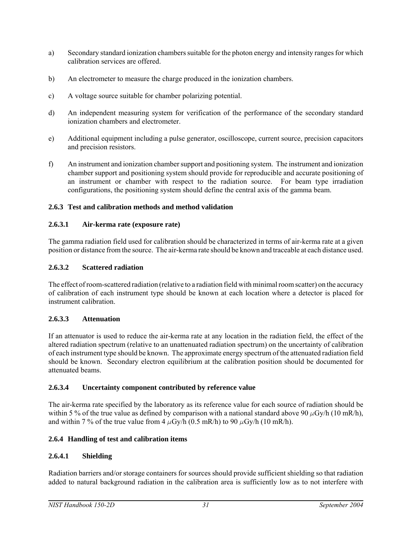- a) Secondary standard ionization chambers suitable for the photon energy and intensity ranges for which calibration services are offered.
- b) An electrometer to measure the charge produced in the ionization chambers.
- c) A voltage source suitable for chamber polarizing potential.
- d) An independent measuring system for verification of the performance of the secondary standard ionization chambers and electrometer.
- e) Additional equipment including a pulse generator, oscilloscope, current source, precision capacitors and precision resistors.
- f) An instrument and ionization chamber support and positioning system. The instrument and ionization chamber support and positioning system should provide for reproducible and accurate positioning of an instrument or chamber with respect to the radiation source. For beam type irradiation configurations, the positioning system should define the central axis of the gamma beam.

## **2.6.3 Test and calibration methods and method validation**

## **2.6.3.1 Air-kerma rate (exposure rate)**

The gamma radiation field used for calibration should be characterized in terms of air-kerma rate at a given position or distance from the source. The air-kerma rate should be known and traceable at each distance used.

## **2.6.3.2 Scattered radiation**

The effect of room-scattered radiation (relative to a radiation field with minimal room scatter) on the accuracy of calibration of each instrument type should be known at each location where a detector is placed for instrument calibration.

## **2.6.3.3 Attenuation**

If an attenuator is used to reduce the air-kerma rate at any location in the radiation field, the effect of the altered radiation spectrum (relative to an unattenuated radiation spectrum) on the uncertainty of calibration of each instrument type should be known. The approximate energy spectrum of the attenuated radiation field should be known. Secondary electron equilibrium at the calibration position should be documented for attenuated beams.

## **2.6.3.4 Uncertainty component contributed by reference value**

The air-kerma rate specified by the laboratory as its reference value for each source of radiation should be within 5% of the true value as defined by comparison with a national standard above 90  $\mu$ Gy/h (10 mR/h), and within 7 % of the true value from 4  $\mu$ Gy/h (0.5 mR/h) to 90  $\mu$ Gy/h (10 mR/h).

## **2.6.4 Handling of test and calibration items**

## **2.6.4.1 Shielding**

Radiation barriers and/or storage containers for sources should provide sufficient shielding so that radiation added to natural background radiation in the calibration area is sufficiently low as to not interfere with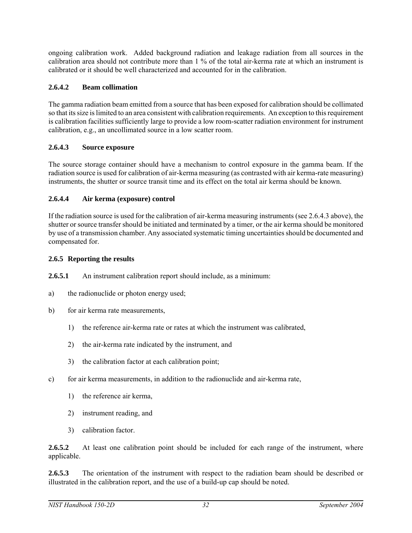ongoing calibration work. Added background radiation and leakage radiation from all sources in the calibration area should not contribute more than 1 % of the total air-kerma rate at which an instrument is calibrated or it should be well characterized and accounted for in the calibration.

#### **2.6.4.2 Beam collimation**

The gamma radiation beam emitted from a source that has been exposed for calibration should be collimated so that its size is limited to an area consistent with calibration requirements. An exception to this requirement is calibration facilities sufficiently large to provide a low room-scatter radiation environment for instrument calibration, e.g., an uncollimated source in a low scatter room.

#### **2.6.4.3 Source exposure**

The source storage container should have a mechanism to control exposure in the gamma beam. If the radiation source is used for calibration of air-kerma measuring (as contrasted with air kerma-rate measuring) instruments, the shutter or source transit time and its effect on the total air kerma should be known.

#### **2.6.4.4 Air kerma (exposure) control**

If the radiation source is used for the calibration of air-kerma measuring instruments (see 2.6.4.3 above), the shutter or source transfer should be initiated and terminated by a timer, or the air kerma should be monitored by use of a transmission chamber. Any associated systematic timing uncertainties should be documented and compensated for.

#### **2.6.5 Reporting the results**

**2.6.5.1** An instrument calibration report should include, as a minimum:

- a) the radionuclide or photon energy used;
- b) for air kerma rate measurements,
	- 1) the reference air-kerma rate or rates at which the instrument was calibrated,
	- 2) the air-kerma rate indicated by the instrument, and
	- 3) the calibration factor at each calibration point;
- c) for air kerma measurements, in addition to the radionuclide and air-kerma rate,
	- 1) the reference air kerma,
	- 2) instrument reading, and
	- 3) calibration factor.

2.6.5.2 At least one calibration point should be included for each range of the instrument, where applicable.

**2.6.5.3** The orientation of the instrument with respect to the radiation beam should be described or illustrated in the calibration report, and the use of a build-up cap should be noted.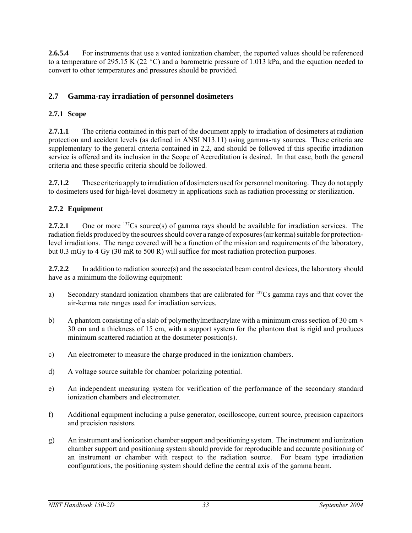**2.6.5.4** For instruments that use a vented ionization chamber, the reported values should be referenced to a temperature of 295.15 K (22 °C) and a barometric pressure of 1.013 kPa, and the equation needed to convert to other temperatures and pressures should be provided.

# **2.7 Gamma-ray irradiation of personnel dosimeters**

## **2.7.1 Scope**

**2.7.1.1** The criteria contained in this part of the document apply to irradiation of dosimeters at radiation protection and accident levels (as defined in ANSI N13.11) using gamma-ray sources. These criteria are supplementary to the general criteria contained in 2.2, and should be followed if this specific irradiation service is offered and its inclusion in the Scope of Accreditation is desired. In that case, both the general criteria and these specific criteria should be followed.

**2.7.1.2** These criteria apply to irradiation of dosimeters used for personnel monitoring. They do not apply to dosimeters used for high-level dosimetry in applications such as radiation processing or sterilization.

## **2.7.2 Equipment**

**2.7.2.1** One or more <sup>137</sup>Cs source(s) of gamma rays should be available for irradiation services. The radiation fields produced by the sources should cover a range of exposures (air kerma) suitable for protectionlevel irradiations. The range covered will be a function of the mission and requirements of the laboratory, but 0.3 mGy to 4 Gy (30 mR to 500 R) will suffice for most radiation protection purposes.

**2.7.2.2** In addition to radiation source(s) and the associated beam control devices, the laboratory should have as a minimum the following equipment:

- a) Secondary standard ionization chambers that are calibrated for  $137Cs$  gamma rays and that cover the air-kerma rate ranges used for irradiation services.
- b) A phantom consisting of a slab of polymethylmethacrylate with a minimum cross section of 30 cm  $\times$ 30 cm and a thickness of 15 cm, with a support system for the phantom that is rigid and produces minimum scattered radiation at the dosimeter position(s).
- c) An electrometer to measure the charge produced in the ionization chambers.
- d) A voltage source suitable for chamber polarizing potential.
- e) An independent measuring system for verification of the performance of the secondary standard ionization chambers and electrometer.
- f) Additional equipment including a pulse generator, oscilloscope, current source, precision capacitors and precision resistors.
- g) An instrument and ionization chamber support and positioning system. The instrument and ionization chamber support and positioning system should provide for reproducible and accurate positioning of an instrument or chamber with respect to the radiation source. For beam type irradiation configurations, the positioning system should define the central axis of the gamma beam.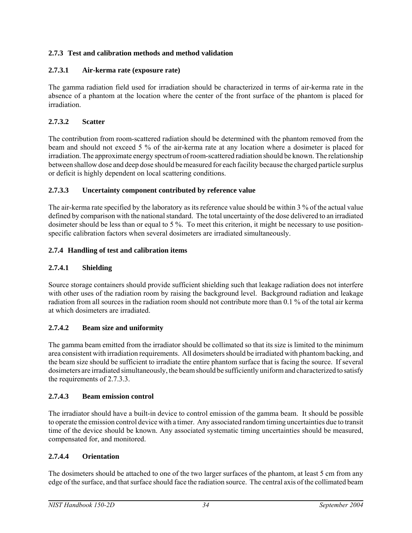## **2.7.3 Test and calibration methods and method validation**

## **2.7.3.1 Air-kerma rate (exposure rate)**

The gamma radiation field used for irradiation should be characterized in terms of air-kerma rate in the absence of a phantom at the location where the center of the front surface of the phantom is placed for irradiation.

## **2.7.3.2 Scatter**

The contribution from room-scattered radiation should be determined with the phantom removed from the beam and should not exceed 5 % of the air-kerma rate at any location where a dosimeter is placed for irradiation. The approximate energy spectrum of room-scattered radiation should be known. The relationship between shallow dose and deep dose should be measured for each facility because the charged particle surplus or deficit is highly dependent on local scattering conditions.

## **2.7.3.3 Uncertainty component contributed by reference value**

The air-kerma rate specified by the laboratory as its reference value should be within 3 % of the actual value defined by comparison with the national standard. The total uncertainty of the dose delivered to an irradiated dosimeter should be less than or equal to 5 %. To meet this criterion, it might be necessary to use positionspecific calibration factors when several dosimeters are irradiated simultaneously.

## **2.7.4 Handling of test and calibration items**

## **2.7.4.1 Shielding**

Source storage containers should provide sufficient shielding such that leakage radiation does not interfere with other uses of the radiation room by raising the background level. Background radiation and leakage radiation from all sources in the radiation room should not contribute more than 0.1 % of the total air kerma at which dosimeters are irradiated.

## **2.7.4.2 Beam size and uniformity**

The gamma beam emitted from the irradiator should be collimated so that its size is limited to the minimum area consistent with irradiation requirements. All dosimeters should be irradiated with phantom backing, and the beam size should be sufficient to irradiate the entire phantom surface that is facing the source. If several dosimeters are irradiated simultaneously, the beam should be sufficiently uniform and characterized to satisfy the requirements of 2.7.3.3.

## **2.7.4.3 Beam emission control**

The irradiator should have a built-in device to control emission of the gamma beam. It should be possible to operate the emission control device with a timer. Any associated random timing uncertainties due to transit time of the device should be known. Any associated systematic timing uncertainties should be measured, compensated for, and monitored.

## **2.7.4.4 Orientation**

The dosimeters should be attached to one of the two larger surfaces of the phantom, at least 5 cm from any edge of the surface, and that surface should face the radiation source. The central axis of the collimated beam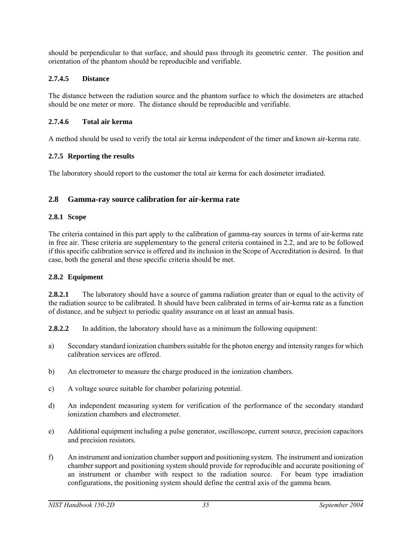should be perpendicular to that surface, and should pass through its geometric center. The position and orientation of the phantom should be reproducible and verifiable.

## **2.7.4.5 Distance**

The distance between the radiation source and the phantom surface to which the dosimeters are attached should be one meter or more. The distance should be reproducible and verifiable.

## **2.7.4.6 Total air kerma**

A method should be used to verify the total air kerma independent of the timer and known air-kerma rate.

## **2.7.5 Reporting the results**

The laboratory should report to the customer the total air kerma for each dosimeter irradiated.

## **2.8 Gamma-ray source calibration for air-kerma rate**

## **2.8.1 Scope**

The criteria contained in this part apply to the calibration of gamma-ray sources in terms of air-kerma rate in free air. These criteria are supplementary to the general criteria contained in 2.2, and are to be followed if this specific calibration service is offered and its inclusion in the Scope of Accreditation is desired. In that case, both the general and these specific criteria should be met.

## **2.8.2 Equipment**

**2.8.2.1** The laboratory should have a source of gamma radiation greater than or equal to the activity of the radiation source to be calibrated. It should have been calibrated in terms of air-kerma rate as a function of distance, and be subject to periodic quality assurance on at least an annual basis.

**2.8.2.2** In addition, the laboratory should have as a minimum the following equipment:

- a) Secondary standard ionization chambers suitable for the photon energy and intensity ranges for which calibration services are offered.
- b) An electrometer to measure the charge produced in the ionization chambers.
- c) A voltage source suitable for chamber polarizing potential.
- d) An independent measuring system for verification of the performance of the secondary standard ionization chambers and electrometer.
- e) Additional equipment including a pulse generator, oscilloscope, current source, precision capacitors and precision resistors.
- f) An instrument and ionization chamber support and positioning system. The instrument and ionization chamber support and positioning system should provide for reproducible and accurate positioning of an instrument or chamber with respect to the radiation source. For beam type irradiation configurations, the positioning system should define the central axis of the gamma beam.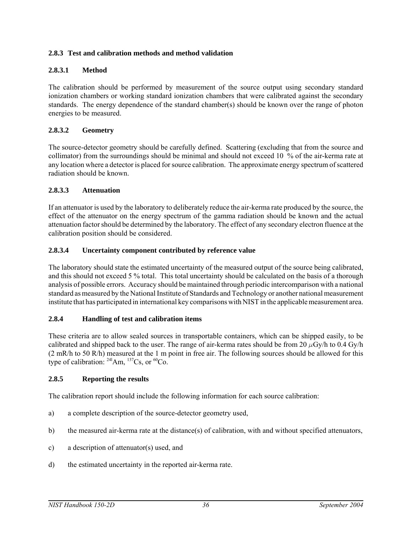#### **2.8.3 Test and calibration methods and method validation**

#### **2.8.3.1 Method**

The calibration should be performed by measurement of the source output using secondary standard ionization chambers or working standard ionization chambers that were calibrated against the secondary standards. The energy dependence of the standard chamber(s) should be known over the range of photon energies to be measured.

#### **2.8.3.2 Geometry**

The source-detector geometry should be carefully defined. Scattering (excluding that from the source and collimator) from the surroundings should be minimal and should not exceed 10 % of the air-kerma rate at any location where a detector is placed for source calibration. The approximate energy spectrum of scattered radiation should be known.

#### **2.8.3.3 Attenuation**

If an attenuator is used by the laboratory to deliberately reduce the air-kerma rate produced by the source, the effect of the attenuator on the energy spectrum of the gamma radiation should be known and the actual attenuation factor should be determined by the laboratory. The effect of any secondary electron fluence at the calibration position should be considered.

#### **2.8.3.4 Uncertainty component contributed by reference value**

The laboratory should state the estimated uncertainty of the measured output of the source being calibrated, and this should not exceed 5 % total. This total uncertainty should be calculated on the basis of a thorough analysis of possible errors. Accuracy should be maintained through periodic intercomparison with a national standard as measured by the National Institute of Standards and Technology or another national measurement institute that has participated in international key comparisons with NIST in the applicable measurement area.

#### **2.8.4 Handling of test and calibration items**

These criteria are to allow sealed sources in transportable containers, which can be shipped easily, to be calibrated and shipped back to the user. The range of air-kerma rates should be from 20  $\mu$ Gy/h to 0.4 Gy/h (2 mR/h to 50 R/h) measured at the 1 m point in free air. The following sources should be allowed for this type of calibration:  $^{241}$ Am,  $^{137}$ Cs, or  $^{60}$ Co.

#### **2.8.5 Reporting the results**

The calibration report should include the following information for each source calibration:

- a) a complete description of the source-detector geometry used,
- b) the measured air-kerma rate at the distance(s) of calibration, with and without specified attenuators,
- c) a description of attenuator(s) used, and
- d) the estimated uncertainty in the reported air-kerma rate.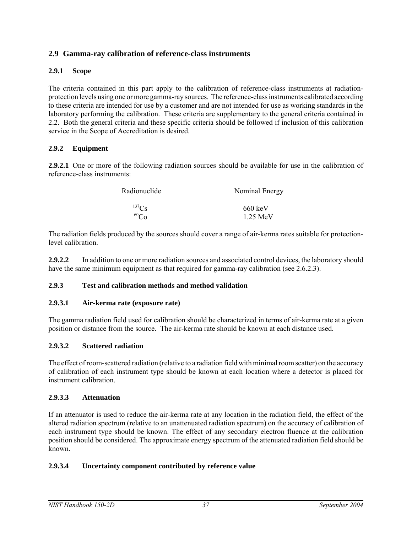## **2.9 Gamma-ray calibration of reference-class instruments**

#### **2.9.1 Scope**

The criteria contained in this part apply to the calibration of reference-class instruments at radiationprotection levels using one or more gamma-ray sources. The reference-class instruments calibrated according to these criteria are intended for use by a customer and are not intended for use as working standards in the laboratory performing the calibration. These criteria are supplementary to the general criteria contained in 2.2. Both the general criteria and these specific criteria should be followed if inclusion of this calibration service in the Scope of Accreditation is desired.

#### **2.9.2 Equipment**

**2.9.2.1** One or more of the following radiation sources should be available for use in the calibration of reference-class instruments:

| Radionuclide | Nominal Energy     |
|--------------|--------------------|
| $^{137}$ Cs  | $660 \text{ keV}$  |
| $^{60}Co$    | $1.25 \text{ MeV}$ |

The radiation fields produced by the sources should cover a range of air-kerma rates suitable for protectionlevel calibration.

**2.9.2.2** In addition to one or more radiation sources and associated control devices, the laboratory should have the same minimum equipment as that required for gamma-ray calibration (see 2.6.2.3).

#### **2.9.3 Test and calibration methods and method validation**

#### **2.9.3.1 Air-kerma rate (exposure rate)**

The gamma radiation field used for calibration should be characterized in terms of air-kerma rate at a given position or distance from the source. The air-kerma rate should be known at each distance used.

#### **2.9.3.2 Scattered radiation**

The effect of room-scattered radiation (relative to a radiation field with minimal room scatter) on the accuracy of calibration of each instrument type should be known at each location where a detector is placed for instrument calibration.

#### **2.9.3.3 Attenuation**

If an attenuator is used to reduce the air-kerma rate at any location in the radiation field, the effect of the altered radiation spectrum (relative to an unattenuated radiation spectrum) on the accuracy of calibration of each instrument type should be known. The effect of any secondary electron fluence at the calibration position should be considered. The approximate energy spectrum of the attenuated radiation field should be known.

#### **2.9.3.4 Uncertainty component contributed by reference value**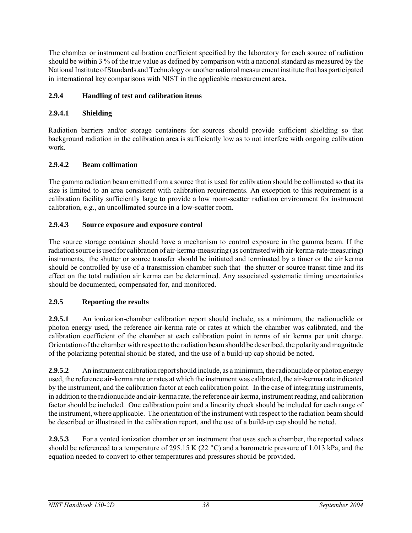The chamber or instrument calibration coefficient specified by the laboratory for each source of radiation should be within 3 % of the true value as defined by comparison with a national standard as measured by the National Institute of Standards and Technology or another national measurement institute that has participated in international key comparisons with NIST in the applicable measurement area.

## **2.9.4 Handling of test and calibration items**

## **2.9.4.1 Shielding**

Radiation barriers and/or storage containers for sources should provide sufficient shielding so that background radiation in the calibration area is sufficiently low as to not interfere with ongoing calibration work.

## **2.9.4.2 Beam collimation**

The gamma radiation beam emitted from a source that is used for calibration should be collimated so that its size is limited to an area consistent with calibration requirements. An exception to this requirement is a calibration facility sufficiently large to provide a low room-scatter radiation environment for instrument calibration, e.g., an uncollimated source in a low-scatter room.

## **2.9.4.3 Source exposure and exposure control**

The source storage container should have a mechanism to control exposure in the gamma beam. If the radiation source is used for calibration of air-kerma-measuring (as contrasted with air-kerma-rate-measuring) instruments, the shutter or source transfer should be initiated and terminated by a timer or the air kerma should be controlled by use of a transmission chamber such that the shutter or source transit time and its effect on the total radiation air kerma can be determined. Any associated systematic timing uncertainties should be documented, compensated for, and monitored.

## **2.9.5 Reporting the results**

**2.9.5.1** An ionization-chamber calibration report should include, as a minimum, the radionuclide or photon energy used, the reference air-kerma rate or rates at which the chamber was calibrated, and the calibration coefficient of the chamber at each calibration point in terms of air kerma per unit charge. Orientation of the chamber with respect to the radiation beam should be described, the polarity and magnitude of the polarizing potential should be stated, and the use of a build-up cap should be noted.

**2.9.5.2** An instrument calibration report should include, as a minimum, the radionuclide or photon energy used, the reference air-kerma rate or rates at which the instrument was calibrated, the air-kerma rate indicated by the instrument, and the calibration factor at each calibration point. In the case of integrating instruments, in addition to the radionuclide and air-kerma rate, the reference air kerma, instrument reading, and calibration factor should be included. One calibration point and a linearity check should be included for each range of the instrument, where applicable. The orientation of the instrument with respect to the radiation beam should be described or illustrated in the calibration report, and the use of a build-up cap should be noted.

**2.9.5.3** For a vented ionization chamber or an instrument that uses such a chamber, the reported values should be referenced to a temperature of 295.15 K (22  $^{\circ}$ C) and a barometric pressure of 1.013 kPa, and the equation needed to convert to other temperatures and pressures should be provided.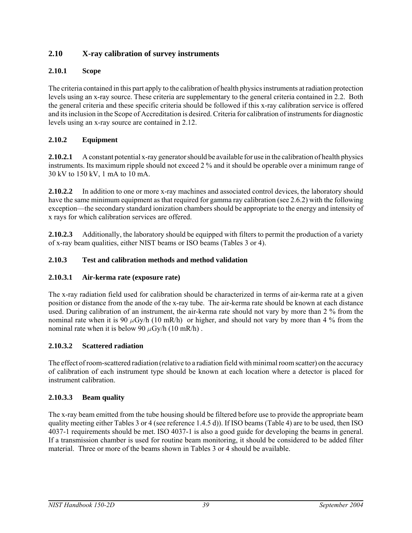# **2.10 X-ray calibration of survey instruments**

## **2.10.1 Scope**

The criteria contained in this part apply to the calibration of health physics instruments at radiation protection levels using an x-ray source. These criteria are supplementary to the general criteria contained in 2.2. Both the general criteria and these specific criteria should be followed if this x-ray calibration service is offered and its inclusion in the Scope of Accreditation is desired. Criteria for calibration of instruments for diagnostic levels using an x-ray source are contained in 2.12.

## **2.10.2 Equipment**

**2.10.2.1** A constant potential x-ray generator should be available for use in the calibration of health physics instruments. Its maximum ripple should not exceed 2 % and it should be operable over a minimum range of 30 kV to 150 kV, 1 mA to 10 mA.

**2.10.2.2** In addition to one or more x-ray machines and associated control devices, the laboratory should have the same minimum equipment as that required for gamma ray calibration (see 2.6.2) with the following exception—the secondary standard ionization chambers should be appropriate to the energy and intensity of x rays for which calibration services are offered.

**2.10.2.3** Additionally, the laboratory should be equipped with filters to permit the production of a variety of x-ray beam qualities, either NIST beams or ISO beams (Tables 3 or 4).

## **2.10.3 Test and calibration methods and method validation**

## **2.10.3.1 Air-kerma rate (exposure rate)**

The x-ray radiation field used for calibration should be characterized in terms of air-kerma rate at a given position or distance from the anode of the x-ray tube. The air-kerma rate should be known at each distance used. During calibration of an instrument, the air-kerma rate should not vary by more than 2 % from the nominal rate when it is 90  $\mu$ Gy/h (10 mR/h) or higher, and should not vary by more than 4 % from the nominal rate when it is below 90  $\mu$ Gy/h (10 mR/h).

## **2.10.3.2 Scattered radiation**

The effect of room-scattered radiation (relative to a radiation field with minimal room scatter) on the accuracy of calibration of each instrument type should be known at each location where a detector is placed for instrument calibration.

## **2.10.3.3 Beam quality**

The x-ray beam emitted from the tube housing should be filtered before use to provide the appropriate beam quality meeting either Tables 3 or 4 (see reference 1.4.5 d)). If ISO beams (Table 4) are to be used, then ISO 4037-1 requirements should be met. ISO 4037-1 is also a good guide for developing the beams in general. If a transmission chamber is used for routine beam monitoring, it should be considered to be added filter material. Three or more of the beams shown in Tables 3 or 4 should be available.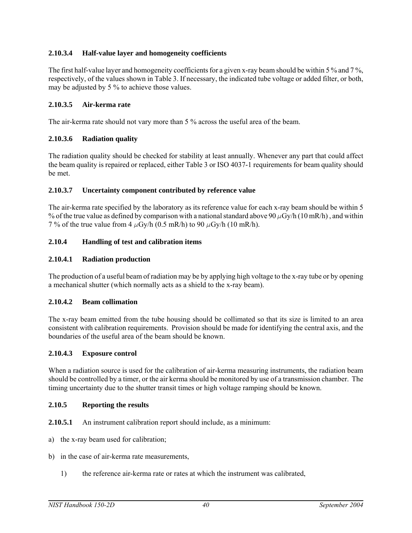#### **2.10.3.4 Half-value layer and homogeneity coefficients**

The first half-value layer and homogeneity coefficients for a given x-ray beam should be within 5 % and 7 %, respectively, of the values shown in Table 3. If necessary, the indicated tube voltage or added filter, or both, may be adjusted by 5 % to achieve those values.

#### **2.10.3.5 Air-kerma rate**

The air-kerma rate should not vary more than 5 % across the useful area of the beam.

## **2.10.3.6 Radiation quality**

The radiation quality should be checked for stability at least annually. Whenever any part that could affect the beam quality is repaired or replaced, either Table 3 or ISO 4037-1 requirements for beam quality should be met.

#### **2.10.3.7 Uncertainty component contributed by reference value**

The air-kerma rate specified by the laboratory as its reference value for each x-ray beam should be within 5 % of the true value as defined by comparison with a national standard above 90  $\mu$ Gy/h (10 mR/h), and within 7 % of the true value from 4  $\mu$ Gy/h (0.5 mR/h) to 90  $\mu$ Gy/h (10 mR/h).

#### **2.10.4 Handling of test and calibration items**

#### **2.10.4.1 Radiation production**

The production of a useful beam of radiation may be by applying high voltage to the x-ray tube or by opening a mechanical shutter (which normally acts as a shield to the x-ray beam).

#### **2.10.4.2 Beam collimation**

The x-ray beam emitted from the tube housing should be collimated so that its size is limited to an area consistent with calibration requirements. Provision should be made for identifying the central axis, and the boundaries of the useful area of the beam should be known.

#### **2.10.4.3 Exposure control**

When a radiation source is used for the calibration of air-kerma measuring instruments, the radiation beam should be controlled by a timer, or the air kerma should be monitored by use of a transmission chamber. The timing uncertainty due to the shutter transit times or high voltage ramping should be known.

#### **2.10.5 Reporting the results**

**2.10.5.1** An instrument calibration report should include, as a minimum:

- a) the x-ray beam used for calibration;
- b) in the case of air-kerma rate measurements,
	- 1) the reference air-kerma rate or rates at which the instrument was calibrated,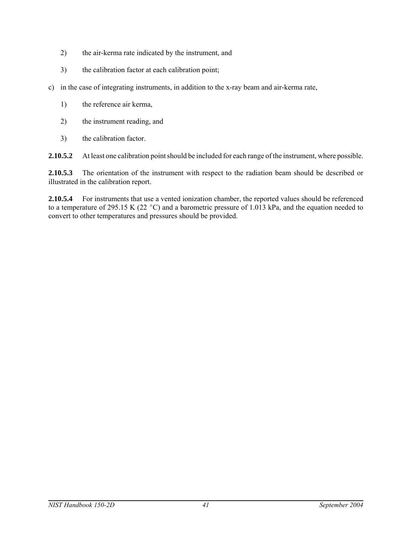- 2) the air-kerma rate indicated by the instrument, and
- 3) the calibration factor at each calibration point;
- c) in the case of integrating instruments, in addition to the x-ray beam and air-kerma rate,
	- 1) the reference air kerma,
	- 2) the instrument reading, and
	- 3) the calibration factor.

**2.10.5.2** At least one calibration point should be included for each range of the instrument, where possible.

**2.10.5.3** The orientation of the instrument with respect to the radiation beam should be described or illustrated in the calibration report.

**2.10.5.4** For instruments that use a vented ionization chamber, the reported values should be referenced to a temperature of 295.15 K (22 °C) and a barometric pressure of 1.013 kPa, and the equation needed to convert to other temperatures and pressures should be provided.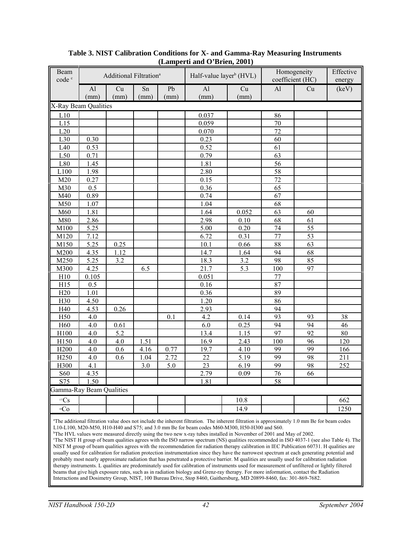| Beam<br>code <sup>c</sup>                                                                                                                                                                                                                                                                                                                                                                                                                                                                                                                                                                                                                                                                                                                                                                                                                                                                                                                                                                                                                                                                                                                                                                                                                                                                                                                                                                            |                      | Additional Filtration <sup>a</sup> |            |            |              | Half-value layer <sup>b</sup> (HVL) |          | Homogeneity<br>coefficient (HC) |                 |
|------------------------------------------------------------------------------------------------------------------------------------------------------------------------------------------------------------------------------------------------------------------------------------------------------------------------------------------------------------------------------------------------------------------------------------------------------------------------------------------------------------------------------------------------------------------------------------------------------------------------------------------------------------------------------------------------------------------------------------------------------------------------------------------------------------------------------------------------------------------------------------------------------------------------------------------------------------------------------------------------------------------------------------------------------------------------------------------------------------------------------------------------------------------------------------------------------------------------------------------------------------------------------------------------------------------------------------------------------------------------------------------------------|----------------------|------------------------------------|------------|------------|--------------|-------------------------------------|----------|---------------------------------|-----------------|
|                                                                                                                                                                                                                                                                                                                                                                                                                                                                                                                                                                                                                                                                                                                                                                                                                                                                                                                                                                                                                                                                                                                                                                                                                                                                                                                                                                                                      | Al<br>(mm)           | Cu<br>(mm)                         | Sn<br>(mm) | Pb<br>(mm) | AI<br>(mm)   | Cu<br>(mm)                          | Al       | Cu                              | energy<br>(key) |
|                                                                                                                                                                                                                                                                                                                                                                                                                                                                                                                                                                                                                                                                                                                                                                                                                                                                                                                                                                                                                                                                                                                                                                                                                                                                                                                                                                                                      | X-Ray Beam Qualities |                                    |            |            |              |                                     |          |                                 |                 |
| L10                                                                                                                                                                                                                                                                                                                                                                                                                                                                                                                                                                                                                                                                                                                                                                                                                                                                                                                                                                                                                                                                                                                                                                                                                                                                                                                                                                                                  |                      |                                    |            |            | 0.037        |                                     | 86       |                                 |                 |
| L15                                                                                                                                                                                                                                                                                                                                                                                                                                                                                                                                                                                                                                                                                                                                                                                                                                                                                                                                                                                                                                                                                                                                                                                                                                                                                                                                                                                                  |                      |                                    |            |            | 0.059        |                                     | 70       |                                 |                 |
| L20                                                                                                                                                                                                                                                                                                                                                                                                                                                                                                                                                                                                                                                                                                                                                                                                                                                                                                                                                                                                                                                                                                                                                                                                                                                                                                                                                                                                  |                      |                                    |            |            | 0.070        |                                     | 72       |                                 |                 |
| L30                                                                                                                                                                                                                                                                                                                                                                                                                                                                                                                                                                                                                                                                                                                                                                                                                                                                                                                                                                                                                                                                                                                                                                                                                                                                                                                                                                                                  | 0.30                 |                                    |            |            | 0.23         |                                     | 60       |                                 |                 |
| L40                                                                                                                                                                                                                                                                                                                                                                                                                                                                                                                                                                                                                                                                                                                                                                                                                                                                                                                                                                                                                                                                                                                                                                                                                                                                                                                                                                                                  | 0.53                 |                                    |            |            | 0.52         |                                     | 61       |                                 |                 |
| L50                                                                                                                                                                                                                                                                                                                                                                                                                                                                                                                                                                                                                                                                                                                                                                                                                                                                                                                                                                                                                                                                                                                                                                                                                                                                                                                                                                                                  | 0.71                 |                                    |            |            | 0.79         |                                     | 63       |                                 |                 |
| L80                                                                                                                                                                                                                                                                                                                                                                                                                                                                                                                                                                                                                                                                                                                                                                                                                                                                                                                                                                                                                                                                                                                                                                                                                                                                                                                                                                                                  | 1.45                 |                                    |            |            | 1.81         |                                     | 56       |                                 |                 |
| L100                                                                                                                                                                                                                                                                                                                                                                                                                                                                                                                                                                                                                                                                                                                                                                                                                                                                                                                                                                                                                                                                                                                                                                                                                                                                                                                                                                                                 | 1.98                 |                                    |            |            | 2.80         |                                     | 58       |                                 |                 |
| M20                                                                                                                                                                                                                                                                                                                                                                                                                                                                                                                                                                                                                                                                                                                                                                                                                                                                                                                                                                                                                                                                                                                                                                                                                                                                                                                                                                                                  | 0.27                 |                                    |            |            | 0.15         |                                     | 72       |                                 |                 |
| M30                                                                                                                                                                                                                                                                                                                                                                                                                                                                                                                                                                                                                                                                                                                                                                                                                                                                                                                                                                                                                                                                                                                                                                                                                                                                                                                                                                                                  | 0.5                  |                                    |            |            | 0.36         |                                     | 65       |                                 |                 |
| M40                                                                                                                                                                                                                                                                                                                                                                                                                                                                                                                                                                                                                                                                                                                                                                                                                                                                                                                                                                                                                                                                                                                                                                                                                                                                                                                                                                                                  | 0.89                 |                                    |            |            | 0.74         |                                     | 67       |                                 |                 |
| M50                                                                                                                                                                                                                                                                                                                                                                                                                                                                                                                                                                                                                                                                                                                                                                                                                                                                                                                                                                                                                                                                                                                                                                                                                                                                                                                                                                                                  | 1.07                 |                                    |            |            | 1.04         |                                     | 68       |                                 |                 |
| M60                                                                                                                                                                                                                                                                                                                                                                                                                                                                                                                                                                                                                                                                                                                                                                                                                                                                                                                                                                                                                                                                                                                                                                                                                                                                                                                                                                                                  | 1.81                 |                                    |            |            | 1.64         | 0.052                               | 63       | 60                              |                 |
| M80                                                                                                                                                                                                                                                                                                                                                                                                                                                                                                                                                                                                                                                                                                                                                                                                                                                                                                                                                                                                                                                                                                                                                                                                                                                                                                                                                                                                  | 2.86                 |                                    |            |            |              | 0.10                                | 68       | 61                              |                 |
| M100                                                                                                                                                                                                                                                                                                                                                                                                                                                                                                                                                                                                                                                                                                                                                                                                                                                                                                                                                                                                                                                                                                                                                                                                                                                                                                                                                                                                 | 5.25                 |                                    |            |            | 2.98<br>5.00 | 0.20                                | 74       | 55                              |                 |
|                                                                                                                                                                                                                                                                                                                                                                                                                                                                                                                                                                                                                                                                                                                                                                                                                                                                                                                                                                                                                                                                                                                                                                                                                                                                                                                                                                                                      | 7.12                 |                                    |            |            | 6.72         | 0.31                                | 77       | 53                              |                 |
| M120                                                                                                                                                                                                                                                                                                                                                                                                                                                                                                                                                                                                                                                                                                                                                                                                                                                                                                                                                                                                                                                                                                                                                                                                                                                                                                                                                                                                 |                      |                                    |            |            |              |                                     |          | 63                              |                 |
| M150                                                                                                                                                                                                                                                                                                                                                                                                                                                                                                                                                                                                                                                                                                                                                                                                                                                                                                                                                                                                                                                                                                                                                                                                                                                                                                                                                                                                 | 5.25                 | 0.25                               |            |            | 10.1         | 0.66                                | 88<br>94 | 68                              |                 |
| M200                                                                                                                                                                                                                                                                                                                                                                                                                                                                                                                                                                                                                                                                                                                                                                                                                                                                                                                                                                                                                                                                                                                                                                                                                                                                                                                                                                                                 | 4.35                 | 1.12                               |            |            | 14.7         | 1.64                                |          |                                 |                 |
| M250                                                                                                                                                                                                                                                                                                                                                                                                                                                                                                                                                                                                                                                                                                                                                                                                                                                                                                                                                                                                                                                                                                                                                                                                                                                                                                                                                                                                 | 5.25                 | 3.2                                |            |            | 18.3         | 3.2                                 | 98       | 85                              |                 |
| M300                                                                                                                                                                                                                                                                                                                                                                                                                                                                                                                                                                                                                                                                                                                                                                                                                                                                                                                                                                                                                                                                                                                                                                                                                                                                                                                                                                                                 | 4.25                 |                                    | 6.5        |            | 21.7         | 5.3                                 | 100      | 97                              |                 |
| H10                                                                                                                                                                                                                                                                                                                                                                                                                                                                                                                                                                                                                                                                                                                                                                                                                                                                                                                                                                                                                                                                                                                                                                                                                                                                                                                                                                                                  | 0.105                |                                    |            |            | 0.051        |                                     | 77       |                                 |                 |
| H15                                                                                                                                                                                                                                                                                                                                                                                                                                                                                                                                                                                                                                                                                                                                                                                                                                                                                                                                                                                                                                                                                                                                                                                                                                                                                                                                                                                                  | 0.5                  |                                    |            |            | 0.16         |                                     | 87       |                                 |                 |
| H20                                                                                                                                                                                                                                                                                                                                                                                                                                                                                                                                                                                                                                                                                                                                                                                                                                                                                                                                                                                                                                                                                                                                                                                                                                                                                                                                                                                                  | 1.01                 |                                    |            |            | 0.36         |                                     | 89       |                                 |                 |
| H30                                                                                                                                                                                                                                                                                                                                                                                                                                                                                                                                                                                                                                                                                                                                                                                                                                                                                                                                                                                                                                                                                                                                                                                                                                                                                                                                                                                                  | 4.50                 |                                    |            |            | 1.20         |                                     | 86       |                                 |                 |
| H40                                                                                                                                                                                                                                                                                                                                                                                                                                                                                                                                                                                                                                                                                                                                                                                                                                                                                                                                                                                                                                                                                                                                                                                                                                                                                                                                                                                                  | 4.53                 | 0.26                               |            |            | 2.93         |                                     | 94       |                                 |                 |
| H50                                                                                                                                                                                                                                                                                                                                                                                                                                                                                                                                                                                                                                                                                                                                                                                                                                                                                                                                                                                                                                                                                                                                                                                                                                                                                                                                                                                                  | 4.0                  |                                    |            | 0.1        | 4.2          | 0.14                                | 93       | 93                              | 38              |
| H <sub>60</sub>                                                                                                                                                                                                                                                                                                                                                                                                                                                                                                                                                                                                                                                                                                                                                                                                                                                                                                                                                                                                                                                                                                                                                                                                                                                                                                                                                                                      | 4.0                  | 0.61                               |            |            | 6.0          | 0.25                                | 94       | 94                              | 46              |
| H100                                                                                                                                                                                                                                                                                                                                                                                                                                                                                                                                                                                                                                                                                                                                                                                                                                                                                                                                                                                                                                                                                                                                                                                                                                                                                                                                                                                                 | 4.0                  | 5.2                                |            |            | 13.4         | 1.15                                | 97       | 92                              | 80              |
| H150                                                                                                                                                                                                                                                                                                                                                                                                                                                                                                                                                                                                                                                                                                                                                                                                                                                                                                                                                                                                                                                                                                                                                                                                                                                                                                                                                                                                 | 4.0                  | 4.0                                | 1.51       |            | 16.9         | 2.43                                | 100      | 96                              | 120             |
| H <sub>200</sub>                                                                                                                                                                                                                                                                                                                                                                                                                                                                                                                                                                                                                                                                                                                                                                                                                                                                                                                                                                                                                                                                                                                                                                                                                                                                                                                                                                                     | 4.0                  | 0.6                                | 4.16       | 0.77       | 19.7         | 4.10                                | 99       | 99                              | 166             |
| H <sub>250</sub>                                                                                                                                                                                                                                                                                                                                                                                                                                                                                                                                                                                                                                                                                                                                                                                                                                                                                                                                                                                                                                                                                                                                                                                                                                                                                                                                                                                     | 4.0                  | 0.6                                | 1.04       | 2.72       | 22<br>23     | 5.19                                | 99<br>99 | 98                              | 211             |
| H300                                                                                                                                                                                                                                                                                                                                                                                                                                                                                                                                                                                                                                                                                                                                                                                                                                                                                                                                                                                                                                                                                                                                                                                                                                                                                                                                                                                                 | 4.1                  |                                    | 3.0        | 5.0        |              | 6.19                                |          | 98                              | 252             |
| S60<br>S75                                                                                                                                                                                                                                                                                                                                                                                                                                                                                                                                                                                                                                                                                                                                                                                                                                                                                                                                                                                                                                                                                                                                                                                                                                                                                                                                                                                           | 4.35                 |                                    |            |            | 2.79<br>1.81 | 0.09                                | 76<br>58 | 66                              |                 |
| Gamma-Ray Beam Qualities                                                                                                                                                                                                                                                                                                                                                                                                                                                                                                                                                                                                                                                                                                                                                                                                                                                                                                                                                                                                                                                                                                                                                                                                                                                                                                                                                                             | 1.50                 |                                    |            |            |              |                                     |          |                                 |                 |
|                                                                                                                                                                                                                                                                                                                                                                                                                                                                                                                                                                                                                                                                                                                                                                                                                                                                                                                                                                                                                                                                                                                                                                                                                                                                                                                                                                                                      |                      |                                    |            |            |              |                                     |          |                                 |                 |
| 137Cs                                                                                                                                                                                                                                                                                                                                                                                                                                                                                                                                                                                                                                                                                                                                                                                                                                                                                                                                                                                                                                                                                                                                                                                                                                                                                                                                                                                                |                      |                                    |            |            |              | 10.8                                |          |                                 | 662             |
| $^{60}Co$                                                                                                                                                                                                                                                                                                                                                                                                                                                                                                                                                                                                                                                                                                                                                                                                                                                                                                                                                                                                                                                                                                                                                                                                                                                                                                                                                                                            |                      |                                    |            |            |              | 14.9                                |          |                                 | 1250            |
| <sup>a</sup> The additional filtration value does not include the inherent filtration. The inherent filtration is approximately 1.0 mm Be for beam codes<br>L10-L100, M20-M50, H10-H40 and S75; and 3.0 mm Be for beam codes M60-M300, H50-H300 and S60.<br><sup>b</sup> The HVL values were measured directly using the two new x-ray tubes installed in November of 2001 and May of 2002.<br>The NIST H group of beam qualities agrees with the ISO narrow spectrum (NS) qualities recommended in ISO 4037-1 (see also Table 4). The<br>NIST M group of beam qualities agrees with the recommendation for radiation therapy calibration in IEC Publication 60731. H qualities are<br>usually used for calibration for radiation protection instrumentation since they have the narrowest spectrum at each generating potential and<br>probably most nearly approximate radiation that has penetrated a protective barrier. M qualities are usually used for calibration radiation<br>therapy instruments. L qualities are predominately used for calibration of instruments used for measurement of unfiltered or lightly filtered<br>beams that give high exposure rates, such as in radiation biology and Grenz-ray therapy. For more information, contact the Radiation<br>Interactions and Dosimetry Group, NIST, 100 Bureau Drive, Stop 8460, Gaithersburg, MD 20899-8460, fax: 301-869-7682. |                      |                                    |            |            |              |                                     |          |                                 |                 |

#### **Table 3. NIST Calibration Conditions for X- and Gamma-Ray Measuring Instruments (Lamperti and O'Brien, 2001)**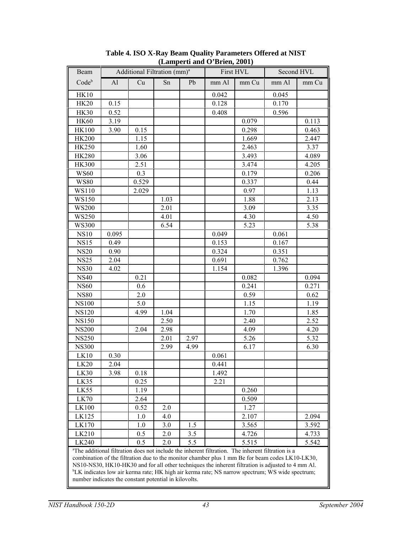| Beam         |       | Additional Filtration (mm) <sup>a</sup> |      |      | $\mu$ $\mu$ and $\sigma$ being $\mu$ and $\sigma$ | First HVL                                                                                                     |       | Second HVL |
|--------------|-------|-----------------------------------------|------|------|---------------------------------------------------|---------------------------------------------------------------------------------------------------------------|-------|------------|
| Codeb        | AI    | Cu                                      | Sn   | Pb   | mm Al                                             | mm Cu                                                                                                         | mm Al | mm Cu      |
| <b>HK10</b>  |       |                                         |      |      | 0.042                                             |                                                                                                               | 0.045 |            |
| <b>HK20</b>  | 0.15  |                                         |      |      | 0.128                                             |                                                                                                               | 0.170 |            |
| <b>HK30</b>  | 0.52  |                                         |      |      | 0.408                                             |                                                                                                               | 0.596 |            |
| <b>HK60</b>  | 3.19  |                                         |      |      |                                                   | 0.079                                                                                                         |       | 0.113      |
| <b>HK100</b> | 3.90  | 0.15                                    |      |      |                                                   | 0.298                                                                                                         |       | 0.463      |
| <b>HK200</b> |       | 1.15                                    |      |      |                                                   | 1.669                                                                                                         |       | 2.447      |
| <b>HK250</b> |       | 1.60                                    |      |      |                                                   | 2.463                                                                                                         |       | 3.37       |
| <b>HK280</b> |       | 3.06                                    |      |      |                                                   | 3.493                                                                                                         |       | 4.089      |
| <b>HK300</b> |       | 2.51                                    |      |      |                                                   | 3.474                                                                                                         |       | 4.205      |
| <b>WS60</b>  |       | 0.3                                     |      |      |                                                   | 0.179                                                                                                         |       | 0.206      |
| <b>WS80</b>  |       | 0.529                                   |      |      |                                                   | 0.337                                                                                                         |       | 0.44       |
| WS110        |       | 2.029                                   |      |      |                                                   | 0.97                                                                                                          |       | 1.13       |
| WS150        |       |                                         | 1.03 |      |                                                   | 1.88                                                                                                          |       | 2.13       |
| <b>WS200</b> |       |                                         | 2.01 |      |                                                   | 3.09                                                                                                          |       | 3.35       |
| WS250        |       |                                         | 4.01 |      |                                                   | 4.30                                                                                                          |       | 4.50       |
| <b>WS300</b> |       |                                         | 6.54 |      |                                                   | 5.23                                                                                                          |       | 5.38       |
| <b>NS10</b>  | 0.095 |                                         |      |      | 0.049                                             |                                                                                                               | 0.061 |            |
| <b>NS15</b>  | 0.49  |                                         |      |      | 0.153                                             |                                                                                                               | 0.167 |            |
| <b>NS20</b>  | 0.90  |                                         |      |      | 0.324                                             |                                                                                                               | 0.351 |            |
| <b>NS25</b>  | 2.04  |                                         |      |      | 0.691                                             |                                                                                                               | 0.762 |            |
| <b>NS30</b>  | 4.02  |                                         |      |      | 1.154                                             |                                                                                                               | 1.396 |            |
| <b>NS40</b>  |       | 0.21                                    |      |      |                                                   | 0.082                                                                                                         |       | 0.094      |
| <b>NS60</b>  |       | 0.6                                     |      |      |                                                   | 0.241                                                                                                         |       | 0.271      |
| <b>NS80</b>  |       | 2.0                                     |      |      |                                                   | 0.59                                                                                                          |       | 0.62       |
| <b>NS100</b> |       | 5.0                                     |      |      |                                                   | 1.15                                                                                                          |       | 1.19       |
| <b>NS120</b> |       | 4.99                                    | 1.04 |      |                                                   | 1.70                                                                                                          |       | 1.85       |
| <b>NS150</b> |       |                                         | 2.50 |      |                                                   | 2.40                                                                                                          |       | 2.52       |
| <b>NS200</b> |       | 2.04                                    | 2.98 |      |                                                   | 4.09                                                                                                          |       | 4.20       |
| <b>NS250</b> |       |                                         | 2.01 | 2.97 |                                                   | 5.26                                                                                                          |       | 5.32       |
| <b>NS300</b> |       |                                         | 2.99 | 4.99 |                                                   | 6.17                                                                                                          |       | 6.30       |
| LK10         | 0.30  |                                         |      |      | 0.061                                             |                                                                                                               |       |            |
| LK20         | 2.04  |                                         |      |      | 0.441                                             |                                                                                                               |       |            |
| LK30         | 3.98  | 0.18                                    |      |      | 1.492                                             |                                                                                                               |       |            |
| LK35         |       | 0.25                                    |      |      | 2.21                                              |                                                                                                               |       |            |
| LK55         |       | 1.19                                    |      |      |                                                   | 0.260                                                                                                         |       |            |
| LK70         |       | 2.64                                    |      |      |                                                   | 0.509                                                                                                         |       |            |
| LK100        |       | 0.52                                    | 2.0  |      |                                                   | 1.27                                                                                                          |       |            |
| LK125        |       | 1.0                                     | 4.0  |      |                                                   | 2.107                                                                                                         |       | 2.094      |
| LK170        |       | 1.0                                     | 3.0  | 1.5  |                                                   | 3.565                                                                                                         |       | 3.592      |
| LK210        |       | 0.5                                     | 2.0  | 3.5  |                                                   | 4.726                                                                                                         |       | 4.733      |
| LK240        |       | 0.5                                     | 2.0  | 5.5  |                                                   | 5.515                                                                                                         |       | 5.542      |
|              |       |                                         |      |      |                                                   | <sup>a</sup> The additional filtration does not include the inherent filtration. The inherent filtration is a |       |            |

**Table 4. ISO X-Ray Beam Quality Parameters Offered at NIST (Lamperti and O'Brien, 2001)**

tion does not include the inherent filtration. The inherent filtration is a combination of the filtration due to the monitor chamber plus 1 mm Be for beam codes LK10-LK30, NS10-NS30, HK10-HK30 and for all other techniques the inherent filtration is adjusted to 4 mm Al. b LK indicates low air kerma rate; HK high air kerma rate; NS narrow spectrum; WS wide spectrum; number indicates the constant potential in kilovolts.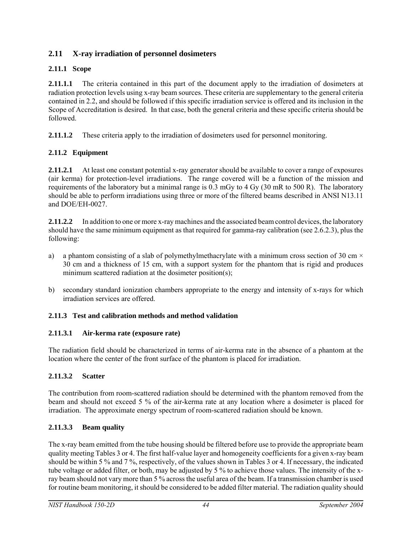# **2.11 X-ray irradiation of personnel dosimeters**

# **2.11.1 Scope**

**2.11.1.1** The criteria contained in this part of the document apply to the irradiation of dosimeters at radiation protection levels using x-ray beam sources. These criteria are supplementary to the general criteria contained in 2.2, and should be followed if this specific irradiation service is offered and its inclusion in the Scope of Accreditation is desired. In that case, both the general criteria and these specific criteria should be followed.

**2.11.1.2** These criteria apply to the irradiation of dosimeters used for personnel monitoring.

# **2.11.2 Equipment**

**2.11.2.1** At least one constant potential x-ray generator should be available to cover a range of exposures (air kerma) for protection-level irradiations. The range covered will be a function of the mission and requirements of the laboratory but a minimal range is 0.3 mGy to 4 Gy (30 mR to 500 R). The laboratory should be able to perform irradiations using three or more of the filtered beams described in ANSI N13.11 and DOE/EH-0027.

**2.11.2.2** In addition to one or more x-ray machines and the associated beam control devices, the laboratory should have the same minimum equipment as that required for gamma-ray calibration (see 2.6.2.3), plus the following:

- a) a phantom consisting of a slab of polymethylmethacrylate with a minimum cross section of 30 cm  $\times$ 30 cm and a thickness of 15 cm, with a support system for the phantom that is rigid and produces minimum scattered radiation at the dosimeter position(s);
- b) secondary standard ionization chambers appropriate to the energy and intensity of x-rays for which irradiation services are offered.

## **2.11.3 Test and calibration methods and method validation**

## **2.11.3.1 Air-kerma rate (exposure rate)**

The radiation field should be characterized in terms of air-kerma rate in the absence of a phantom at the location where the center of the front surface of the phantom is placed for irradiation.

## **2.11.3.2 Scatter**

The contribution from room-scattered radiation should be determined with the phantom removed from the beam and should not exceed 5 % of the air-kerma rate at any location where a dosimeter is placed for irradiation. The approximate energy spectrum of room-scattered radiation should be known.

## **2.11.3.3 Beam quality**

The x-ray beam emitted from the tube housing should be filtered before use to provide the appropriate beam quality meeting Tables 3 or 4. The first half-value layer and homogeneity coefficients for a given x-ray beam should be within 5 % and 7 %, respectively, of the values shown in Tables 3 or 4. If necessary, the indicated tube voltage or added filter, or both, may be adjusted by 5 % to achieve those values. The intensity of the xray beam should not vary more than 5 % across the useful area of the beam. If a transmission chamber is used for routine beam monitoring, it should be considered to be added filter material. The radiation quality should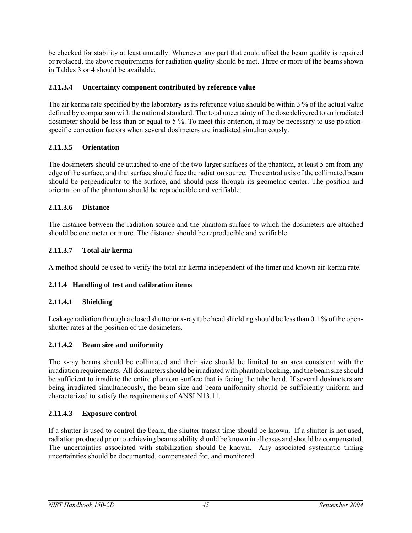be checked for stability at least annually. Whenever any part that could affect the beam quality is repaired or replaced, the above requirements for radiation quality should be met. Three or more of the beams shown in Tables 3 or 4 should be available.

## **2.11.3.4 Uncertainty component contributed by reference value**

The air kerma rate specified by the laboratory as its reference value should be within 3 % of the actual value defined by comparison with the national standard. The total uncertainty of the dose delivered to an irradiated dosimeter should be less than or equal to 5 %. To meet this criterion, it may be necessary to use positionspecific correction factors when several dosimeters are irradiated simultaneously.

## **2.11.3.5 Orientation**

The dosimeters should be attached to one of the two larger surfaces of the phantom, at least 5 cm from any edge of the surface, and that surface should face the radiation source. The central axis of the collimated beam should be perpendicular to the surface, and should pass through its geometric center. The position and orientation of the phantom should be reproducible and verifiable.

## **2.11.3.6 Distance**

The distance between the radiation source and the phantom surface to which the dosimeters are attached should be one meter or more. The distance should be reproducible and verifiable.

## **2.11.3.7 Total air kerma**

A method should be used to verify the total air kerma independent of the timer and known air-kerma rate.

## **2.11.4 Handling of test and calibration items**

## **2.11.4.1 Shielding**

Leakage radiation through a closed shutter or x-ray tube head shielding should be less than 0.1 % of the openshutter rates at the position of the dosimeters.

## **2.11.4.2 Beam size and uniformity**

The x-ray beams should be collimated and their size should be limited to an area consistent with the irradiation requirements. All dosimeters should be irradiated with phantom backing, and the beam size should be sufficient to irradiate the entire phantom surface that is facing the tube head. If several dosimeters are being irradiated simultaneously, the beam size and beam uniformity should be sufficiently uniform and characterized to satisfy the requirements of ANSI N13.11.

## **2.11.4.3 Exposure control**

If a shutter is used to control the beam, the shutter transit time should be known. If a shutter is not used, radiation produced prior to achieving beam stability should be known in all cases and should be compensated. The uncertainties associated with stabilization should be known. Any associated systematic timing uncertainties should be documented, compensated for, and monitored.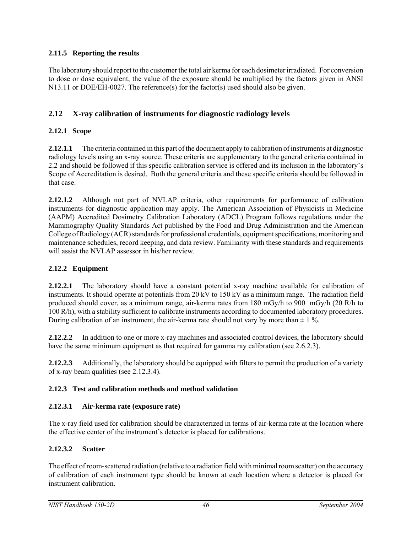## **2.11.5 Reporting the results**

The laboratory should report to the customer the total air kerma for each dosimeter irradiated. For conversion to dose or dose equivalent, the value of the exposure should be multiplied by the factors given in ANSI N13.11 or DOE/EH-0027. The reference(s) for the factor(s) used should also be given.

## **2.12 X-ray calibration of instruments for diagnostic radiology levels**

## **2.12.1 Scope**

**2.12.1.1** The criteria contained in this part of the document apply to calibration of instruments at diagnostic radiology levels using an x-ray source. These criteria are supplementary to the general criteria contained in 2.2 and should be followed if this specific calibration service is offered and its inclusion in the laboratory's Scope of Accreditation is desired. Both the general criteria and these specific criteria should be followed in that case.

**2.12.1.2** Although not part of NVLAP criteria, other requirements for performance of calibration instruments for diagnostic application may apply. The American Association of Physicists in Medicine (AAPM) Accredited Dosimetry Calibration Laboratory (ADCL) Program follows regulations under the Mammography Quality Standards Act published by the Food and Drug Administration and the American College of Radiology (ACR) standards for professional credentials, equipment specifications, monitoring and maintenance schedules, record keeping, and data review. Familiarity with these standards and requirements will assist the NVLAP assessor in his/her review.

## **2.12.2 Equipment**

**2.12.2.1** The laboratory should have a constant potential x-ray machine available for calibration of instruments. It should operate at potentials from 20 kV to 150 kV as a minimum range. The radiation field produced should cover, as a minimum range, air-kerma rates from 180 mGy/h to 900 mGy/h (20 R/h to 100 R/h), with a stability sufficient to calibrate instruments according to documented laboratory procedures. During calibration of an instrument, the air-kerma rate should not vary by more than  $\pm 1\%$ .

**2.12.2.2** In addition to one or more x-ray machines and associated control devices, the laboratory should have the same minimum equipment as that required for gamma ray calibration (see 2.6.2.3).

**2.12.2.3** Additionally, the laboratory should be equipped with filters to permit the production of a variety of x-ray beam qualities (see 2.12.3.4).

## **2.12.3 Test and calibration methods and method validation**

## **2.12.3.1 Air-kerma rate (exposure rate)**

The x-ray field used for calibration should be characterized in terms of air-kerma rate at the location where the effective center of the instrument's detector is placed for calibrations.

## **2.12.3.2 Scatter**

The effect of room-scattered radiation (relative to a radiation field with minimal room scatter) on the accuracy of calibration of each instrument type should be known at each location where a detector is placed for instrument calibration.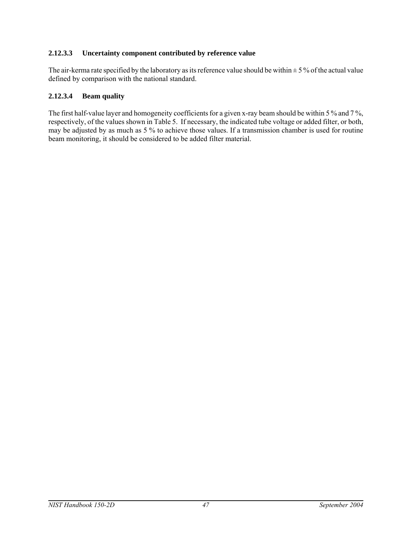## **2.12.3.3 Uncertainty component contributed by reference value**

The air-kerma rate specified by the laboratory as its reference value should be within  $\pm$  5 % of the actual value defined by comparison with the national standard.

#### **2.12.3.4 Beam quality**

The first half-value layer and homogeneity coefficients for a given x-ray beam should be within 5 % and 7 %, respectively, of the values shown in Table 5. If necessary, the indicated tube voltage or added filter, or both, may be adjusted by as much as 5 % to achieve those values. If a transmission chamber is used for routine beam monitoring, it should be considered to be added filter material.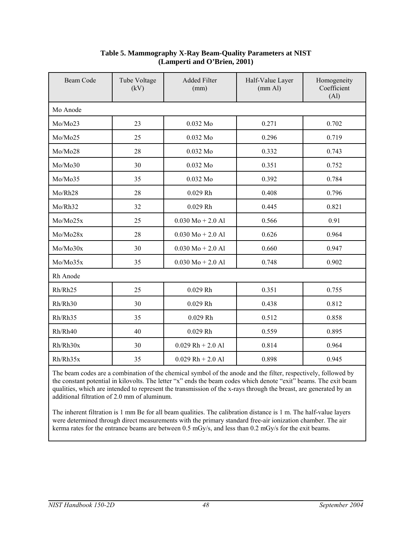| Beam Code | Tube Voltage<br>(kV) | <b>Added Filter</b><br>(mm) | Half-Value Layer<br>(mm Al) | Homogeneity<br>Coefficient<br>(A <sub>1</sub> ) |
|-----------|----------------------|-----------------------------|-----------------------------|-------------------------------------------------|
| Mo Anode  |                      |                             |                             |                                                 |
| Mo/Mo23   | 23                   | 0.032 Mo                    | 0.271                       | 0.702                                           |
| Mo/Mo25   | 25                   | 0.032 Mo                    | 0.296                       | 0.719                                           |
| Mo/Mo28   | 28                   | 0.032 Mo                    | 0.332                       | 0.743                                           |
| Mo/Mo30   | 30                   | 0.032 Mo                    | 0.351                       | 0.752                                           |
| Mo/Mo35   | 35                   | 0.032 Mo                    | 0.392                       | 0.784                                           |
| Mo/Rh28   | 28                   | $0.029$ Rh                  | 0.408                       | 0.796                                           |
| Mo/Rh32   | 32                   | $0.029$ Rh                  | 0.445                       | 0.821                                           |
| Mo/Mo25x  | 25                   | $0.030 Mo + 2.0 Al$         | 0.566                       | 0.91                                            |
| Mo/Mo28x  | 28                   | $0.030 Mo + 2.0 Al$         | 0.626                       | 0.964                                           |
| Mo/Mo30x  | 30                   | $0.030 Mo + 2.0 Al$         | 0.660                       | 0.947                                           |
| Mo/Mo35x  | 35                   | $0.030 Mo + 2.0 Al$         | 0.748                       | 0.902                                           |
| Rh Anode  |                      |                             |                             |                                                 |
| Rh/Rh25   | 25                   | $0.029$ Rh                  | 0.351                       | 0.755                                           |
| Rh/Rh30   | 30                   | $0.029$ Rh                  | 0.438                       | 0.812                                           |
| Rh/Rh35   | 35                   | $0.029$ Rh                  | 0.512                       | 0.858                                           |
| Rh/Rh40   | 40                   | $0.029$ Rh                  | 0.559                       | 0.895                                           |
| Rh/Rh30x  | 30                   | $0.029$ Rh + 2.0 Al         | 0.814                       | 0.964                                           |
| Rh/Rh35x  | 35                   | $0.029$ Rh + 2.0 Al         | 0.898                       | 0.945                                           |

#### **Table 5. Mammography X-Ray Beam-Quality Parameters at NIST (Lamperti and O'Brien, 2001)**

The beam codes are a combination of the chemical symbol of the anode and the filter, respectively, followed by the constant potential in kilovolts. The letter "x" ends the beam codes which denote "exit" beams. The exit beam qualities, which are intended to represent the transmission of the x-rays through the breast, are generated by an additional filtration of 2.0 mm of aluminum.

The inherent filtration is 1 mm Be for all beam qualities. The calibration distance is 1 m. The half-value layers were determined through direct measurements with the primary standard free-air ionization chamber. The air kerma rates for the entrance beams are between 0.5 mGy/s, and less than 0.2 mGy/s for the exit beams.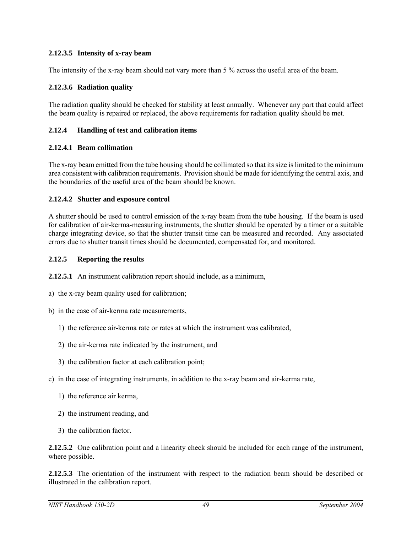#### **2.12.3.5 Intensity of x-ray beam**

The intensity of the x-ray beam should not vary more than 5 % across the useful area of the beam.

#### **2.12.3.6 Radiation quality**

The radiation quality should be checked for stability at least annually. Whenever any part that could affect the beam quality is repaired or replaced, the above requirements for radiation quality should be met.

#### **2.12.4 Handling of test and calibration items**

#### **2.12.4.1 Beam collimation**

The x-ray beam emitted from the tube housing should be collimated so that its size is limited to the minimum area consistent with calibration requirements. Provision should be made for identifying the central axis, and the boundaries of the useful area of the beam should be known.

#### **2.12.4.2 Shutter and exposure control**

A shutter should be used to control emission of the x-ray beam from the tube housing. If the beam is used for calibration of air-kerma-measuring instruments, the shutter should be operated by a timer or a suitable charge integrating device, so that the shutter transit time can be measured and recorded. Any associated errors due to shutter transit times should be documented, compensated for, and monitored.

#### **2.12.5 Reporting the results**

**2.12.5.1** An instrument calibration report should include, as a minimum,

- a) the x-ray beam quality used for calibration;
- b) in the case of air-kerma rate measurements,
	- 1) the reference air-kerma rate or rates at which the instrument was calibrated,
	- 2) the air-kerma rate indicated by the instrument, and
	- 3) the calibration factor at each calibration point;
- c) in the case of integrating instruments, in addition to the x-ray beam and air-kerma rate,
	- 1) the reference air kerma,
	- 2) the instrument reading, and
	- 3) the calibration factor.

**2.12.5.2** One calibration point and a linearity check should be included for each range of the instrument, where possible.

**2.12.5.3** The orientation of the instrument with respect to the radiation beam should be described or illustrated in the calibration report.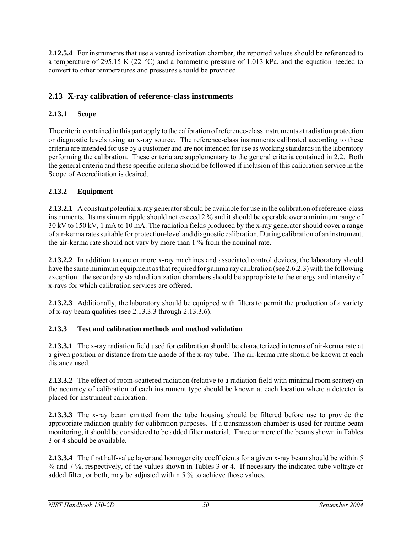**2.12.5.4** For instruments that use a vented ionization chamber, the reported values should be referenced to a temperature of 295.15 K (22 °C) and a barometric pressure of 1.013 kPa, and the equation needed to convert to other temperatures and pressures should be provided.

# **2.13 X-ray calibration of reference-class instruments**

## **2.13.1 Scope**

The criteria contained in this part apply to the calibration of reference-class instruments at radiation protection or diagnostic levels using an x-ray source. The reference-class instruments calibrated according to these criteria are intended for use by a customer and are not intended for use as working standards in the laboratory performing the calibration. These criteria are supplementary to the general criteria contained in 2.2. Both the general criteria and these specific criteria should be followed if inclusion of this calibration service in the Scope of Accreditation is desired.

## **2.13.2 Equipment**

**2.13.2.1** A constant potential x-ray generator should be available for use in the calibration of reference-class instruments. Its maximum ripple should not exceed 2 % and it should be operable over a minimum range of 30 kV to 150 kV, 1 mA to 10 mA. The radiation fields produced by the x-ray generator should cover a range of air-kerma rates suitable for protection-level and diagnostic calibration. During calibration of an instrument, the air-kerma rate should not vary by more than 1 % from the nominal rate.

**2.13.2.2** In addition to one or more x-ray machines and associated control devices, the laboratory should have the same minimum equipment as that required for gamma ray calibration (see 2.6.2.3) with the following exception: the secondary standard ionization chambers should be appropriate to the energy and intensity of x-rays for which calibration services are offered.

**2.13.2.3** Additionally, the laboratory should be equipped with filters to permit the production of a variety of x-ray beam qualities (see 2.13.3.3 through 2.13.3.6).

## **2.13.3 Test and calibration methods and method validation**

**2.13.3.1** The x-ray radiation field used for calibration should be characterized in terms of air-kerma rate at a given position or distance from the anode of the x-ray tube. The air-kerma rate should be known at each distance used.

**2.13.3.2** The effect of room-scattered radiation (relative to a radiation field with minimal room scatter) on the accuracy of calibration of each instrument type should be known at each location where a detector is placed for instrument calibration.

**2.13.3.3** The x-ray beam emitted from the tube housing should be filtered before use to provide the appropriate radiation quality for calibration purposes. If a transmission chamber is used for routine beam monitoring, it should be considered to be added filter material. Three or more of the beams shown in Tables 3 or 4 should be available.

**2.13.3.4** The first half-value layer and homogeneity coefficients for a given x-ray beam should be within 5 % and 7 %, respectively, of the values shown in Tables 3 or 4. If necessary the indicated tube voltage or added filter, or both, may be adjusted within 5 % to achieve those values.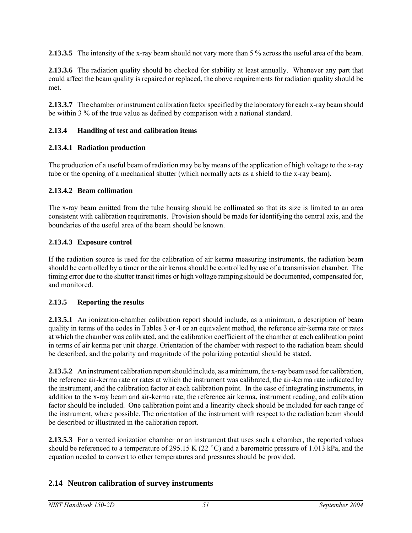**2.13.3.5** The intensity of the x-ray beam should not vary more than 5 % across the useful area of the beam.

**2.13.3.6** The radiation quality should be checked for stability at least annually. Whenever any part that could affect the beam quality is repaired or replaced, the above requirements for radiation quality should be met.

**2.13.3.7** The chamber or instrument calibration factor specified by the laboratory for each x-ray beam should be within 3 % of the true value as defined by comparison with a national standard.

## **2.13.4 Handling of test and calibration items**

## **2.13.4.1 Radiation production**

The production of a useful beam of radiation may be by means of the application of high voltage to the x-ray tube or the opening of a mechanical shutter (which normally acts as a shield to the x-ray beam).

## **2.13.4.2 Beam collimation**

The x-ray beam emitted from the tube housing should be collimated so that its size is limited to an area consistent with calibration requirements. Provision should be made for identifying the central axis, and the boundaries of the useful area of the beam should be known.

## **2.13.4.3 Exposure control**

If the radiation source is used for the calibration of air kerma measuring instruments, the radiation beam should be controlled by a timer or the air kerma should be controlled by use of a transmission chamber. The timing error due to the shutter transit times or high voltage ramping should be documented, compensated for, and monitored.

## **2.13.5 Reporting the results**

**2.13.5.1** An ionization-chamber calibration report should include, as a minimum, a description of beam quality in terms of the codes in Tables 3 or 4 or an equivalent method, the reference air-kerma rate or rates at which the chamber was calibrated, and the calibration coefficient of the chamber at each calibration point in terms of air kerma per unit charge. Orientation of the chamber with respect to the radiation beam should be described, and the polarity and magnitude of the polarizing potential should be stated.

**2.13.5.2** An instrument calibration report should include, as a minimum, the x-ray beam used for calibration, the reference air-kerma rate or rates at which the instrument was calibrated, the air-kerma rate indicated by the instrument, and the calibration factor at each calibration point. In the case of integrating instruments, in addition to the x-ray beam and air-kerma rate, the reference air kerma, instrument reading, and calibration factor should be included. One calibration point and a linearity check should be included for each range of the instrument, where possible. The orientation of the instrument with respect to the radiation beam should be described or illustrated in the calibration report.

**2.13.5.3** For a vented ionization chamber or an instrument that uses such a chamber, the reported values should be referenced to a temperature of 295.15 K (22  $^{\circ}$ C) and a barometric pressure of 1.013 kPa, and the equation needed to convert to other temperatures and pressures should be provided.

## **2.14 Neutron calibration of survey instruments**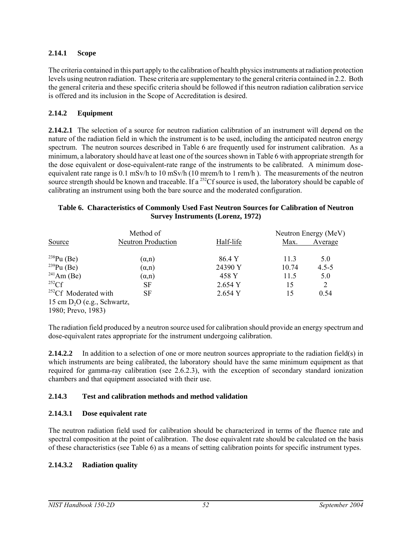#### **2.14.1 Scope**

The criteria contained in this part apply to the calibration of health physics instruments at radiation protection levels using neutron radiation. These criteria are supplementary to the general criteria contained in 2.2. Both the general criteria and these specific criteria should be followed if this neutron radiation calibration service is offered and its inclusion in the Scope of Accreditation is desired.

#### **2.14.2 Equipment**

**2.14.2.1** The selection of a source for neutron radiation calibration of an instrument will depend on the nature of the radiation field in which the instrument is to be used, including the anticipated neutron energy spectrum. The neutron sources described in Table 6 are frequently used for instrument calibration. As a minimum, a laboratory should have at least one of the sources shown in Table 6 with appropriate strength for the dose equivalent or dose-equivalent-rate range of the instruments to be calibrated. A minimum doseequivalent rate range is 0.1 mSv/h to 10 mSv/h (10 mrem/h to 1 rem/h ). The measurements of the neutron source strength should be known and traceable. If a <sup>252</sup>Cf source is used, the laboratory should be capable of calibrating an instrument using both the bare source and the moderated configuration.

#### **Table 6. Characteristics of Commonly Used Fast Neutron Sources for Calibration of Neutron Survey Instruments (Lorenz, 1972)**

|                                                     | Method of                 |           |       | Neutron Energy (MeV) |
|-----------------------------------------------------|---------------------------|-----------|-------|----------------------|
| Source                                              | <b>Neutron Production</b> | Half-life | Max.  | Average              |
| $^{238}Pu$ (Be)                                     | $(\alpha, n)$             | 86.4 Y    | 11.3  | 5.0                  |
| $^{239}Pu$ (Be)                                     | $(\alpha, n)$             | 24390 Y   | 10.74 | $4.5 - 5$            |
| $^{241}$ Am (Be)                                    | $(\alpha, n)$             | 458 Y     | 11.5  | 5.0                  |
| $^{252}$ Cf                                         | SF                        | 2.654Y    | 15    | 2                    |
| <sup>252</sup> Cf Moderated with                    | SF                        | 2.654 Y   | 15    | 0.54                 |
| 15 cm $D_2O$ (e.g., Schwartz,<br>1980; Prevo, 1983) |                           |           |       |                      |

The radiation field produced by a neutron source used for calibration should provide an energy spectrum and dose-equivalent rates appropriate for the instrument undergoing calibration.

**2.14.2.2** In addition to a selection of one or more neutron sources appropriate to the radiation field(s) in which instruments are being calibrated, the laboratory should have the same minimum equipment as that required for gamma-ray calibration (see 2.6.2.3), with the exception of secondary standard ionization chambers and that equipment associated with their use.

## **2.14.3 Test and calibration methods and method validation**

#### **2.14.3.1 Dose equivalent rate**

The neutron radiation field used for calibration should be characterized in terms of the fluence rate and spectral composition at the point of calibration. The dose equivalent rate should be calculated on the basis of these characteristics (see Table 6) as a means of setting calibration points for specific instrument types.

## **2.14.3.2 Radiation quality**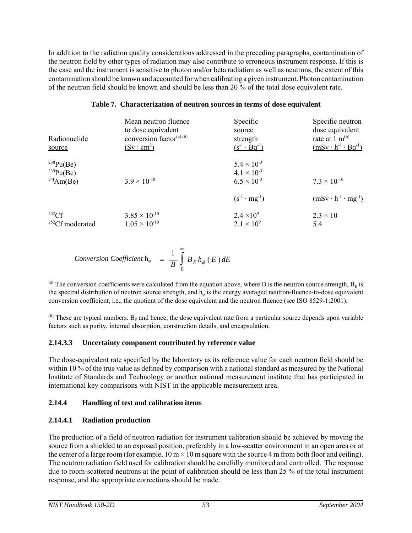In addition to the radiation quality considerations addressed in the preceding paragraphs, contamination of the neutron field by other types of radiation may also contribute to erroneous instrument response. If this is the case and the instrument is sensitive to photon and/or beta radiation as well as neutrons, the extent of this contamination should be known and accounted for when calibrating a given instrument. Photon contamination of the neutron field should be known and should be less than 20 % of the total dose equivalent rate.

#### **Table 7. Characterization of neutron sources in terms of dose equivalent**

| Radionuclide<br>source                             | Mean neutron fluence<br>to dose equivalent<br>conversion factor <sup>(a) (b)</sup><br>$(Sv \cdot cm^2)$ | Specific<br>source<br>strength<br>$(s^{-1} \cdot Bq^{-1})$           | Specific neutron<br>dose equivalent<br>rate at 1 $m^{(b)}$<br>$(mSv \cdot h^{-1} \cdot Bq^{-1})$ |
|----------------------------------------------------|---------------------------------------------------------------------------------------------------------|----------------------------------------------------------------------|--------------------------------------------------------------------------------------------------|
| $^{238}Pu(Be)$<br>$^{239}Pu(Be)$<br>$^{241}Am(Be)$ | $3.9 \times 10^{-10}$                                                                                   | $5.4 \times 10^{-3}$<br>$4.1 \times 10^{-3}$<br>$6.5 \times 10^{-3}$ | $7.3 \times 10^{-10}$                                                                            |
|                                                    |                                                                                                         | $(s^{-1} \cdot mg^{-1})$                                             | $(mSv \cdot h^{-1} \cdot mg^{-1})$                                                               |
| 252Cf<br><sup>252</sup> Cf moderated               | $3.85 \times 10^{-10}$<br>$1.05 \times 10^{-10}$                                                        | $2.4 \times 10^{9}$<br>$2.1 \times 10^{9}$                           | $2.3 \times 10$<br>5.4                                                                           |

$$
Conversion Coefficient h_{\varphi} = \frac{1}{B} \int_{0}^{\infty} B_{E} h_{\phi} (E) dE
$$

(a) The conversion coefficients were calculated from the equation above, where B is the neutron source strength,  $B<sub>F</sub>$  is the spectral distribution of neutron source strength, and h<sub>φ</sub> is the energy averaged neutron-fluence-to-dose equivalent conversion coefficient, i.e., the quotient of the dose equivalent and the neutron fluence (see ISO 8529-1:2001).

 $^{(b)}$  These are typical numbers.  $B<sub>E</sub>$  and hence, the dose equivalent rate from a particular source depends upon variable factors such as purity, internal absorption, construction details, and encapsulation.

## **2.14.3.3 Uncertainty component contributed by reference value**

The dose-equivalent rate specified by the laboratory as its reference value for each neutron field should be within 10 % of the true value as defined by comparison with a national standard as measured by the National Institute of Standards and Technology or another national measurement institute that has participated in international key comparisons with NIST in the applicable measurement area.

## **2.14.4 Handling of test and calibration items**

## **2.14.4.1 Radiation production**

The production of a field of neutron radiation for instrument calibration should be achieved by moving the source from a shielded to an exposed position, preferably in a low-scatter environment in an open area or at the center of a large room (for example,  $10 \text{ m} \times 10 \text{ m}$  square with the source 4 m from both floor and ceiling). The neutron radiation field used for calibration should be carefully monitored and controlled. The response due to room-scattered neutrons at the point of calibration should be less than 25 % of the total instrument response, and the appropriate corrections should be made.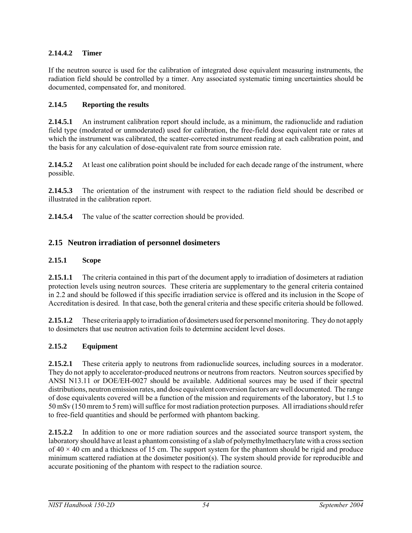## **2.14.4.2 Timer**

If the neutron source is used for the calibration of integrated dose equivalent measuring instruments, the radiation field should be controlled by a timer. Any associated systematic timing uncertainties should be documented, compensated for, and monitored.

## **2.14.5 Reporting the results**

**2.14.5.1** An instrument calibration report should include, as a minimum, the radionuclide and radiation field type (moderated or unmoderated) used for calibration, the free-field dose equivalent rate or rates at which the instrument was calibrated, the scatter-corrected instrument reading at each calibration point, and the basis for any calculation of dose-equivalent rate from source emission rate.

**2.14.5.2** At least one calibration point should be included for each decade range of the instrument, where possible.

**2.14.5.3** The orientation of the instrument with respect to the radiation field should be described or illustrated in the calibration report.

**2.14.5.4** The value of the scatter correction should be provided.

## **2.15 Neutron irradiation of personnel dosimeters**

## **2.15.1 Scope**

**2.15.1.1** The criteria contained in this part of the document apply to irradiation of dosimeters at radiation protection levels using neutron sources. These criteria are supplementary to the general criteria contained in 2.2 and should be followed if this specific irradiation service is offered and its inclusion in the Scope of Accreditation is desired. In that case, both the general criteria and these specific criteria should be followed.

**2.15.1.2** These criteria apply to irradiation of dosimeters used for personnel monitoring. They do not apply to dosimeters that use neutron activation foils to determine accident level doses.

## **2.15.2 Equipment**

**2.15.2.1** These criteria apply to neutrons from radionuclide sources, including sources in a moderator. They do not apply to accelerator-produced neutrons or neutrons from reactors. Neutron sources specified by ANSI N13.11 or DOE/EH-0027 should be available. Additional sources may be used if their spectral distributions, neutron emission rates, and dose equivalent conversion factors are well documented. The range of dose equivalents covered will be a function of the mission and requirements of the laboratory, but 1.5 to 50 mSv (150 mrem to 5 rem) will suffice for most radiation protection purposes. All irradiations should refer to free-field quantities and should be performed with phantom backing.

**2.15.2.2** In addition to one or more radiation sources and the associated source transport system, the laboratory should have at least a phantom consisting of a slab of polymethylmethacrylate with a cross section of  $40 \times 40$  cm and a thickness of 15 cm. The support system for the phantom should be rigid and produce minimum scattered radiation at the dosimeter position(s). The system should provide for reproducible and accurate positioning of the phantom with respect to the radiation source.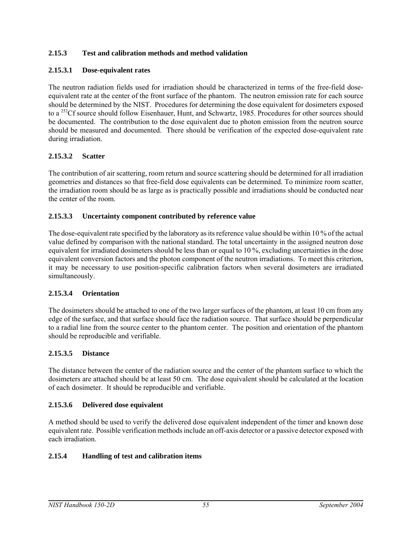## **2.15.3 Test and calibration methods and method validation**

## **2.15.3.1 Dose-equivalent rates**

The neutron radiation fields used for irradiation should be characterized in terms of the free-field doseequivalent rate at the center of the front surface of the phantom. The neutron emission rate for each source should be determined by the NIST. Procedures for determining the dose equivalent for dosimeters exposed to a <sup>252</sup>Cf source should follow Eisenhauer, Hunt, and Schwartz, 1985. Procedures for other sources should be documented. The contribution to the dose equivalent due to photon emission from the neutron source should be measured and documented. There should be verification of the expected dose-equivalent rate during irradiation.

## **2.15.3.2 Scatter**

The contribution of air scattering, room return and source scattering should be determined for all irradiation geometries and distances so that free-field dose equivalents can be determined. To minimize room scatter, the irradiation room should be as large as is practically possible and irradiations should be conducted near the center of the room.

## **2.15.3.3 Uncertainty component contributed by reference value**

The dose-equivalent rate specified by the laboratory as its reference value should be within 10 % of the actual value defined by comparison with the national standard. The total uncertainty in the assigned neutron dose equivalent for irradiated dosimeters should be less than or equal to 10 %, excluding uncertainties in the dose equivalent conversion factors and the photon component of the neutron irradiations. To meet this criterion, it may be necessary to use position-specific calibration factors when several dosimeters are irradiated simultaneously.

## **2.15.3.4 Orientation**

The dosimeters should be attached to one of the two larger surfaces of the phantom, at least 10 cm from any edge of the surface, and that surface should face the radiation source. That surface should be perpendicular to a radial line from the source center to the phantom center. The position and orientation of the phantom should be reproducible and verifiable.

## **2.15.3.5 Distance**

The distance between the center of the radiation source and the center of the phantom surface to which the dosimeters are attached should be at least 50 cm. The dose equivalent should be calculated at the location of each dosimeter. It should be reproducible and verifiable.

## **2.15.3.6 Delivered dose equivalent**

A method should be used to verify the delivered dose equivalent independent of the timer and known dose equivalent rate. Possible verification methods include an off-axis detector or a passive detector exposed with each irradiation.

## **2.15.4 Handling of test and calibration items**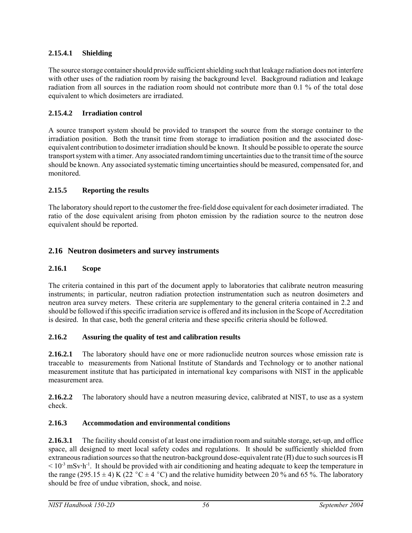## **2.15.4.1 Shielding**

The source storage container should provide sufficient shielding such that leakage radiation does not interfere with other uses of the radiation room by raising the background level. Background radiation and leakage radiation from all sources in the radiation room should not contribute more than 0.1 % of the total dose equivalent to which dosimeters are irradiated.

## **2.15.4.2 Irradiation control**

A source transport system should be provided to transport the source from the storage container to the irradiation position. Both the transit time from storage to irradiation position and the associated doseequivalent contribution to dosimeter irradiation should be known. It should be possible to operate the source transport system with a timer. Any associated random timing uncertainties due to the transit time of the source should be known. Any associated systematic timing uncertainties should be measured, compensated for, and monitored.

## **2.15.5 Reporting the results**

The laboratory should report to the customer the free-field dose equivalent for each dosimeter irradiated. The ratio of the dose equivalent arising from photon emission by the radiation source to the neutron dose equivalent should be reported.

## **2.16 Neutron dosimeters and survey instruments**

## **2.16.1 Scope**

The criteria contained in this part of the document apply to laboratories that calibrate neutron measuring instruments; in particular, neutron radiation protection instrumentation such as neutron dosimeters and neutron area survey meters. These criteria are supplementary to the general criteria contained in 2.2 and should be followed if this specific irradiation service is offered and its inclusion in the Scope of Accreditation is desired. In that case, both the general criteria and these specific criteria should be followed.

## **2.16.2 Assuring the quality of test and calibration results**

**2.16.2.1** The laboratory should have one or more radionuclide neutron sources whose emission rate is traceable to measurements from National Institute of Standards and Technology or to another national measurement institute that has participated in international key comparisons with NIST in the applicable measurement area.

**2.16.2.2** The laboratory should have a neutron measuring device, calibrated at NIST, to use as a system check.

## **2.16.3 Accommodation and environmental conditions**

**2.16.3.1** The facility should consist of at least one irradiation room and suitable storage, set-up, and office space, all designed to meet local safety codes and regulations. It should be sufficiently shielded from extraneous radiation sources so that the neutron-background dose-equivalent rate  $(H)$  due to such sources is  $H$  $< 10^{-3}$  mSv $\cdot$ h<sup>-1</sup>. It should be provided with air conditioning and heating adequate to keep the temperature in the range (295.15  $\pm$  4) K (22 °C  $\pm$  4 °C) and the relative humidity between 20 % and 65 %. The laboratory should be free of undue vibration, shock, and noise.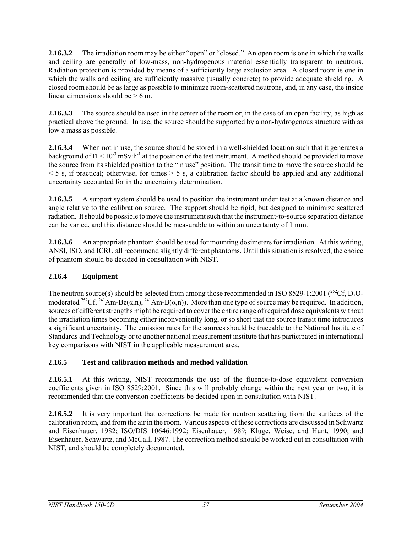**2.16.3.2** The irradiation room may be either "open" or "closed." An open room is one in which the walls and ceiling are generally of low-mass, non-hydrogenous material essentially transparent to neutrons. Radiation protection is provided by means of a sufficiently large exclusion area. A closed room is one in which the walls and ceiling are sufficiently massive (usually concrete) to provide adequate shielding. A closed room should be as large as possible to minimize room-scattered neutrons, and, in any case, the inside linear dimensions should be  $> 6$  m.

**2.16.3.3** The source should be used in the center of the room or, in the case of an open facility, as high as practical above the ground. In use, the source should be supported by a non-hydrogenous structure with as low a mass as possible.

**2.16.3.4** When not in use, the source should be stored in a well-shielded location such that it generates a background of  $H < 10^{-3}$  mSv $\cdot h^{-1}$  at the position of the test instrument. A method should be provided to move the source from its shielded position to the "in use" position. The transit time to move the source should be  $<$  5 s, if practical; otherwise, for times  $>$  5 s, a calibration factor should be applied and any additional uncertainty accounted for in the uncertainty determination.

**2.16.3.5** A support system should be used to position the instrument under test at a known distance and angle relative to the calibration source. The support should be rigid, but designed to minimize scattered radiation. It should be possible to move the instrument such that the instrument-to-source separation distance can be varied, and this distance should be measurable to within an uncertainty of 1 mm.

**2.16.3.6** An appropriate phantom should be used for mounting dosimeters for irradiation. At this writing, ANSI, ISO, and ICRU all recommend slightly different phantoms. Until this situation is resolved, the choice of phantom should be decided in consultation with NIST.

## **2.16.4 Equipment**

The neutron source(s) should be selected from among those recommended in ISO 8529-1:2001 (<sup>252</sup>Cf, D<sub>2</sub>Omoderated <sup>252</sup>Cf, <sup>241</sup>Am-Be( $\alpha$ ,n), <sup>241</sup>Am-B( $\alpha$ ,n)). More than one type of source may be required. In addition, sources of different strengths might be required to cover the entire range of required dose equivalents without the irradiation times becoming either inconveniently long, or so short that the source transit time introduces a significant uncertainty. The emission rates for the sources should be traceable to the National Institute of Standards and Technology or to another national measurement institute that has participated in international key comparisons with NIST in the applicable measurement area.

## **2.16.5 Test and calibration methods and method validation**

**2.16.5.1** At this writing, NIST recommends the use of the fluence-to-dose equivalent conversion coefficients given in ISO 8529:2001. Since this will probably change within the next year or two, it is recommended that the conversion coefficients be decided upon in consultation with NIST.

**2.16.5.2** It is very important that corrections be made for neutron scattering from the surfaces of the calibration room, and from the air in the room. Various aspects of these corrections are discussed in Schwartz and Eisenhauer, 1982; ISO/DIS 10646:1992; Eisenhauer, 1989; Kluge, Weise, and Hunt, 1990; and Eisenhauer, Schwartz, and McCall, 1987. The correction method should be worked out in consultation with NIST, and should be completely documented.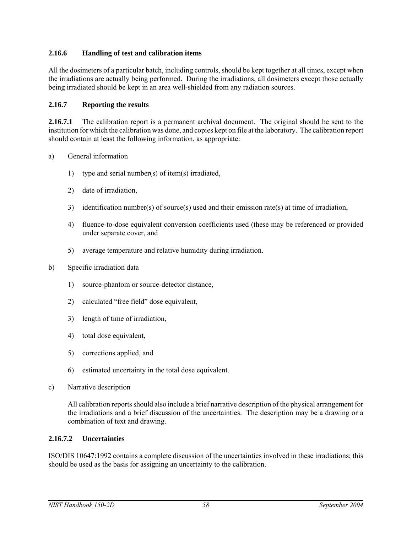## **2.16.6 Handling of test and calibration items**

All the dosimeters of a particular batch, including controls, should be kept together at all times, except when the irradiations are actually being performed. During the irradiations, all dosimeters except those actually being irradiated should be kept in an area well-shielded from any radiation sources.

#### **2.16.7 Reporting the results**

**2.16.7.1** The calibration report is a permanent archival document. The original should be sent to the institution for which the calibration was done, and copies kept on file at the laboratory. The calibration report should contain at least the following information, as appropriate:

- a) General information
	- 1) type and serial number(s) of item(s) irradiated,
	- 2) date of irradiation,
	- 3) identification number(s) of source(s) used and their emission rate(s) at time of irradiation,
	- 4) fluence-to-dose equivalent conversion coefficients used (these may be referenced or provided under separate cover, and
	- 5) average temperature and relative humidity during irradiation.
- b) Specific irradiation data
	- 1) source-phantom or source-detector distance,
	- 2) calculated "free field" dose equivalent,
	- 3) length of time of irradiation,
	- 4) total dose equivalent,
	- 5) corrections applied, and
	- 6) estimated uncertainty in the total dose equivalent.
- c) Narrative description

All calibration reports should also include a brief narrative description of the physical arrangement for the irradiations and a brief discussion of the uncertainties. The description may be a drawing or a combination of text and drawing.

#### **2.16.7.2 Uncertainties**

ISO/DIS 10647:1992 contains a complete discussion of the uncertainties involved in these irradiations; this should be used as the basis for assigning an uncertainty to the calibration.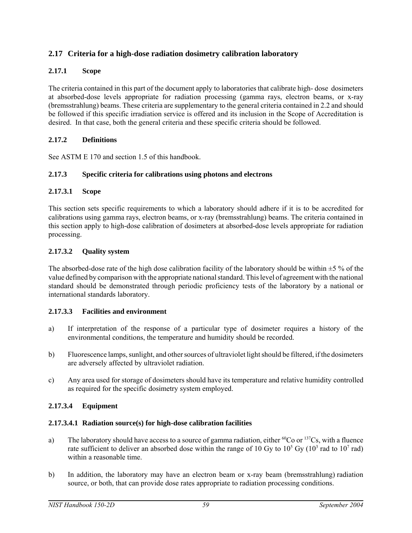## **2.17 Criteria for a high-dose radiation dosimetry calibration laboratory**

#### **2.17.1 Scope**

The criteria contained in this part of the document apply to laboratories that calibrate high- dose dosimeters at absorbed-dose levels appropriate for radiation processing (gamma rays, electron beams, or x-ray (bremsstrahlung) beams. These criteria are supplementary to the general criteria contained in 2.2 and should be followed if this specific irradiation service is offered and its inclusion in the Scope of Accreditation is desired. In that case, both the general criteria and these specific criteria should be followed.

#### **2.17.2 Definitions**

See ASTM E 170 and section 1.5 of this handbook.

#### **2.17.3 Specific criteria for calibrations using photons and electrons**

#### **2.17.3.1 Scope**

This section sets specific requirements to which a laboratory should adhere if it is to be accredited for calibrations using gamma rays, electron beams, or x-ray (bremsstrahlung) beams. The criteria contained in this section apply to high-dose calibration of dosimeters at absorbed-dose levels appropriate for radiation processing.

#### **2.17.3.2 Quality system**

The absorbed-dose rate of the high dose calibration facility of the laboratory should be within  $\pm 5\%$  of the value defined by comparison with the appropriate national standard. This level of agreement with the national standard should be demonstrated through periodic proficiency tests of the laboratory by a national or international standards laboratory.

#### **2.17.3.3 Facilities and environment**

- a) If interpretation of the response of a particular type of dosimeter requires a history of the environmental conditions, the temperature and humidity should be recorded.
- b) Fluorescence lamps, sunlight, and other sources of ultraviolet light should be filtered, if the dosimeters are adversely affected by ultraviolet radiation.
- c) Any area used for storage of dosimeters should have its temperature and relative humidity controlled as required for the specific dosimetry system employed.

## **2.17.3.4 Equipment**

#### **2.17.3.4.1 Radiation source(s) for high-dose calibration facilities**

- a) The laboratory should have access to a source of gamma radiation, either  ${}^{60}Co$  or  ${}^{137}Cs$ , with a fluence rate sufficient to deliver an absorbed dose within the range of 10 Gy to  $10^5$  Gy ( $10^3$  rad to  $10^7$  rad) within a reasonable time.
- b) In addition, the laboratory may have an electron beam or x-ray beam (bremsstrahlung) radiation source, or both, that can provide dose rates appropriate to radiation processing conditions.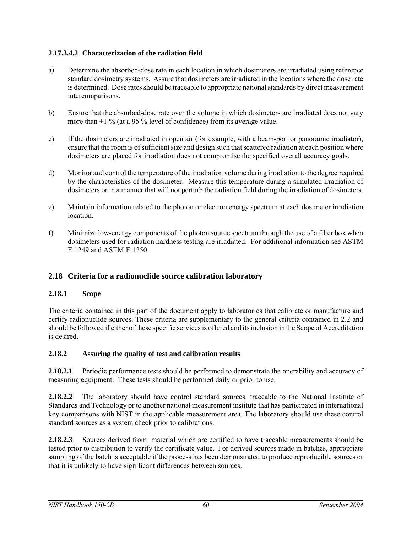## **2.17.3.4.2 Characterization of the radiation field**

- a) Determine the absorbed-dose rate in each location in which dosimeters are irradiated using reference standard dosimetry systems. Assure that dosimeters are irradiated in the locations where the dose rate is determined. Dose rates should be traceable to appropriate national standards by direct measurement intercomparisons.
- b) Ensure that the absorbed-dose rate over the volume in which dosimeters are irradiated does not vary more than  $\pm 1$  % (at a 95 % level of confidence) from its average value.
- c) If the dosimeters are irradiated in open air (for example, with a beam-port or panoramic irradiator), ensure that the room is of sufficient size and design such that scattered radiation at each position where dosimeters are placed for irradiation does not compromise the specified overall accuracy goals.
- d) Monitor and control the temperature of the irradiation volume during irradiation to the degree required by the characteristics of the dosimeter. Measure this temperature during a simulated irradiation of dosimeters or in a manner that will not perturb the radiation field during the irradiation of dosimeters.
- e) Maintain information related to the photon or electron energy spectrum at each dosimeter irradiation **location**
- f) Minimize low-energy components of the photon source spectrum through the use of a filter box when dosimeters used for radiation hardness testing are irradiated. For additional information see ASTM E 1249 and ASTM E 1250.

## **2.18 Criteria for a radionuclide source calibration laboratory**

## **2.18.1 Scope**

The criteria contained in this part of the document apply to laboratories that calibrate or manufacture and certify radionuclide sources. These criteria are supplementary to the general criteria contained in 2.2 and should be followed if either of these specific services is offered and its inclusion in the Scope of Accreditation is desired.

## **2.18.2 Assuring the quality of test and calibration results**

**2.18.2.1** Periodic performance tests should be performed to demonstrate the operability and accuracy of measuring equipment. These tests should be performed daily or prior to use.

**2.18.2.2** The laboratory should have control standard sources, traceable to the National Institute of Standards and Technology or to another national measurement institute that has participated in international key comparisons with NIST in the applicable measurement area. The laboratory should use these control standard sources as a system check prior to calibrations.

**2.18.2.3** Sources derived from material which are certified to have traceable measurements should be tested prior to distribution to verify the certificate value. For derived sources made in batches, appropriate sampling of the batch is acceptable if the process has been demonstrated to produce reproducible sources or that it is unlikely to have significant differences between sources.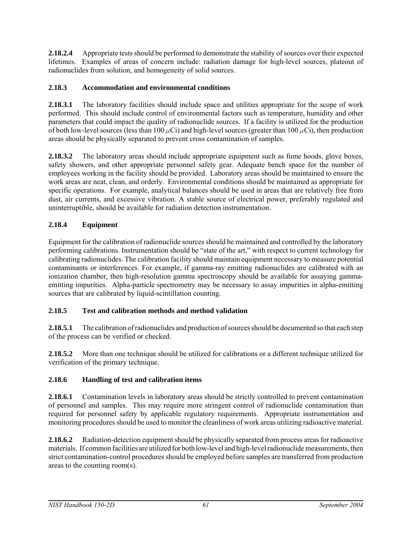**2.18.2.4** Appropriate tests should be performed to demonstrate the stability of sources over their expected lifetimes. Examples of areas of concern include: radiation damage for high-level sources, plateout of radionuclides from solution, and homogeneity of solid sources.

## **2.18.3 Accommodation and environmental conditions**

**2.18.3.1** The laboratory facilities should include space and utilities appropriate for the scope of work performed. This should include control of environmental factors such as temperature, humidity and other parameters that could impact the quality of radionuclide sources. If a facility is utilized for the production of both low-level sources (less than 100  $\mu$ Ci) and high-level sources (greater than 100  $\mu$ Ci), then production areas should be physically separated to prevent cross contamination of samples.

**2.18.3.2** The laboratory areas should include appropriate equipment such as fume hoods, glove boxes, safety showers, and other appropriate personnel safety gear. Adequate bench space for the number of employees working in the facility should be provided. Laboratory areas should be maintained to ensure the work areas are neat, clean, and orderly. Environmental conditions should be maintained as appropriate for specific operations. For example, analytical balances should be used in areas that are relatively free from dust, air currents, and excessive vibration. A stable source of electrical power, preferably regulated and uninterruptible, should be available for radiation detection instrumentation.

## **2.18.4 Equipment**

Equipment for the calibration of radionuclide sources should be maintained and controlled by the laboratory performing calibrations. Instrumentation should be "state of the art," with respect to current technology for calibrating radionuclides. The calibration facility should maintain equipment necessary to measure potential contaminants or interferences. For example, if gamma-ray emitting radionuclides are calibrated with an ionization chamber, then high-resolution gamma spectroscopy should be available for assaying gammaemitting impurities. Alpha-particle spectrometry may be necessary to assay impurities in alpha-emitting sources that are calibrated by liquid-scintillation counting.

## **2.18.5 Test and calibration methods and method validation**

**2.18.5.1** The calibration of radionuclides and production of sources should be documented so that each step of the process can be verified or checked.

**2.18.5.2** More than one technique should be utilized for calibrations or a different technique utilized for verification of the primary technique.

## **2.18.6 Handling of test and calibration items**

**2.18.6.1** Contamination levels in laboratory areas should be strictly controlled to prevent contamination of personnel and samples. This may require more stringent control of radionuclide contamination than required for personnel safety by applicable regulatory requirements. Appropriate instrumentation and monitoring procedures should be used to monitor the cleanliness of work areas utilizing radioactive material.

**2.18.6.2** Radiation-detection equipment should be physically separated from process areas for radioactive materials. If common facilities are utilized for both low-level and high-level radionuclide measurements, then strict contamination-control procedures should be employed before samples are transferred from production areas to the counting room(s).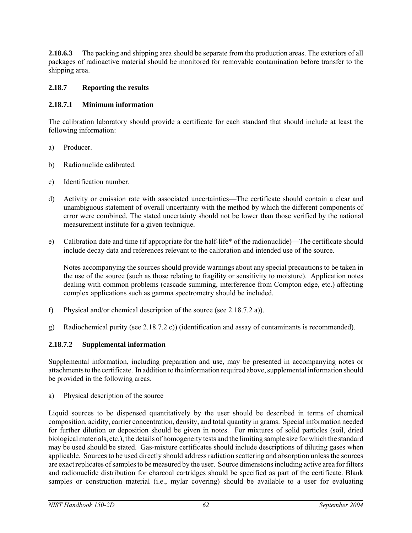**2.18.6.3** The packing and shipping area should be separate from the production areas. The exteriors of all packages of radioactive material should be monitored for removable contamination before transfer to the shipping area.

## **2.18.7 Reporting the results**

## **2.18.7.1 Minimum information**

The calibration laboratory should provide a certificate for each standard that should include at least the following information:

- a) Producer.
- b) Radionuclide calibrated.
- c) Identification number.
- d) Activity or emission rate with associated uncertainties—The certificate should contain a clear and unambiguous statement of overall uncertainty with the method by which the different components of error were combined. The stated uncertainty should not be lower than those verified by the national measurement institute for a given technique.
- e) Calibration date and time (if appropriate for the half-life\* of the radionuclide)—The certificate should include decay data and references relevant to the calibration and intended use of the source.

Notes accompanying the sources should provide warnings about any special precautions to be taken in the use of the source (such as those relating to fragility or sensitivity to moisture). Application notes dealing with common problems (cascade summing, interference from Compton edge, etc.) affecting complex applications such as gamma spectrometry should be included.

- f) Physical and/or chemical description of the source (see 2.18.7.2 a)).
- g) Radiochemical purity (see 2.18.7.2 c)) (identification and assay of contaminants is recommended).

## **2.18.7.2 Supplemental information**

Supplemental information, including preparation and use, may be presented in accompanying notes or attachments to the certificate. In addition to the information required above, supplemental information should be provided in the following areas.

a) Physical description of the source

Liquid sources to be dispensed quantitatively by the user should be described in terms of chemical composition, acidity, carrier concentration, density, and total quantity in grams. Special information needed for further dilution or deposition should be given in notes. For mixtures of solid particles (soil, dried biological materials, etc.), the details of homogeneity tests and the limiting sample size for which the standard may be used should be stated. Gas-mixture certificates should include descriptions of diluting gases when applicable. Sources to be used directly should address radiation scattering and absorption unless the sources are exact replicates of samples to be measured by the user. Source dimensions including active area for filters and radionuclide distribution for charcoal cartridges should be specified as part of the certificate. Blank samples or construction material (i.e., mylar covering) should be available to a user for evaluating